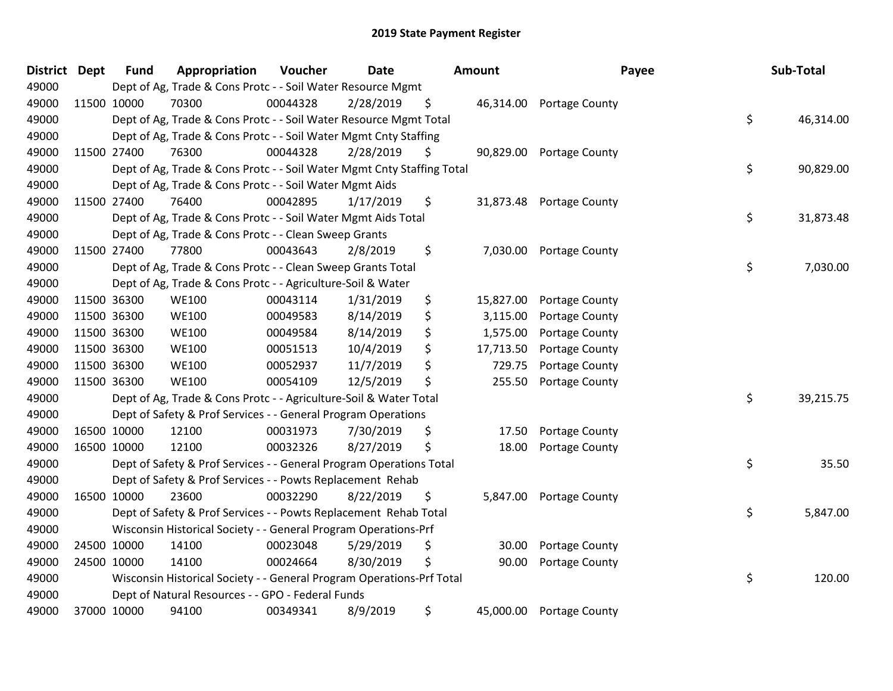| District | <b>Dept</b> | <b>Fund</b> | Appropriation                                                          | Voucher  | <b>Date</b> | Amount          | Payee                    | Sub-Total       |
|----------|-------------|-------------|------------------------------------------------------------------------|----------|-------------|-----------------|--------------------------|-----------------|
| 49000    |             |             | Dept of Ag, Trade & Cons Protc - - Soil Water Resource Mgmt            |          |             |                 |                          |                 |
| 49000    |             | 11500 10000 | 70300                                                                  | 00044328 | 2/28/2019   | \$              | 46,314.00 Portage County |                 |
| 49000    |             |             | Dept of Ag, Trade & Cons Protc - - Soil Water Resource Mgmt Total      |          |             |                 |                          | \$<br>46,314.00 |
| 49000    |             |             | Dept of Ag, Trade & Cons Protc - - Soil Water Mgmt Cnty Staffing       |          |             |                 |                          |                 |
| 49000    |             | 11500 27400 | 76300                                                                  | 00044328 | 2/28/2019   | \$<br>90,829.00 | Portage County           |                 |
| 49000    |             |             | Dept of Ag, Trade & Cons Protc - - Soil Water Mgmt Cnty Staffing Total |          |             |                 |                          | \$<br>90,829.00 |
| 49000    |             |             | Dept of Ag, Trade & Cons Protc - - Soil Water Mgmt Aids                |          |             |                 |                          |                 |
| 49000    |             | 11500 27400 | 76400                                                                  | 00042895 | 1/17/2019   | \$<br>31,873.48 | <b>Portage County</b>    |                 |
| 49000    |             |             | Dept of Ag, Trade & Cons Protc - - Soil Water Mgmt Aids Total          |          |             |                 |                          | \$<br>31,873.48 |
| 49000    |             |             | Dept of Ag, Trade & Cons Protc - - Clean Sweep Grants                  |          |             |                 |                          |                 |
| 49000    |             | 11500 27400 | 77800                                                                  | 00043643 | 2/8/2019    | \$<br>7,030.00  | Portage County           |                 |
| 49000    |             |             | Dept of Ag, Trade & Cons Protc - - Clean Sweep Grants Total            |          |             |                 |                          | \$<br>7,030.00  |
| 49000    |             |             | Dept of Ag, Trade & Cons Protc - - Agriculture-Soil & Water            |          |             |                 |                          |                 |
| 49000    |             | 11500 36300 | <b>WE100</b>                                                           | 00043114 | 1/31/2019   | \$<br>15,827.00 | Portage County           |                 |
| 49000    |             | 11500 36300 | <b>WE100</b>                                                           | 00049583 | 8/14/2019   | \$<br>3,115.00  | Portage County           |                 |
| 49000    |             | 11500 36300 | <b>WE100</b>                                                           | 00049584 | 8/14/2019   | \$<br>1,575.00  | Portage County           |                 |
| 49000    |             | 11500 36300 | <b>WE100</b>                                                           | 00051513 | 10/4/2019   | \$<br>17,713.50 | Portage County           |                 |
| 49000    |             | 11500 36300 | <b>WE100</b>                                                           | 00052937 | 11/7/2019   | \$<br>729.75    | Portage County           |                 |
| 49000    |             | 11500 36300 | <b>WE100</b>                                                           | 00054109 | 12/5/2019   | \$<br>255.50    | Portage County           |                 |
| 49000    |             |             | Dept of Ag, Trade & Cons Protc - - Agriculture-Soil & Water Total      |          |             |                 |                          | \$<br>39,215.75 |
| 49000    |             |             | Dept of Safety & Prof Services - - General Program Operations          |          |             |                 |                          |                 |
| 49000    |             | 16500 10000 | 12100                                                                  | 00031973 | 7/30/2019   | \$<br>17.50     | Portage County           |                 |
| 49000    |             | 16500 10000 | 12100                                                                  | 00032326 | 8/27/2019   | \$<br>18.00     | Portage County           |                 |
| 49000    |             |             | Dept of Safety & Prof Services - - General Program Operations Total    |          |             |                 |                          | \$<br>35.50     |
| 49000    |             |             | Dept of Safety & Prof Services - - Powts Replacement Rehab             |          |             |                 |                          |                 |
| 49000    |             | 16500 10000 | 23600                                                                  | 00032290 | 8/22/2019   | \$<br>5,847.00  | Portage County           |                 |
| 49000    |             |             | Dept of Safety & Prof Services - - Powts Replacement Rehab Total       |          |             |                 |                          | \$<br>5,847.00  |
| 49000    |             |             | Wisconsin Historical Society - - General Program Operations-Prf        |          |             |                 |                          |                 |
| 49000    |             | 24500 10000 | 14100                                                                  | 00023048 | 5/29/2019   | \$<br>30.00     | Portage County           |                 |
| 49000    |             | 24500 10000 | 14100                                                                  | 00024664 | 8/30/2019   | \$<br>90.00     | Portage County           |                 |
| 49000    |             |             | Wisconsin Historical Society - - General Program Operations-Prf Total  |          |             |                 |                          | \$<br>120.00    |
| 49000    |             |             | Dept of Natural Resources - - GPO - Federal Funds                      |          |             |                 |                          |                 |
| 49000    |             | 37000 10000 | 94100                                                                  | 00349341 | 8/9/2019    | \$<br>45,000.00 | Portage County           |                 |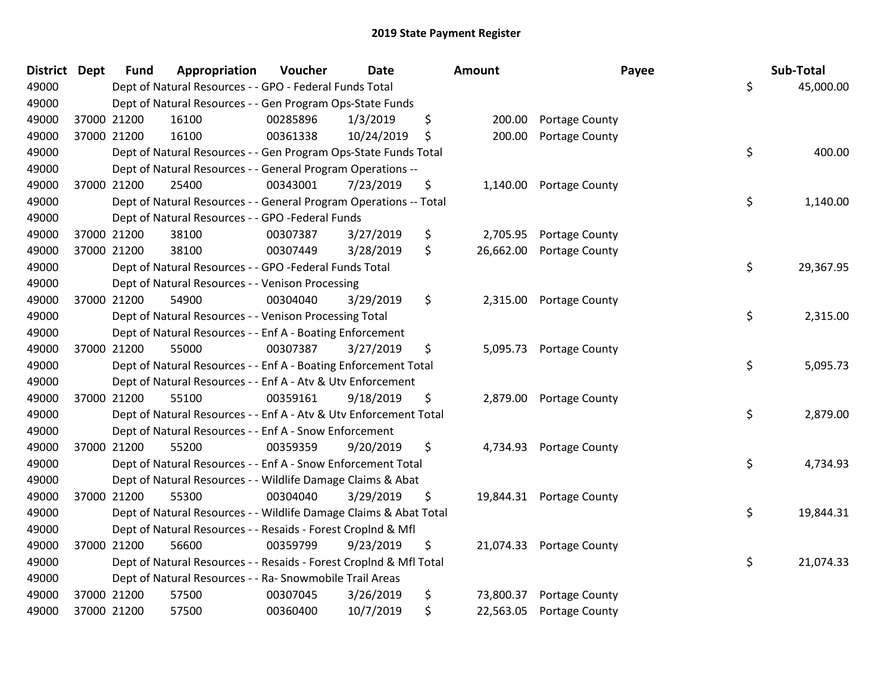| <b>District Dept</b> | <b>Fund</b> | Appropriation                                                      | Voucher  | <b>Date</b> | Amount          | Payee                    | Sub-Total       |
|----------------------|-------------|--------------------------------------------------------------------|----------|-------------|-----------------|--------------------------|-----------------|
| 49000                |             | Dept of Natural Resources - - GPO - Federal Funds Total            |          |             |                 |                          | \$<br>45,000.00 |
| 49000                |             | Dept of Natural Resources - - Gen Program Ops-State Funds          |          |             |                 |                          |                 |
| 49000                | 37000 21200 | 16100                                                              | 00285896 | 1/3/2019    | \$<br>200.00    | Portage County           |                 |
| 49000                | 37000 21200 | 16100                                                              | 00361338 | 10/24/2019  | \$<br>200.00    | Portage County           |                 |
| 49000                |             | Dept of Natural Resources - - Gen Program Ops-State Funds Total    |          |             |                 |                          | \$<br>400.00    |
| 49000                |             | Dept of Natural Resources - - General Program Operations --        |          |             |                 |                          |                 |
| 49000                | 37000 21200 | 25400                                                              | 00343001 | 7/23/2019   | \$<br>1,140.00  | Portage County           |                 |
| 49000                |             | Dept of Natural Resources - - General Program Operations -- Total  |          |             |                 |                          | \$<br>1,140.00  |
| 49000                |             | Dept of Natural Resources - - GPO -Federal Funds                   |          |             |                 |                          |                 |
| 49000                | 37000 21200 | 38100                                                              | 00307387 | 3/27/2019   | \$<br>2,705.95  | Portage County           |                 |
| 49000                | 37000 21200 | 38100                                                              | 00307449 | 3/28/2019   | \$<br>26,662.00 | Portage County           |                 |
| 49000                |             | Dept of Natural Resources - - GPO -Federal Funds Total             |          |             |                 |                          | \$<br>29,367.95 |
| 49000                |             | Dept of Natural Resources - - Venison Processing                   |          |             |                 |                          |                 |
| 49000                | 37000 21200 | 54900                                                              | 00304040 | 3/29/2019   | \$              | 2,315.00 Portage County  |                 |
| 49000                |             | Dept of Natural Resources - - Venison Processing Total             |          |             |                 |                          | \$<br>2,315.00  |
| 49000                |             | Dept of Natural Resources - - Enf A - Boating Enforcement          |          |             |                 |                          |                 |
| 49000                | 37000 21200 | 55000                                                              | 00307387 | 3/27/2019   | \$<br>5,095.73  | Portage County           |                 |
| 49000                |             | Dept of Natural Resources - - Enf A - Boating Enforcement Total    |          |             |                 |                          | \$<br>5,095.73  |
| 49000                |             | Dept of Natural Resources - - Enf A - Atv & Utv Enforcement        |          |             |                 |                          |                 |
| 49000                | 37000 21200 | 55100                                                              | 00359161 | 9/18/2019   | \$              | 2,879.00 Portage County  |                 |
| 49000                |             | Dept of Natural Resources - - Enf A - Atv & Utv Enforcement Total  |          |             |                 |                          | \$<br>2,879.00  |
| 49000                |             | Dept of Natural Resources - - Enf A - Snow Enforcement             |          |             |                 |                          |                 |
| 49000                | 37000 21200 | 55200                                                              | 00359359 | 9/20/2019   | \$              | 4,734.93 Portage County  |                 |
| 49000                |             | Dept of Natural Resources - - Enf A - Snow Enforcement Total       |          |             |                 |                          | \$<br>4,734.93  |
| 49000                |             | Dept of Natural Resources - - Wildlife Damage Claims & Abat        |          |             |                 |                          |                 |
| 49000                | 37000 21200 | 55300                                                              | 00304040 | 3/29/2019   | \$              | 19,844.31 Portage County |                 |
| 49000                |             | Dept of Natural Resources - - Wildlife Damage Claims & Abat Total  |          |             |                 |                          | \$<br>19,844.31 |
| 49000                |             | Dept of Natural Resources - - Resaids - Forest Croplnd & Mfl       |          |             |                 |                          |                 |
| 49000                | 37000 21200 | 56600                                                              | 00359799 | 9/23/2019   | \$              | 21,074.33 Portage County |                 |
| 49000                |             | Dept of Natural Resources - - Resaids - Forest Croplnd & Mfl Total |          |             |                 |                          | \$<br>21,074.33 |
| 49000                |             | Dept of Natural Resources - - Ra- Snowmobile Trail Areas           |          |             |                 |                          |                 |
| 49000                | 37000 21200 | 57500                                                              | 00307045 | 3/26/2019   | \$<br>73,800.37 | Portage County           |                 |
| 49000                | 37000 21200 | 57500                                                              | 00360400 | 10/7/2019   | \$<br>22,563.05 | Portage County           |                 |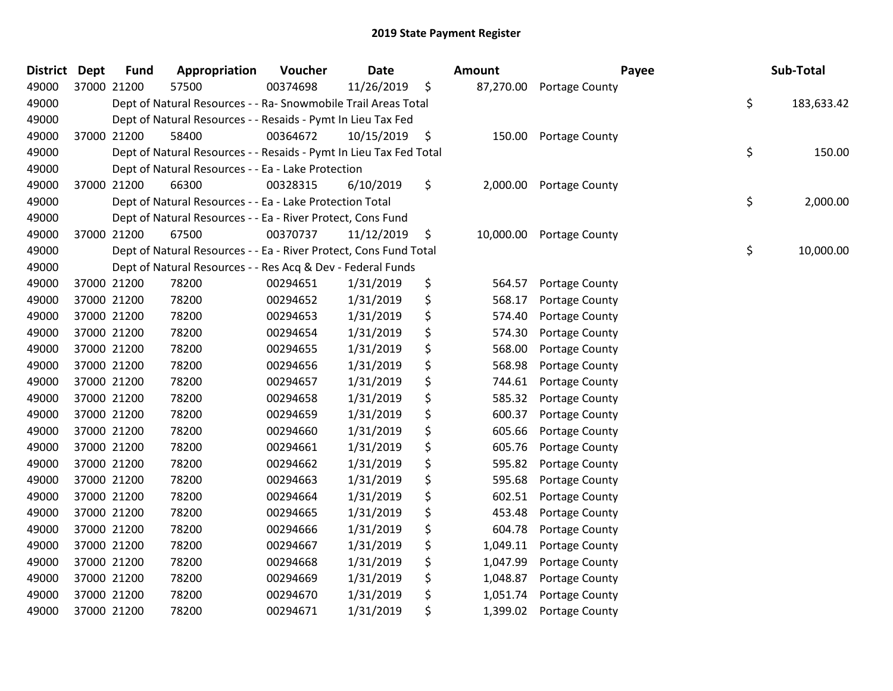| <b>District</b> | Dept | <b>Fund</b> | Appropriation                                                      | Voucher  | <b>Date</b> | Amount          | Payee                 | Sub-Total        |
|-----------------|------|-------------|--------------------------------------------------------------------|----------|-------------|-----------------|-----------------------|------------------|
| 49000           |      | 37000 21200 | 57500                                                              | 00374698 | 11/26/2019  | \$<br>87,270.00 | Portage County        |                  |
| 49000           |      |             | Dept of Natural Resources - - Ra- Snowmobile Trail Areas Total     |          |             |                 |                       | \$<br>183,633.42 |
| 49000           |      |             | Dept of Natural Resources - - Resaids - Pymt In Lieu Tax Fed       |          |             |                 |                       |                  |
| 49000           |      | 37000 21200 | 58400                                                              | 00364672 | 10/15/2019  | \$              | 150.00 Portage County |                  |
| 49000           |      |             | Dept of Natural Resources - - Resaids - Pymt In Lieu Tax Fed Total |          |             |                 |                       | \$<br>150.00     |
| 49000           |      |             | Dept of Natural Resources - - Ea - Lake Protection                 |          |             |                 |                       |                  |
| 49000           |      | 37000 21200 | 66300                                                              | 00328315 | 6/10/2019   | \$<br>2,000.00  | Portage County        |                  |
| 49000           |      |             | Dept of Natural Resources - - Ea - Lake Protection Total           |          |             |                 |                       | \$<br>2,000.00   |
| 49000           |      |             | Dept of Natural Resources - - Ea - River Protect, Cons Fund        |          |             |                 |                       |                  |
| 49000           |      | 37000 21200 | 67500                                                              | 00370737 | 11/12/2019  | \$<br>10,000.00 | Portage County        |                  |
| 49000           |      |             | Dept of Natural Resources - - Ea - River Protect, Cons Fund Total  |          |             |                 |                       | \$<br>10,000.00  |
| 49000           |      |             | Dept of Natural Resources - - Res Acq & Dev - Federal Funds        |          |             |                 |                       |                  |
| 49000           |      | 37000 21200 | 78200                                                              | 00294651 | 1/31/2019   | \$<br>564.57    | Portage County        |                  |
| 49000           |      | 37000 21200 | 78200                                                              | 00294652 | 1/31/2019   | \$<br>568.17    | Portage County        |                  |
| 49000           |      | 37000 21200 | 78200                                                              | 00294653 | 1/31/2019   | \$<br>574.40    | Portage County        |                  |
| 49000           |      | 37000 21200 | 78200                                                              | 00294654 | 1/31/2019   | \$<br>574.30    | Portage County        |                  |
| 49000           |      | 37000 21200 | 78200                                                              | 00294655 | 1/31/2019   | \$<br>568.00    | Portage County        |                  |
| 49000           |      | 37000 21200 | 78200                                                              | 00294656 | 1/31/2019   | \$<br>568.98    | Portage County        |                  |
| 49000           |      | 37000 21200 | 78200                                                              | 00294657 | 1/31/2019   | \$<br>744.61    | Portage County        |                  |
| 49000           |      | 37000 21200 | 78200                                                              | 00294658 | 1/31/2019   | \$<br>585.32    | Portage County        |                  |
| 49000           |      | 37000 21200 | 78200                                                              | 00294659 | 1/31/2019   | \$<br>600.37    | Portage County        |                  |
| 49000           |      | 37000 21200 | 78200                                                              | 00294660 | 1/31/2019   | \$<br>605.66    | Portage County        |                  |
| 49000           |      | 37000 21200 | 78200                                                              | 00294661 | 1/31/2019   | \$<br>605.76    | Portage County        |                  |
| 49000           |      | 37000 21200 | 78200                                                              | 00294662 | 1/31/2019   | \$<br>595.82    | Portage County        |                  |
| 49000           |      | 37000 21200 | 78200                                                              | 00294663 | 1/31/2019   | \$<br>595.68    | Portage County        |                  |
| 49000           |      | 37000 21200 | 78200                                                              | 00294664 | 1/31/2019   | \$<br>602.51    | Portage County        |                  |
| 49000           |      | 37000 21200 | 78200                                                              | 00294665 | 1/31/2019   | \$<br>453.48    | Portage County        |                  |
| 49000           |      | 37000 21200 | 78200                                                              | 00294666 | 1/31/2019   | \$<br>604.78    | Portage County        |                  |
| 49000           |      | 37000 21200 | 78200                                                              | 00294667 | 1/31/2019   | \$<br>1,049.11  | Portage County        |                  |
| 49000           |      | 37000 21200 | 78200                                                              | 00294668 | 1/31/2019   | \$<br>1,047.99  | Portage County        |                  |
| 49000           |      | 37000 21200 | 78200                                                              | 00294669 | 1/31/2019   | \$<br>1,048.87  | Portage County        |                  |
| 49000           |      | 37000 21200 | 78200                                                              | 00294670 | 1/31/2019   | \$<br>1,051.74  | Portage County        |                  |
| 49000           |      | 37000 21200 | 78200                                                              | 00294671 | 1/31/2019   | \$<br>1,399.02  | Portage County        |                  |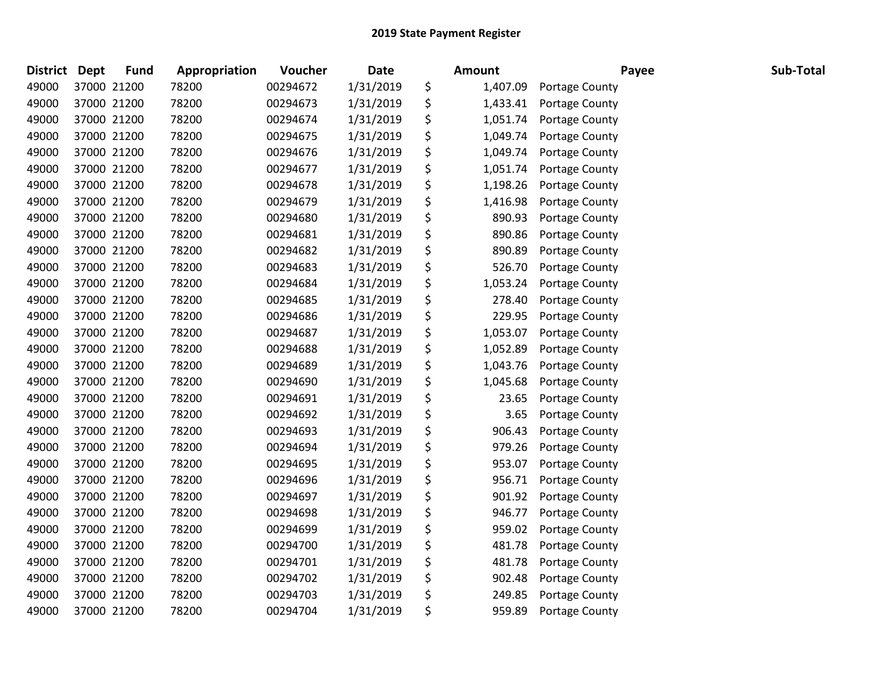| <b>District</b> | <b>Dept</b> | <b>Fund</b> | Appropriation | Voucher  | <b>Date</b> | Amount         | Payee                 | Sub-Total |
|-----------------|-------------|-------------|---------------|----------|-------------|----------------|-----------------------|-----------|
| 49000           |             | 37000 21200 | 78200         | 00294672 | 1/31/2019   | \$<br>1,407.09 | <b>Portage County</b> |           |
| 49000           |             | 37000 21200 | 78200         | 00294673 | 1/31/2019   | \$<br>1,433.41 | Portage County        |           |
| 49000           |             | 37000 21200 | 78200         | 00294674 | 1/31/2019   | \$<br>1,051.74 | Portage County        |           |
| 49000           |             | 37000 21200 | 78200         | 00294675 | 1/31/2019   | \$<br>1,049.74 | Portage County        |           |
| 49000           |             | 37000 21200 | 78200         | 00294676 | 1/31/2019   | \$<br>1,049.74 | <b>Portage County</b> |           |
| 49000           |             | 37000 21200 | 78200         | 00294677 | 1/31/2019   | \$<br>1,051.74 | Portage County        |           |
| 49000           |             | 37000 21200 | 78200         | 00294678 | 1/31/2019   | \$<br>1,198.26 | Portage County        |           |
| 49000           |             | 37000 21200 | 78200         | 00294679 | 1/31/2019   | \$<br>1,416.98 | Portage County        |           |
| 49000           |             | 37000 21200 | 78200         | 00294680 | 1/31/2019   | \$<br>890.93   | Portage County        |           |
| 49000           |             | 37000 21200 | 78200         | 00294681 | 1/31/2019   | \$<br>890.86   | Portage County        |           |
| 49000           |             | 37000 21200 | 78200         | 00294682 | 1/31/2019   | \$<br>890.89   | Portage County        |           |
| 49000           |             | 37000 21200 | 78200         | 00294683 | 1/31/2019   | \$<br>526.70   | Portage County        |           |
| 49000           |             | 37000 21200 | 78200         | 00294684 | 1/31/2019   | \$<br>1,053.24 | Portage County        |           |
| 49000           |             | 37000 21200 | 78200         | 00294685 | 1/31/2019   | \$<br>278.40   | Portage County        |           |
| 49000           |             | 37000 21200 | 78200         | 00294686 | 1/31/2019   | \$<br>229.95   | <b>Portage County</b> |           |
| 49000           |             | 37000 21200 | 78200         | 00294687 | 1/31/2019   | \$<br>1,053.07 | Portage County        |           |
| 49000           |             | 37000 21200 | 78200         | 00294688 | 1/31/2019   | \$<br>1,052.89 | Portage County        |           |
| 49000           |             | 37000 21200 | 78200         | 00294689 | 1/31/2019   | \$<br>1,043.76 | Portage County        |           |
| 49000           |             | 37000 21200 | 78200         | 00294690 | 1/31/2019   | \$<br>1,045.68 | Portage County        |           |
| 49000           |             | 37000 21200 | 78200         | 00294691 | 1/31/2019   | \$<br>23.65    | Portage County        |           |
| 49000           |             | 37000 21200 | 78200         | 00294692 | 1/31/2019   | \$<br>3.65     | Portage County        |           |
| 49000           |             | 37000 21200 | 78200         | 00294693 | 1/31/2019   | \$<br>906.43   | Portage County        |           |
| 49000           |             | 37000 21200 | 78200         | 00294694 | 1/31/2019   | \$<br>979.26   | Portage County        |           |
| 49000           |             | 37000 21200 | 78200         | 00294695 | 1/31/2019   | \$<br>953.07   | Portage County        |           |
| 49000           |             | 37000 21200 | 78200         | 00294696 | 1/31/2019   | \$<br>956.71   | Portage County        |           |
| 49000           |             | 37000 21200 | 78200         | 00294697 | 1/31/2019   | \$<br>901.92   | Portage County        |           |
| 49000           |             | 37000 21200 | 78200         | 00294698 | 1/31/2019   | \$<br>946.77   | Portage County        |           |
| 49000           |             | 37000 21200 | 78200         | 00294699 | 1/31/2019   | \$<br>959.02   | Portage County        |           |
| 49000           |             | 37000 21200 | 78200         | 00294700 | 1/31/2019   | \$<br>481.78   | Portage County        |           |
| 49000           |             | 37000 21200 | 78200         | 00294701 | 1/31/2019   | \$<br>481.78   | Portage County        |           |
| 49000           |             | 37000 21200 | 78200         | 00294702 | 1/31/2019   | \$<br>902.48   | Portage County        |           |
| 49000           |             | 37000 21200 | 78200         | 00294703 | 1/31/2019   | \$<br>249.85   | Portage County        |           |
| 49000           |             | 37000 21200 | 78200         | 00294704 | 1/31/2019   | \$<br>959.89   | Portage County        |           |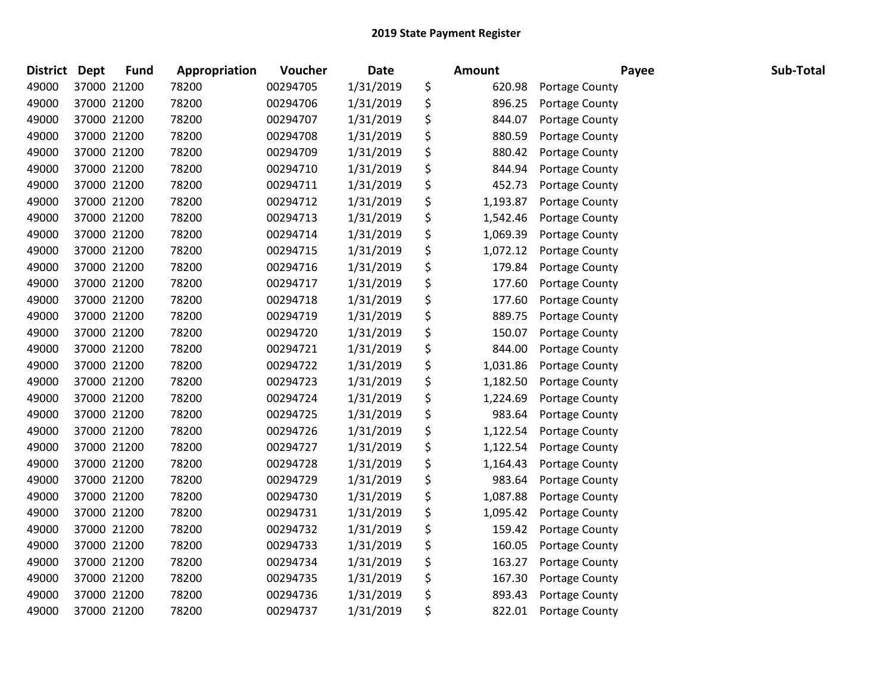| <b>District</b> | <b>Dept</b> | <b>Fund</b> | Appropriation | Voucher  | <b>Date</b> | <b>Amount</b>  | Payee          | Sub-Total |
|-----------------|-------------|-------------|---------------|----------|-------------|----------------|----------------|-----------|
| 49000           |             | 37000 21200 | 78200         | 00294705 | 1/31/2019   | \$<br>620.98   | Portage County |           |
| 49000           |             | 37000 21200 | 78200         | 00294706 | 1/31/2019   | \$<br>896.25   | Portage County |           |
| 49000           |             | 37000 21200 | 78200         | 00294707 | 1/31/2019   | \$<br>844.07   | Portage County |           |
| 49000           |             | 37000 21200 | 78200         | 00294708 | 1/31/2019   | \$<br>880.59   | Portage County |           |
| 49000           |             | 37000 21200 | 78200         | 00294709 | 1/31/2019   | \$<br>880.42   | Portage County |           |
| 49000           |             | 37000 21200 | 78200         | 00294710 | 1/31/2019   | \$<br>844.94   | Portage County |           |
| 49000           |             | 37000 21200 | 78200         | 00294711 | 1/31/2019   | \$<br>452.73   | Portage County |           |
| 49000           | 37000 21200 |             | 78200         | 00294712 | 1/31/2019   | \$<br>1,193.87 | Portage County |           |
| 49000           | 37000 21200 |             | 78200         | 00294713 | 1/31/2019   | \$<br>1,542.46 | Portage County |           |
| 49000           |             | 37000 21200 | 78200         | 00294714 | 1/31/2019   | \$<br>1,069.39 | Portage County |           |
| 49000           |             | 37000 21200 | 78200         | 00294715 | 1/31/2019   | \$<br>1,072.12 | Portage County |           |
| 49000           |             | 37000 21200 | 78200         | 00294716 | 1/31/2019   | \$<br>179.84   | Portage County |           |
| 49000           | 37000 21200 |             | 78200         | 00294717 | 1/31/2019   | \$<br>177.60   | Portage County |           |
| 49000           |             | 37000 21200 | 78200         | 00294718 | 1/31/2019   | \$<br>177.60   | Portage County |           |
| 49000           |             | 37000 21200 | 78200         | 00294719 | 1/31/2019   | \$<br>889.75   | Portage County |           |
| 49000           |             | 37000 21200 | 78200         | 00294720 | 1/31/2019   | \$<br>150.07   | Portage County |           |
| 49000           |             | 37000 21200 | 78200         | 00294721 | 1/31/2019   | \$<br>844.00   | Portage County |           |
| 49000           | 37000 21200 |             | 78200         | 00294722 | 1/31/2019   | \$<br>1,031.86 | Portage County |           |
| 49000           |             | 37000 21200 | 78200         | 00294723 | 1/31/2019   | \$<br>1,182.50 | Portage County |           |
| 49000           |             | 37000 21200 | 78200         | 00294724 | 1/31/2019   | \$<br>1,224.69 | Portage County |           |
| 49000           |             | 37000 21200 | 78200         | 00294725 | 1/31/2019   | \$<br>983.64   | Portage County |           |
| 49000           |             | 37000 21200 | 78200         | 00294726 | 1/31/2019   | \$<br>1,122.54 | Portage County |           |
| 49000           |             | 37000 21200 | 78200         | 00294727 | 1/31/2019   | \$<br>1,122.54 | Portage County |           |
| 49000           |             | 37000 21200 | 78200         | 00294728 | 1/31/2019   | \$<br>1,164.43 | Portage County |           |
| 49000           |             | 37000 21200 | 78200         | 00294729 | 1/31/2019   | \$<br>983.64   | Portage County |           |
| 49000           | 37000 21200 |             | 78200         | 00294730 | 1/31/2019   | \$<br>1,087.88 | Portage County |           |
| 49000           | 37000 21200 |             | 78200         | 00294731 | 1/31/2019   | \$<br>1,095.42 | Portage County |           |
| 49000           | 37000 21200 |             | 78200         | 00294732 | 1/31/2019   | \$<br>159.42   | Portage County |           |
| 49000           |             | 37000 21200 | 78200         | 00294733 | 1/31/2019   | \$<br>160.05   | Portage County |           |
| 49000           |             | 37000 21200 | 78200         | 00294734 | 1/31/2019   | \$<br>163.27   | Portage County |           |
| 49000           |             | 37000 21200 | 78200         | 00294735 | 1/31/2019   | \$<br>167.30   | Portage County |           |
| 49000           |             | 37000 21200 | 78200         | 00294736 | 1/31/2019   | \$<br>893.43   | Portage County |           |
| 49000           | 37000 21200 |             | 78200         | 00294737 | 1/31/2019   | \$<br>822.01   | Portage County |           |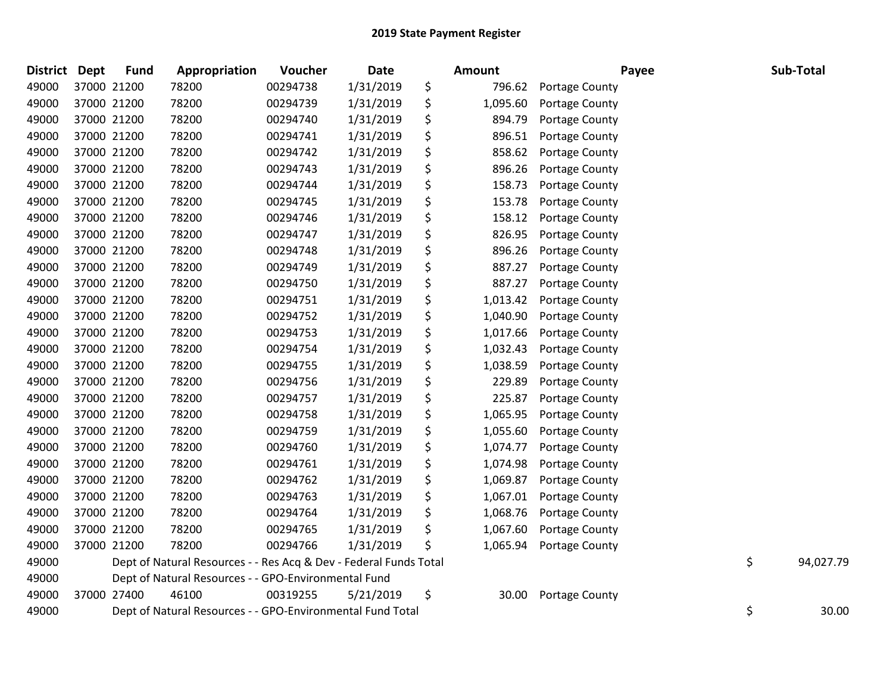| District Dept | <b>Fund</b> | Appropriation                                                     | Voucher  | <b>Date</b> | Amount         |                       | Payee | Sub-Total       |
|---------------|-------------|-------------------------------------------------------------------|----------|-------------|----------------|-----------------------|-------|-----------------|
| 49000         | 37000 21200 | 78200                                                             | 00294738 | 1/31/2019   | \$<br>796.62   | Portage County        |       |                 |
| 49000         | 37000 21200 | 78200                                                             | 00294739 | 1/31/2019   | \$<br>1,095.60 | Portage County        |       |                 |
| 49000         | 37000 21200 | 78200                                                             | 00294740 | 1/31/2019   | \$<br>894.79   | Portage County        |       |                 |
| 49000         | 37000 21200 | 78200                                                             | 00294741 | 1/31/2019   | \$<br>896.51   | Portage County        |       |                 |
| 49000         | 37000 21200 | 78200                                                             | 00294742 | 1/31/2019   | \$<br>858.62   | Portage County        |       |                 |
| 49000         | 37000 21200 | 78200                                                             | 00294743 | 1/31/2019   | \$<br>896.26   | Portage County        |       |                 |
| 49000         | 37000 21200 | 78200                                                             | 00294744 | 1/31/2019   | \$<br>158.73   | Portage County        |       |                 |
| 49000         | 37000 21200 | 78200                                                             | 00294745 | 1/31/2019   | \$<br>153.78   | Portage County        |       |                 |
| 49000         | 37000 21200 | 78200                                                             | 00294746 | 1/31/2019   | \$<br>158.12   | Portage County        |       |                 |
| 49000         | 37000 21200 | 78200                                                             | 00294747 | 1/31/2019   | \$<br>826.95   | Portage County        |       |                 |
| 49000         | 37000 21200 | 78200                                                             | 00294748 | 1/31/2019   | \$<br>896.26   | Portage County        |       |                 |
| 49000         | 37000 21200 | 78200                                                             | 00294749 | 1/31/2019   | \$<br>887.27   | Portage County        |       |                 |
| 49000         | 37000 21200 | 78200                                                             | 00294750 | 1/31/2019   | \$<br>887.27   | <b>Portage County</b> |       |                 |
| 49000         | 37000 21200 | 78200                                                             | 00294751 | 1/31/2019   | \$<br>1,013.42 | Portage County        |       |                 |
| 49000         | 37000 21200 | 78200                                                             | 00294752 | 1/31/2019   | \$<br>1,040.90 | Portage County        |       |                 |
| 49000         | 37000 21200 | 78200                                                             | 00294753 | 1/31/2019   | \$<br>1,017.66 | Portage County        |       |                 |
| 49000         | 37000 21200 | 78200                                                             | 00294754 | 1/31/2019   | \$<br>1,032.43 | Portage County        |       |                 |
| 49000         | 37000 21200 | 78200                                                             | 00294755 | 1/31/2019   | \$<br>1,038.59 | Portage County        |       |                 |
| 49000         | 37000 21200 | 78200                                                             | 00294756 | 1/31/2019   | \$<br>229.89   | Portage County        |       |                 |
| 49000         | 37000 21200 | 78200                                                             | 00294757 | 1/31/2019   | \$<br>225.87   | Portage County        |       |                 |
| 49000         | 37000 21200 | 78200                                                             | 00294758 | 1/31/2019   | \$<br>1,065.95 | Portage County        |       |                 |
| 49000         | 37000 21200 | 78200                                                             | 00294759 | 1/31/2019   | \$<br>1,055.60 | Portage County        |       |                 |
| 49000         | 37000 21200 | 78200                                                             | 00294760 | 1/31/2019   | \$<br>1,074.77 | Portage County        |       |                 |
| 49000         | 37000 21200 | 78200                                                             | 00294761 | 1/31/2019   | \$<br>1,074.98 | Portage County        |       |                 |
| 49000         | 37000 21200 | 78200                                                             | 00294762 | 1/31/2019   | \$<br>1,069.87 | Portage County        |       |                 |
| 49000         | 37000 21200 | 78200                                                             | 00294763 | 1/31/2019   | \$<br>1,067.01 | Portage County        |       |                 |
| 49000         | 37000 21200 | 78200                                                             | 00294764 | 1/31/2019   | \$<br>1,068.76 | Portage County        |       |                 |
| 49000         | 37000 21200 | 78200                                                             | 00294765 | 1/31/2019   | \$<br>1,067.60 | Portage County        |       |                 |
| 49000         | 37000 21200 | 78200                                                             | 00294766 | 1/31/2019   | \$<br>1,065.94 | Portage County        |       |                 |
| 49000         |             | Dept of Natural Resources - - Res Acq & Dev - Federal Funds Total |          |             |                |                       |       | \$<br>94,027.79 |
| 49000         |             | Dept of Natural Resources - - GPO-Environmental Fund              |          |             |                |                       |       |                 |
| 49000         | 37000 27400 | 46100                                                             | 00319255 | 5/21/2019   | \$<br>30.00    | Portage County        |       |                 |
| 49000         |             | Dept of Natural Resources - - GPO-Environmental Fund Total        |          |             |                |                       |       | \$<br>30.00     |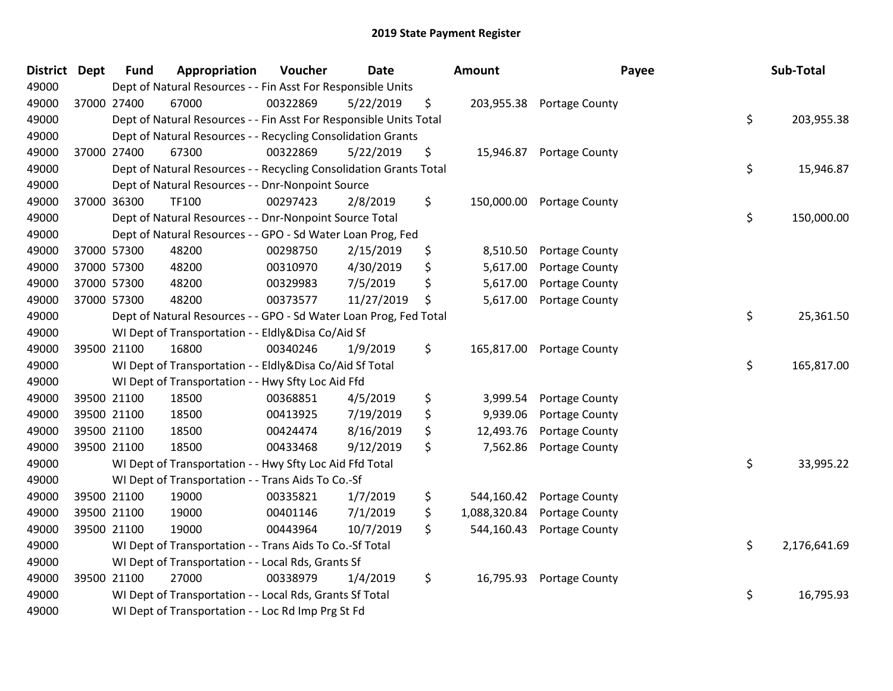| <b>District</b> | <b>Dept</b> | <b>Fund</b> | Appropriation                                                      | Voucher  | <b>Date</b> | Amount             |                           | Payee | Sub-Total    |
|-----------------|-------------|-------------|--------------------------------------------------------------------|----------|-------------|--------------------|---------------------------|-------|--------------|
| 49000           |             |             | Dept of Natural Resources - - Fin Asst For Responsible Units       |          |             |                    |                           |       |              |
| 49000           |             | 37000 27400 | 67000                                                              | 00322869 | 5/22/2019   | \$                 | 203,955.38 Portage County |       |              |
| 49000           |             |             | Dept of Natural Resources - - Fin Asst For Responsible Units Total |          |             |                    |                           | \$    | 203,955.38   |
| 49000           |             |             | Dept of Natural Resources - - Recycling Consolidation Grants       |          |             |                    |                           |       |              |
| 49000           |             | 37000 27400 | 67300                                                              | 00322869 | 5/22/2019   | \$                 | 15,946.87 Portage County  |       |              |
| 49000           |             |             | Dept of Natural Resources - - Recycling Consolidation Grants Total |          |             |                    |                           | \$    | 15,946.87    |
| 49000           |             |             | Dept of Natural Resources - - Dnr-Nonpoint Source                  |          |             |                    |                           |       |              |
| 49000           |             | 37000 36300 | TF100                                                              | 00297423 | 2/8/2019    | \$                 | 150,000.00 Portage County |       |              |
| 49000           |             |             | Dept of Natural Resources - - Dnr-Nonpoint Source Total            |          |             |                    |                           | \$    | 150,000.00   |
| 49000           |             |             | Dept of Natural Resources - - GPO - Sd Water Loan Prog, Fed        |          |             |                    |                           |       |              |
| 49000           |             | 37000 57300 | 48200                                                              | 00298750 | 2/15/2019   | \$<br>8,510.50     | Portage County            |       |              |
| 49000           |             | 37000 57300 | 48200                                                              | 00310970 | 4/30/2019   | \$<br>5,617.00     | Portage County            |       |              |
| 49000           | 37000 57300 |             | 48200                                                              | 00329983 | 7/5/2019    | \$<br>5,617.00     | Portage County            |       |              |
| 49000           |             | 37000 57300 | 48200                                                              | 00373577 | 11/27/2019  | \$<br>5,617.00     | Portage County            |       |              |
| 49000           |             |             | Dept of Natural Resources - - GPO - Sd Water Loan Prog, Fed Total  |          |             |                    |                           | \$    | 25,361.50    |
| 49000           |             |             | WI Dept of Transportation - - Eldly&Disa Co/Aid Sf                 |          |             |                    |                           |       |              |
| 49000           |             | 39500 21100 | 16800                                                              | 00340246 | 1/9/2019    | \$                 | 165,817.00 Portage County |       |              |
| 49000           |             |             | WI Dept of Transportation - - Eldly&Disa Co/Aid Sf Total           |          |             |                    |                           | \$    | 165,817.00   |
| 49000           |             |             | WI Dept of Transportation - - Hwy Sfty Loc Aid Ffd                 |          |             |                    |                           |       |              |
| 49000           |             | 39500 21100 | 18500                                                              | 00368851 | 4/5/2019    | \$<br>3,999.54     | Portage County            |       |              |
| 49000           |             | 39500 21100 | 18500                                                              | 00413925 | 7/19/2019   | \$<br>9,939.06     | Portage County            |       |              |
| 49000           |             | 39500 21100 | 18500                                                              | 00424474 | 8/16/2019   | \$<br>12,493.76    | Portage County            |       |              |
| 49000           |             | 39500 21100 | 18500                                                              | 00433468 | 9/12/2019   | \$<br>7,562.86     | Portage County            |       |              |
| 49000           |             |             | WI Dept of Transportation - - Hwy Sfty Loc Aid Ffd Total           |          |             |                    |                           | \$    | 33,995.22    |
| 49000           |             |             | WI Dept of Transportation - - Trans Aids To Co.-Sf                 |          |             |                    |                           |       |              |
| 49000           |             | 39500 21100 | 19000                                                              | 00335821 | 1/7/2019    | \$<br>544,160.42   | Portage County            |       |              |
| 49000           |             | 39500 21100 | 19000                                                              | 00401146 | 7/1/2019    | \$<br>1,088,320.84 | Portage County            |       |              |
| 49000           | 39500 21100 |             | 19000                                                              | 00443964 | 10/7/2019   | \$<br>544,160.43   | Portage County            |       |              |
| 49000           |             |             | WI Dept of Transportation - - Trans Aids To Co.-Sf Total           |          |             |                    |                           | \$    | 2,176,641.69 |
| 49000           |             |             | WI Dept of Transportation - - Local Rds, Grants Sf                 |          |             |                    |                           |       |              |
| 49000           |             | 39500 21100 | 27000                                                              | 00338979 | 1/4/2019    | \$                 | 16,795.93 Portage County  |       |              |
| 49000           |             |             | WI Dept of Transportation - - Local Rds, Grants Sf Total           |          |             |                    |                           | \$    | 16,795.93    |
| 49000           |             |             | WI Dept of Transportation - - Loc Rd Imp Prg St Fd                 |          |             |                    |                           |       |              |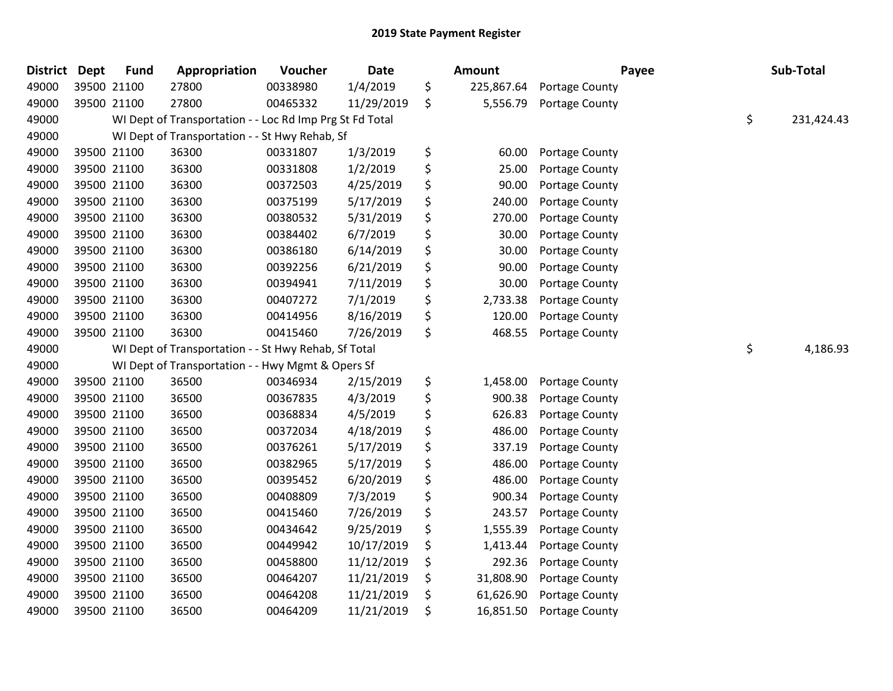| <b>District</b> | <b>Dept</b> | <b>Fund</b> | Appropriation                                            | Voucher  | Date       | <b>Amount</b>    |                       | Payee | Sub-Total        |
|-----------------|-------------|-------------|----------------------------------------------------------|----------|------------|------------------|-----------------------|-------|------------------|
| 49000           |             | 39500 21100 | 27800                                                    | 00338980 | 1/4/2019   | \$<br>225,867.64 | <b>Portage County</b> |       |                  |
| 49000           |             | 39500 21100 | 27800                                                    | 00465332 | 11/29/2019 | \$<br>5,556.79   | Portage County        |       |                  |
| 49000           |             |             | WI Dept of Transportation - - Loc Rd Imp Prg St Fd Total |          |            |                  |                       |       | \$<br>231,424.43 |
| 49000           |             |             | WI Dept of Transportation - - St Hwy Rehab, Sf           |          |            |                  |                       |       |                  |
| 49000           |             | 39500 21100 | 36300                                                    | 00331807 | 1/3/2019   | \$<br>60.00      | Portage County        |       |                  |
| 49000           |             | 39500 21100 | 36300                                                    | 00331808 | 1/2/2019   | \$<br>25.00      | Portage County        |       |                  |
| 49000           |             | 39500 21100 | 36300                                                    | 00372503 | 4/25/2019  | \$<br>90.00      | Portage County        |       |                  |
| 49000           |             | 39500 21100 | 36300                                                    | 00375199 | 5/17/2019  | \$<br>240.00     | Portage County        |       |                  |
| 49000           |             | 39500 21100 | 36300                                                    | 00380532 | 5/31/2019  | \$<br>270.00     | <b>Portage County</b> |       |                  |
| 49000           |             | 39500 21100 | 36300                                                    | 00384402 | 6/7/2019   | \$<br>30.00      | Portage County        |       |                  |
| 49000           |             | 39500 21100 | 36300                                                    | 00386180 | 6/14/2019  | \$<br>30.00      | Portage County        |       |                  |
| 49000           |             | 39500 21100 | 36300                                                    | 00392256 | 6/21/2019  | \$<br>90.00      | Portage County        |       |                  |
| 49000           |             | 39500 21100 | 36300                                                    | 00394941 | 7/11/2019  | \$<br>30.00      | Portage County        |       |                  |
| 49000           |             | 39500 21100 | 36300                                                    | 00407272 | 7/1/2019   | \$<br>2,733.38   | Portage County        |       |                  |
| 49000           |             | 39500 21100 | 36300                                                    | 00414956 | 8/16/2019  | \$<br>120.00     | Portage County        |       |                  |
| 49000           |             | 39500 21100 | 36300                                                    | 00415460 | 7/26/2019  | \$<br>468.55     | Portage County        |       |                  |
| 49000           |             |             | WI Dept of Transportation - - St Hwy Rehab, Sf Total     |          |            |                  |                       |       | \$<br>4,186.93   |
| 49000           |             |             | WI Dept of Transportation - - Hwy Mgmt & Opers Sf        |          |            |                  |                       |       |                  |
| 49000           |             | 39500 21100 | 36500                                                    | 00346934 | 2/15/2019  | \$<br>1,458.00   | Portage County        |       |                  |
| 49000           |             | 39500 21100 | 36500                                                    | 00367835 | 4/3/2019   | \$<br>900.38     | Portage County        |       |                  |
| 49000           |             | 39500 21100 | 36500                                                    | 00368834 | 4/5/2019   | \$<br>626.83     | Portage County        |       |                  |
| 49000           |             | 39500 21100 | 36500                                                    | 00372034 | 4/18/2019  | \$<br>486.00     | Portage County        |       |                  |
| 49000           |             | 39500 21100 | 36500                                                    | 00376261 | 5/17/2019  | \$<br>337.19     | Portage County        |       |                  |
| 49000           |             | 39500 21100 | 36500                                                    | 00382965 | 5/17/2019  | \$<br>486.00     | <b>Portage County</b> |       |                  |
| 49000           |             | 39500 21100 | 36500                                                    | 00395452 | 6/20/2019  | \$<br>486.00     | Portage County        |       |                  |
| 49000           |             | 39500 21100 | 36500                                                    | 00408809 | 7/3/2019   | \$<br>900.34     | <b>Portage County</b> |       |                  |
| 49000           |             | 39500 21100 | 36500                                                    | 00415460 | 7/26/2019  | \$<br>243.57     | Portage County        |       |                  |
| 49000           |             | 39500 21100 | 36500                                                    | 00434642 | 9/25/2019  | \$<br>1,555.39   | Portage County        |       |                  |
| 49000           |             | 39500 21100 | 36500                                                    | 00449942 | 10/17/2019 | \$<br>1,413.44   | Portage County        |       |                  |
| 49000           |             | 39500 21100 | 36500                                                    | 00458800 | 11/12/2019 | \$<br>292.36     | Portage County        |       |                  |
| 49000           |             | 39500 21100 | 36500                                                    | 00464207 | 11/21/2019 | \$<br>31,808.90  | Portage County        |       |                  |
| 49000           |             | 39500 21100 | 36500                                                    | 00464208 | 11/21/2019 | \$<br>61,626.90  | Portage County        |       |                  |
| 49000           |             | 39500 21100 | 36500                                                    | 00464209 | 11/21/2019 | \$<br>16,851.50  | Portage County        |       |                  |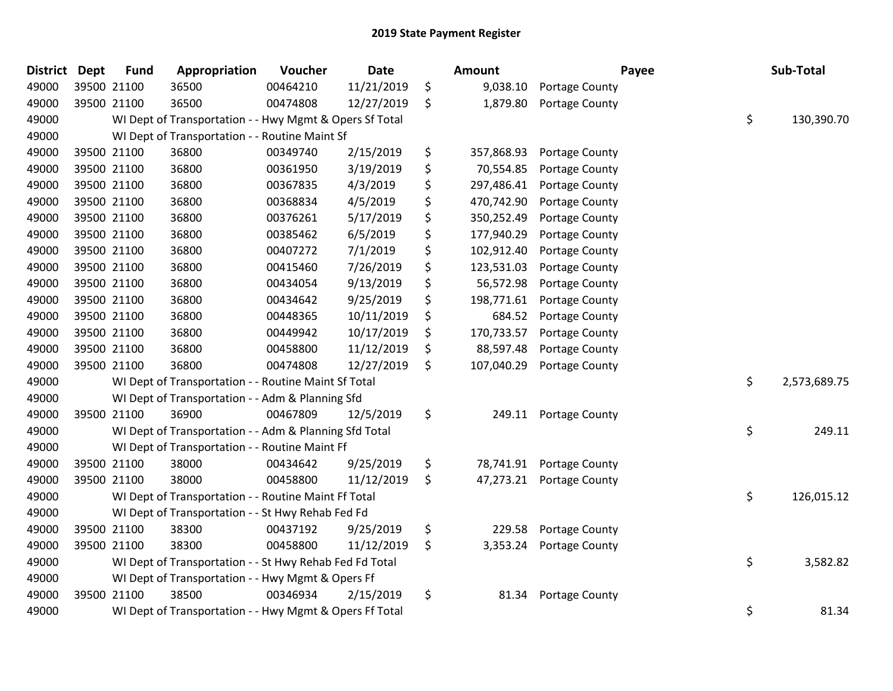| <b>District</b> | <b>Dept</b> | <b>Fund</b> | Appropriation                                           | Voucher  | <b>Date</b> | <b>Amount</b>    | Payee                    | Sub-Total          |
|-----------------|-------------|-------------|---------------------------------------------------------|----------|-------------|------------------|--------------------------|--------------------|
| 49000           | 39500 21100 |             | 36500                                                   | 00464210 | 11/21/2019  | \$<br>9,038.10   | Portage County           |                    |
| 49000           | 39500 21100 |             | 36500                                                   | 00474808 | 12/27/2019  | \$<br>1,879.80   | Portage County           |                    |
| 49000           |             |             | WI Dept of Transportation - - Hwy Mgmt & Opers Sf Total |          |             |                  |                          | \$<br>130,390.70   |
| 49000           |             |             | WI Dept of Transportation - - Routine Maint Sf          |          |             |                  |                          |                    |
| 49000           | 39500 21100 |             | 36800                                                   | 00349740 | 2/15/2019   | \$<br>357,868.93 | Portage County           |                    |
| 49000           | 39500 21100 |             | 36800                                                   | 00361950 | 3/19/2019   | \$<br>70,554.85  | Portage County           |                    |
| 49000           | 39500 21100 |             | 36800                                                   | 00367835 | 4/3/2019    | \$<br>297,486.41 | Portage County           |                    |
| 49000           | 39500 21100 |             | 36800                                                   | 00368834 | 4/5/2019    | \$<br>470,742.90 | Portage County           |                    |
| 49000           | 39500 21100 |             | 36800                                                   | 00376261 | 5/17/2019   | \$<br>350,252.49 | Portage County           |                    |
| 49000           | 39500 21100 |             | 36800                                                   | 00385462 | 6/5/2019    | \$<br>177,940.29 | Portage County           |                    |
| 49000           |             | 39500 21100 | 36800                                                   | 00407272 | 7/1/2019    | \$<br>102,912.40 | Portage County           |                    |
| 49000           | 39500 21100 |             | 36800                                                   | 00415460 | 7/26/2019   | \$<br>123,531.03 | Portage County           |                    |
| 49000           | 39500 21100 |             | 36800                                                   | 00434054 | 9/13/2019   | \$<br>56,572.98  | Portage County           |                    |
| 49000           | 39500 21100 |             | 36800                                                   | 00434642 | 9/25/2019   | \$<br>198,771.61 | Portage County           |                    |
| 49000           | 39500 21100 |             | 36800                                                   | 00448365 | 10/11/2019  | \$<br>684.52     | Portage County           |                    |
| 49000           | 39500 21100 |             | 36800                                                   | 00449942 | 10/17/2019  | \$<br>170,733.57 | Portage County           |                    |
| 49000           | 39500 21100 |             | 36800                                                   | 00458800 | 11/12/2019  | \$<br>88,597.48  | Portage County           |                    |
| 49000           | 39500 21100 |             | 36800                                                   | 00474808 | 12/27/2019  | \$<br>107,040.29 | Portage County           |                    |
| 49000           |             |             | WI Dept of Transportation - - Routine Maint Sf Total    |          |             |                  |                          | \$<br>2,573,689.75 |
| 49000           |             |             | WI Dept of Transportation - - Adm & Planning Sfd        |          |             |                  |                          |                    |
| 49000           | 39500 21100 |             | 36900                                                   | 00467809 | 12/5/2019   | \$               | 249.11 Portage County    |                    |
| 49000           |             |             | WI Dept of Transportation - - Adm & Planning Sfd Total  |          |             |                  |                          | \$<br>249.11       |
| 49000           |             |             | WI Dept of Transportation - - Routine Maint Ff          |          |             |                  |                          |                    |
| 49000           |             | 39500 21100 | 38000                                                   | 00434642 | 9/25/2019   | \$               | 78,741.91 Portage County |                    |
| 49000           | 39500 21100 |             | 38000                                                   | 00458800 | 11/12/2019  | \$               | 47,273.21 Portage County |                    |
| 49000           |             |             | WI Dept of Transportation - - Routine Maint Ff Total    |          |             |                  |                          | \$<br>126,015.12   |
| 49000           |             |             | WI Dept of Transportation - - St Hwy Rehab Fed Fd       |          |             |                  |                          |                    |
| 49000           |             | 39500 21100 | 38300                                                   | 00437192 | 9/25/2019   | \$<br>229.58     | Portage County           |                    |
| 49000           | 39500 21100 |             | 38300                                                   | 00458800 | 11/12/2019  | \$<br>3,353.24   | Portage County           |                    |
| 49000           |             |             | WI Dept of Transportation - - St Hwy Rehab Fed Fd Total |          |             |                  |                          | \$<br>3,582.82     |
| 49000           |             |             | WI Dept of Transportation - - Hwy Mgmt & Opers Ff       |          |             |                  |                          |                    |
| 49000           | 39500 21100 |             | 38500                                                   | 00346934 | 2/15/2019   | \$<br>81.34      | Portage County           |                    |
| 49000           |             |             | WI Dept of Transportation - - Hwy Mgmt & Opers Ff Total |          |             |                  |                          | \$<br>81.34        |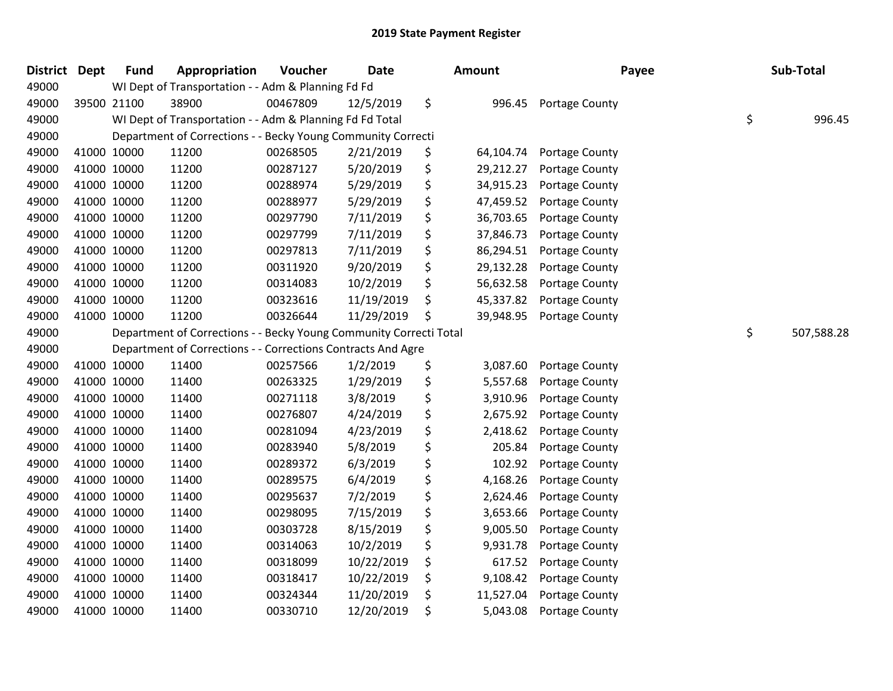| <b>District</b> | <b>Dept</b> | <b>Fund</b> | Appropriation                                                      | Voucher  | <b>Date</b> | Amount          | Payee                 | Sub-Total        |
|-----------------|-------------|-------------|--------------------------------------------------------------------|----------|-------------|-----------------|-----------------------|------------------|
| 49000           |             |             | WI Dept of Transportation - - Adm & Planning Fd Fd                 |          |             |                 |                       |                  |
| 49000           |             | 39500 21100 | 38900                                                              | 00467809 | 12/5/2019   | \$<br>996.45    | Portage County        |                  |
| 49000           |             |             | WI Dept of Transportation - - Adm & Planning Fd Fd Total           |          |             |                 |                       | \$<br>996.45     |
| 49000           |             |             | Department of Corrections - - Becky Young Community Correcti       |          |             |                 |                       |                  |
| 49000           |             | 41000 10000 | 11200                                                              | 00268505 | 2/21/2019   | \$<br>64,104.74 | <b>Portage County</b> |                  |
| 49000           |             | 41000 10000 | 11200                                                              | 00287127 | 5/20/2019   | \$<br>29,212.27 | <b>Portage County</b> |                  |
| 49000           |             | 41000 10000 | 11200                                                              | 00288974 | 5/29/2019   | \$<br>34,915.23 | Portage County        |                  |
| 49000           |             | 41000 10000 | 11200                                                              | 00288977 | 5/29/2019   | \$<br>47,459.52 | Portage County        |                  |
| 49000           |             | 41000 10000 | 11200                                                              | 00297790 | 7/11/2019   | \$<br>36,703.65 | Portage County        |                  |
| 49000           |             | 41000 10000 | 11200                                                              | 00297799 | 7/11/2019   | \$<br>37,846.73 | <b>Portage County</b> |                  |
| 49000           |             | 41000 10000 | 11200                                                              | 00297813 | 7/11/2019   | \$<br>86,294.51 | Portage County        |                  |
| 49000           |             | 41000 10000 | 11200                                                              | 00311920 | 9/20/2019   | \$<br>29,132.28 | Portage County        |                  |
| 49000           |             | 41000 10000 | 11200                                                              | 00314083 | 10/2/2019   | \$<br>56,632.58 | Portage County        |                  |
| 49000           |             | 41000 10000 | 11200                                                              | 00323616 | 11/19/2019  | \$<br>45,337.82 | Portage County        |                  |
| 49000           |             | 41000 10000 | 11200                                                              | 00326644 | 11/29/2019  | \$<br>39,948.95 | Portage County        |                  |
| 49000           |             |             | Department of Corrections - - Becky Young Community Correcti Total |          |             |                 |                       | \$<br>507,588.28 |
| 49000           |             |             | Department of Corrections - - Corrections Contracts And Agre       |          |             |                 |                       |                  |
| 49000           |             | 41000 10000 | 11400                                                              | 00257566 | 1/2/2019    | \$<br>3,087.60  | Portage County        |                  |
| 49000           |             | 41000 10000 | 11400                                                              | 00263325 | 1/29/2019   | \$<br>5,557.68  | Portage County        |                  |
| 49000           |             | 41000 10000 | 11400                                                              | 00271118 | 3/8/2019    | \$<br>3,910.96  | Portage County        |                  |
| 49000           |             | 41000 10000 | 11400                                                              | 00276807 | 4/24/2019   | \$<br>2,675.92  | Portage County        |                  |
| 49000           |             | 41000 10000 | 11400                                                              | 00281094 | 4/23/2019   | \$<br>2,418.62  | Portage County        |                  |
| 49000           |             | 41000 10000 | 11400                                                              | 00283940 | 5/8/2019    | \$<br>205.84    | Portage County        |                  |
| 49000           |             | 41000 10000 | 11400                                                              | 00289372 | 6/3/2019    | \$<br>102.92    | Portage County        |                  |
| 49000           |             | 41000 10000 | 11400                                                              | 00289575 | 6/4/2019    | \$<br>4,168.26  | Portage County        |                  |
| 49000           |             | 41000 10000 | 11400                                                              | 00295637 | 7/2/2019    | \$<br>2,624.46  | <b>Portage County</b> |                  |
| 49000           |             | 41000 10000 | 11400                                                              | 00298095 | 7/15/2019   | \$<br>3,653.66  | <b>Portage County</b> |                  |
| 49000           |             | 41000 10000 | 11400                                                              | 00303728 | 8/15/2019   | \$<br>9,005.50  | Portage County        |                  |
| 49000           |             | 41000 10000 | 11400                                                              | 00314063 | 10/2/2019   | \$<br>9,931.78  | Portage County        |                  |
| 49000           |             | 41000 10000 | 11400                                                              | 00318099 | 10/22/2019  | \$<br>617.52    | Portage County        |                  |
| 49000           |             | 41000 10000 | 11400                                                              | 00318417 | 10/22/2019  | \$<br>9,108.42  | Portage County        |                  |
| 49000           |             | 41000 10000 | 11400                                                              | 00324344 | 11/20/2019  | \$<br>11,527.04 | Portage County        |                  |
| 49000           |             | 41000 10000 | 11400                                                              | 00330710 | 12/20/2019  | \$<br>5,043.08  | Portage County        |                  |
|                 |             |             |                                                                    |          |             |                 |                       |                  |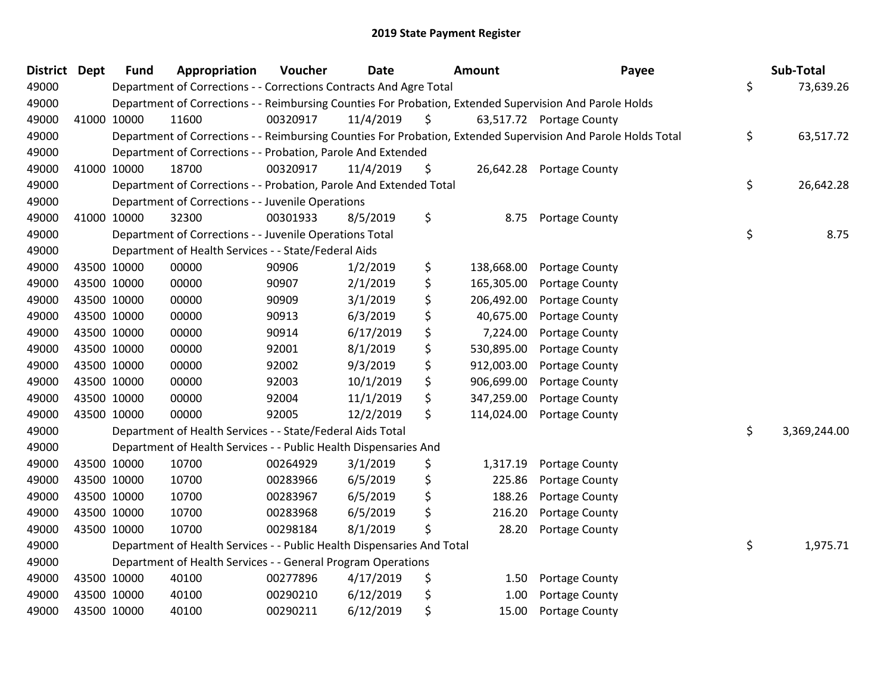| District Dept |             | <b>Fund</b> | Appropriation                                                          | Voucher  | <b>Date</b> | Amount           | Payee                                                                                                         | Sub-Total          |
|---------------|-------------|-------------|------------------------------------------------------------------------|----------|-------------|------------------|---------------------------------------------------------------------------------------------------------------|--------------------|
| 49000         |             |             | Department of Corrections - - Corrections Contracts And Agre Total     |          |             |                  |                                                                                                               | \$<br>73,639.26    |
| 49000         |             |             |                                                                        |          |             |                  | Department of Corrections - - Reimbursing Counties For Probation, Extended Supervision And Parole Holds       |                    |
| 49000         | 41000 10000 |             | 11600                                                                  | 00320917 | 11/4/2019   | \$               | 63,517.72 Portage County                                                                                      |                    |
| 49000         |             |             |                                                                        |          |             |                  | Department of Corrections - - Reimbursing Counties For Probation, Extended Supervision And Parole Holds Total | \$<br>63,517.72    |
| 49000         |             |             | Department of Corrections - - Probation, Parole And Extended           |          |             |                  |                                                                                                               |                    |
| 49000         | 41000 10000 |             | 18700                                                                  | 00320917 | 11/4/2019   | \$<br>26,642.28  | Portage County                                                                                                |                    |
| 49000         |             |             | Department of Corrections - - Probation, Parole And Extended Total     |          |             |                  |                                                                                                               | \$<br>26,642.28    |
| 49000         |             |             | Department of Corrections - - Juvenile Operations                      |          |             |                  |                                                                                                               |                    |
| 49000         | 41000 10000 |             | 32300                                                                  | 00301933 | 8/5/2019    | \$<br>8.75       | Portage County                                                                                                |                    |
| 49000         |             |             | Department of Corrections - - Juvenile Operations Total                |          |             |                  |                                                                                                               | \$<br>8.75         |
| 49000         |             |             | Department of Health Services - - State/Federal Aids                   |          |             |                  |                                                                                                               |                    |
| 49000         | 43500 10000 |             | 00000                                                                  | 90906    | 1/2/2019    | \$<br>138,668.00 | Portage County                                                                                                |                    |
| 49000         | 43500 10000 |             | 00000                                                                  | 90907    | 2/1/2019    | \$<br>165,305.00 | Portage County                                                                                                |                    |
| 49000         | 43500 10000 |             | 00000                                                                  | 90909    | 3/1/2019    | \$<br>206,492.00 | Portage County                                                                                                |                    |
| 49000         | 43500 10000 |             | 00000                                                                  | 90913    | 6/3/2019    | \$<br>40,675.00  | Portage County                                                                                                |                    |
| 49000         | 43500 10000 |             | 00000                                                                  | 90914    | 6/17/2019   | \$<br>7,224.00   | Portage County                                                                                                |                    |
| 49000         | 43500 10000 |             | 00000                                                                  | 92001    | 8/1/2019    | \$<br>530,895.00 | Portage County                                                                                                |                    |
| 49000         | 43500 10000 |             | 00000                                                                  | 92002    | 9/3/2019    | \$<br>912,003.00 | Portage County                                                                                                |                    |
| 49000         | 43500 10000 |             | 00000                                                                  | 92003    | 10/1/2019   | \$<br>906,699.00 | Portage County                                                                                                |                    |
| 49000         | 43500 10000 |             | 00000                                                                  | 92004    | 11/1/2019   | \$<br>347,259.00 | Portage County                                                                                                |                    |
| 49000         | 43500 10000 |             | 00000                                                                  | 92005    | 12/2/2019   | \$<br>114,024.00 | Portage County                                                                                                |                    |
| 49000         |             |             | Department of Health Services - - State/Federal Aids Total             |          |             |                  |                                                                                                               | \$<br>3,369,244.00 |
| 49000         |             |             | Department of Health Services - - Public Health Dispensaries And       |          |             |                  |                                                                                                               |                    |
| 49000         | 43500 10000 |             | 10700                                                                  | 00264929 | 3/1/2019    | \$<br>1,317.19   | Portage County                                                                                                |                    |
| 49000         | 43500 10000 |             | 10700                                                                  | 00283966 | 6/5/2019    | \$<br>225.86     | Portage County                                                                                                |                    |
| 49000         | 43500 10000 |             | 10700                                                                  | 00283967 | 6/5/2019    | \$<br>188.26     | Portage County                                                                                                |                    |
| 49000         | 43500 10000 |             | 10700                                                                  | 00283968 | 6/5/2019    | \$<br>216.20     | Portage County                                                                                                |                    |
| 49000         | 43500 10000 |             | 10700                                                                  | 00298184 | 8/1/2019    | \$<br>28.20      | Portage County                                                                                                |                    |
| 49000         |             |             | Department of Health Services - - Public Health Dispensaries And Total |          |             |                  |                                                                                                               | \$<br>1,975.71     |
| 49000         |             |             | Department of Health Services - - General Program Operations           |          |             |                  |                                                                                                               |                    |
| 49000         | 43500 10000 |             | 40100                                                                  | 00277896 | 4/17/2019   | \$<br>1.50       | Portage County                                                                                                |                    |
| 49000         | 43500 10000 |             | 40100                                                                  | 00290210 | 6/12/2019   | \$<br>1.00       | Portage County                                                                                                |                    |
| 49000         | 43500 10000 |             | 40100                                                                  | 00290211 | 6/12/2019   | \$<br>15.00      | Portage County                                                                                                |                    |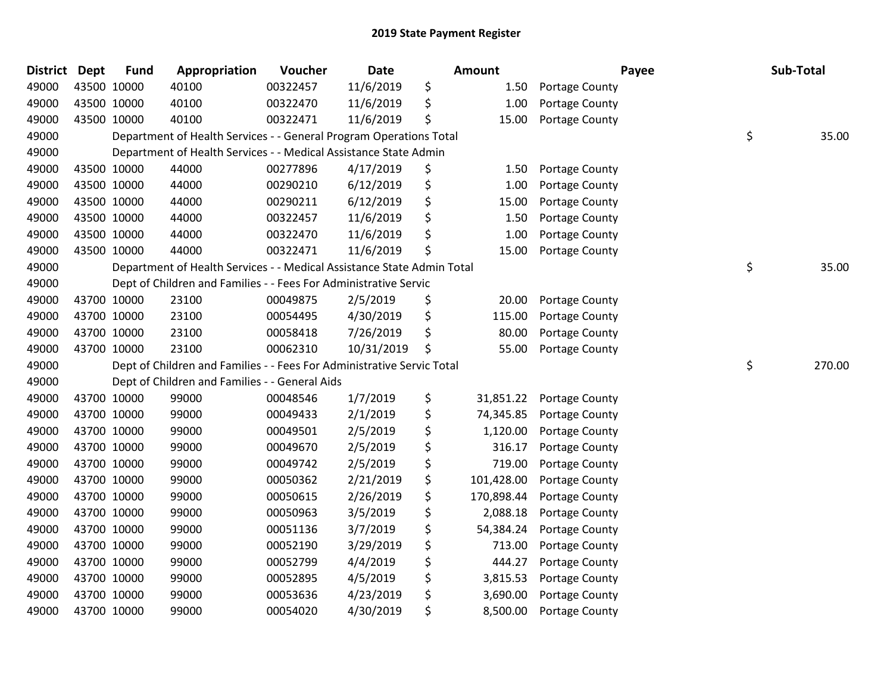| District Dept | <b>Fund</b> | Appropriation                                                          | Voucher  | <b>Date</b> | <b>Amount</b>    | Payee                 | Sub-Total    |
|---------------|-------------|------------------------------------------------------------------------|----------|-------------|------------------|-----------------------|--------------|
| 49000         | 43500 10000 | 40100                                                                  | 00322457 | 11/6/2019   | \$<br>1.50       | Portage County        |              |
| 49000         | 43500 10000 | 40100                                                                  | 00322470 | 11/6/2019   | \$<br>1.00       | Portage County        |              |
| 49000         | 43500 10000 | 40100                                                                  | 00322471 | 11/6/2019   | \$<br>15.00      | Portage County        |              |
| 49000         |             | Department of Health Services - - General Program Operations Total     |          |             |                  |                       | \$<br>35.00  |
| 49000         |             | Department of Health Services - - Medical Assistance State Admin       |          |             |                  |                       |              |
| 49000         | 43500 10000 | 44000                                                                  | 00277896 | 4/17/2019   | \$<br>1.50       | <b>Portage County</b> |              |
| 49000         | 43500 10000 | 44000                                                                  | 00290210 | 6/12/2019   | \$<br>1.00       | Portage County        |              |
| 49000         | 43500 10000 | 44000                                                                  | 00290211 | 6/12/2019   | \$<br>15.00      | Portage County        |              |
| 49000         | 43500 10000 | 44000                                                                  | 00322457 | 11/6/2019   | \$<br>1.50       | Portage County        |              |
| 49000         | 43500 10000 | 44000                                                                  | 00322470 | 11/6/2019   | \$<br>1.00       | Portage County        |              |
| 49000         | 43500 10000 | 44000                                                                  | 00322471 | 11/6/2019   | \$<br>15.00      | Portage County        |              |
| 49000         |             | Department of Health Services - - Medical Assistance State Admin Total |          |             |                  |                       | \$<br>35.00  |
| 49000         |             | Dept of Children and Families - - Fees For Administrative Servic       |          |             |                  |                       |              |
| 49000         | 43700 10000 | 23100                                                                  | 00049875 | 2/5/2019    | \$<br>20.00      | Portage County        |              |
| 49000         | 43700 10000 | 23100                                                                  | 00054495 | 4/30/2019   | \$<br>115.00     | Portage County        |              |
| 49000         | 43700 10000 | 23100                                                                  | 00058418 | 7/26/2019   | \$<br>80.00      | Portage County        |              |
| 49000         | 43700 10000 | 23100                                                                  | 00062310 | 10/31/2019  | \$<br>55.00      | Portage County        |              |
| 49000         |             | Dept of Children and Families - - Fees For Administrative Servic Total |          |             |                  |                       | \$<br>270.00 |
| 49000         |             | Dept of Children and Families - - General Aids                         |          |             |                  |                       |              |
| 49000         | 43700 10000 | 99000                                                                  | 00048546 | 1/7/2019    | \$<br>31,851.22  | Portage County        |              |
| 49000         | 43700 10000 | 99000                                                                  | 00049433 | 2/1/2019    | \$<br>74,345.85  | Portage County        |              |
| 49000         | 43700 10000 | 99000                                                                  | 00049501 | 2/5/2019    | \$<br>1,120.00   | Portage County        |              |
| 49000         | 43700 10000 | 99000                                                                  | 00049670 | 2/5/2019    | \$<br>316.17     | Portage County        |              |
| 49000         | 43700 10000 | 99000                                                                  | 00049742 | 2/5/2019    | \$<br>719.00     | Portage County        |              |
| 49000         | 43700 10000 | 99000                                                                  | 00050362 | 2/21/2019   | \$<br>101,428.00 | Portage County        |              |
| 49000         | 43700 10000 | 99000                                                                  | 00050615 | 2/26/2019   | \$<br>170,898.44 | Portage County        |              |
| 49000         | 43700 10000 | 99000                                                                  | 00050963 | 3/5/2019    | \$<br>2,088.18   | Portage County        |              |
| 49000         | 43700 10000 | 99000                                                                  | 00051136 | 3/7/2019    | \$<br>54,384.24  | Portage County        |              |
| 49000         | 43700 10000 | 99000                                                                  | 00052190 | 3/29/2019   | \$<br>713.00     | Portage County        |              |
| 49000         | 43700 10000 | 99000                                                                  | 00052799 | 4/4/2019    | \$<br>444.27     | Portage County        |              |
| 49000         | 43700 10000 | 99000                                                                  | 00052895 | 4/5/2019    | \$<br>3,815.53   | Portage County        |              |
| 49000         | 43700 10000 | 99000                                                                  | 00053636 | 4/23/2019   | \$<br>3,690.00   | Portage County        |              |
| 49000         | 43700 10000 | 99000                                                                  | 00054020 | 4/30/2019   | \$<br>8,500.00   | Portage County        |              |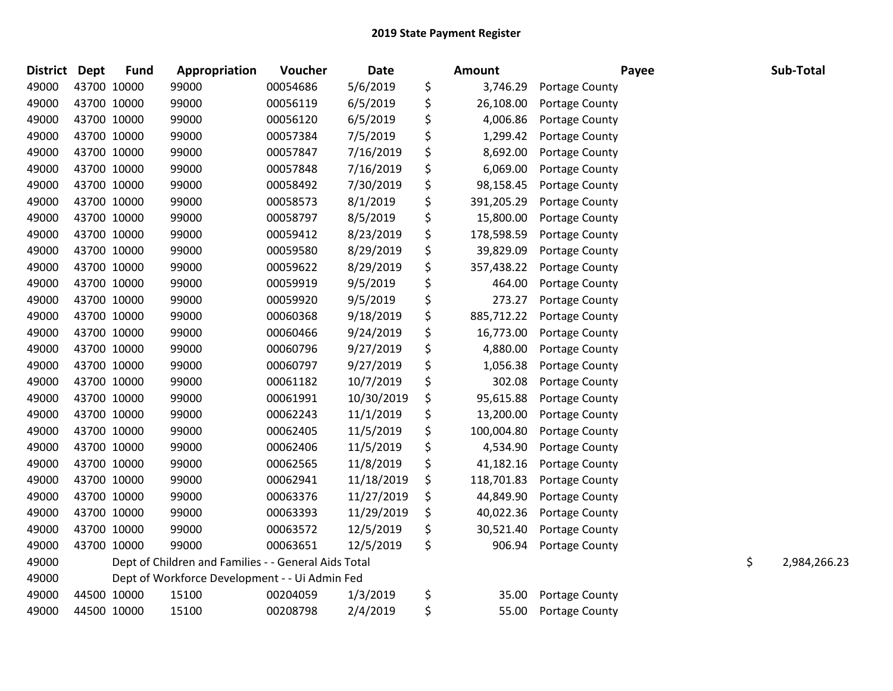| <b>District</b> | <b>Dept</b> | <b>Fund</b> | Appropriation                                        | Voucher  | <b>Date</b> | Amount           |                       | Payee | Sub-Total          |
|-----------------|-------------|-------------|------------------------------------------------------|----------|-------------|------------------|-----------------------|-------|--------------------|
| 49000           | 43700 10000 |             | 99000                                                | 00054686 | 5/6/2019    | \$<br>3,746.29   | Portage County        |       |                    |
| 49000           | 43700 10000 |             | 99000                                                | 00056119 | 6/5/2019    | \$<br>26,108.00  | Portage County        |       |                    |
| 49000           | 43700 10000 |             | 99000                                                | 00056120 | 6/5/2019    | \$<br>4,006.86   | Portage County        |       |                    |
| 49000           | 43700 10000 |             | 99000                                                | 00057384 | 7/5/2019    | \$<br>1,299.42   | Portage County        |       |                    |
| 49000           | 43700 10000 |             | 99000                                                | 00057847 | 7/16/2019   | \$<br>8,692.00   | Portage County        |       |                    |
| 49000           | 43700 10000 |             | 99000                                                | 00057848 | 7/16/2019   | \$<br>6,069.00   | Portage County        |       |                    |
| 49000           | 43700 10000 |             | 99000                                                | 00058492 | 7/30/2019   | \$<br>98,158.45  | Portage County        |       |                    |
| 49000           | 43700 10000 |             | 99000                                                | 00058573 | 8/1/2019    | \$<br>391,205.29 | Portage County        |       |                    |
| 49000           | 43700 10000 |             | 99000                                                | 00058797 | 8/5/2019    | \$<br>15,800.00  | Portage County        |       |                    |
| 49000           | 43700 10000 |             | 99000                                                | 00059412 | 8/23/2019   | \$<br>178,598.59 | <b>Portage County</b> |       |                    |
| 49000           | 43700 10000 |             | 99000                                                | 00059580 | 8/29/2019   | \$<br>39,829.09  | Portage County        |       |                    |
| 49000           | 43700 10000 |             | 99000                                                | 00059622 | 8/29/2019   | \$<br>357,438.22 | Portage County        |       |                    |
| 49000           | 43700 10000 |             | 99000                                                | 00059919 | 9/5/2019    | \$<br>464.00     | Portage County        |       |                    |
| 49000           | 43700 10000 |             | 99000                                                | 00059920 | 9/5/2019    | \$<br>273.27     | Portage County        |       |                    |
| 49000           | 43700 10000 |             | 99000                                                | 00060368 | 9/18/2019   | \$<br>885,712.22 | <b>Portage County</b> |       |                    |
| 49000           | 43700 10000 |             | 99000                                                | 00060466 | 9/24/2019   | \$<br>16,773.00  | <b>Portage County</b> |       |                    |
| 49000           | 43700 10000 |             | 99000                                                | 00060796 | 9/27/2019   | \$<br>4,880.00   | Portage County        |       |                    |
| 49000           | 43700 10000 |             | 99000                                                | 00060797 | 9/27/2019   | \$<br>1,056.38   | Portage County        |       |                    |
| 49000           | 43700 10000 |             | 99000                                                | 00061182 | 10/7/2019   | \$<br>302.08     | Portage County        |       |                    |
| 49000           | 43700 10000 |             | 99000                                                | 00061991 | 10/30/2019  | \$<br>95,615.88  | Portage County        |       |                    |
| 49000           | 43700 10000 |             | 99000                                                | 00062243 | 11/1/2019   | \$<br>13,200.00  | Portage County        |       |                    |
| 49000           | 43700 10000 |             | 99000                                                | 00062405 | 11/5/2019   | \$<br>100,004.80 | Portage County        |       |                    |
| 49000           | 43700 10000 |             | 99000                                                | 00062406 | 11/5/2019   | \$<br>4,534.90   | Portage County        |       |                    |
| 49000           | 43700 10000 |             | 99000                                                | 00062565 | 11/8/2019   | \$<br>41,182.16  | Portage County        |       |                    |
| 49000           | 43700 10000 |             | 99000                                                | 00062941 | 11/18/2019  | \$<br>118,701.83 | Portage County        |       |                    |
| 49000           | 43700 10000 |             | 99000                                                | 00063376 | 11/27/2019  | \$<br>44,849.90  | Portage County        |       |                    |
| 49000           | 43700 10000 |             | 99000                                                | 00063393 | 11/29/2019  | \$<br>40,022.36  | Portage County        |       |                    |
| 49000           | 43700 10000 |             | 99000                                                | 00063572 | 12/5/2019   | \$<br>30,521.40  | Portage County        |       |                    |
| 49000           | 43700 10000 |             | 99000                                                | 00063651 | 12/5/2019   | \$<br>906.94     | Portage County        |       |                    |
| 49000           |             |             | Dept of Children and Families - - General Aids Total |          |             |                  |                       |       | \$<br>2,984,266.23 |
| 49000           |             |             | Dept of Workforce Development - - Ui Admin Fed       |          |             |                  |                       |       |                    |
| 49000           | 44500 10000 |             | 15100                                                | 00204059 | 1/3/2019    | \$<br>35.00      | Portage County        |       |                    |
| 49000           | 44500 10000 |             | 15100                                                | 00208798 | 2/4/2019    | \$<br>55.00      | Portage County        |       |                    |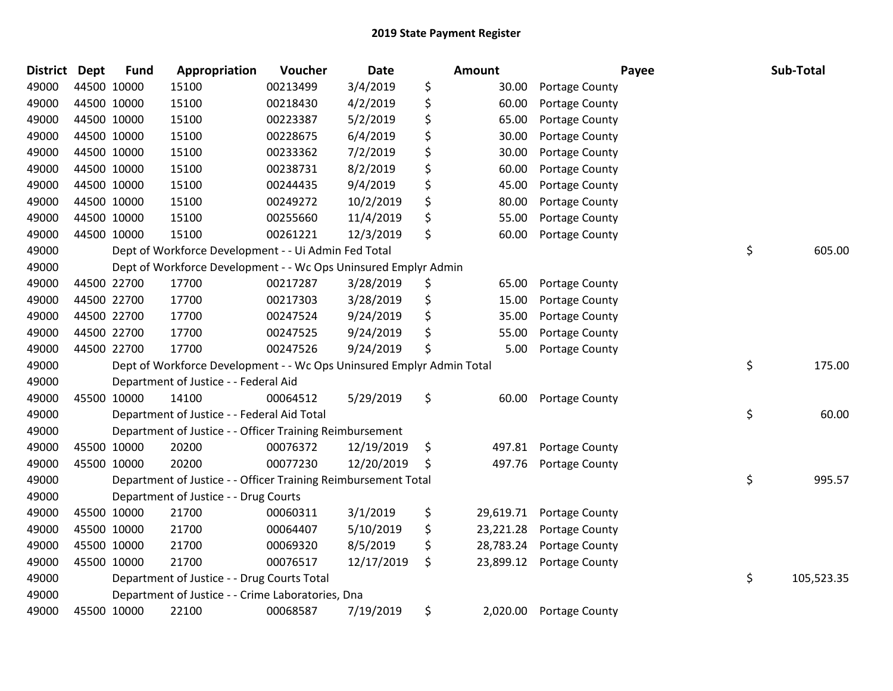| <b>District</b> | <b>Dept</b> | <b>Fund</b> | Appropriation                                                         | Voucher  | <b>Date</b> |    | Amount    | Payee          | Sub-Total        |
|-----------------|-------------|-------------|-----------------------------------------------------------------------|----------|-------------|----|-----------|----------------|------------------|
| 49000           |             | 44500 10000 | 15100                                                                 | 00213499 | 3/4/2019    | \$ | 30.00     | Portage County |                  |
| 49000           |             | 44500 10000 | 15100                                                                 | 00218430 | 4/2/2019    | \$ | 60.00     | Portage County |                  |
| 49000           | 44500 10000 |             | 15100                                                                 | 00223387 | 5/2/2019    | \$ | 65.00     | Portage County |                  |
| 49000           |             | 44500 10000 | 15100                                                                 | 00228675 | 6/4/2019    | \$ | 30.00     | Portage County |                  |
| 49000           |             | 44500 10000 | 15100                                                                 | 00233362 | 7/2/2019    | \$ | 30.00     | Portage County |                  |
| 49000           |             | 44500 10000 | 15100                                                                 | 00238731 | 8/2/2019    | \$ | 60.00     | Portage County |                  |
| 49000           |             | 44500 10000 | 15100                                                                 | 00244435 | 9/4/2019    | \$ | 45.00     | Portage County |                  |
| 49000           |             | 44500 10000 | 15100                                                                 | 00249272 | 10/2/2019   | \$ | 80.00     | Portage County |                  |
| 49000           |             | 44500 10000 | 15100                                                                 | 00255660 | 11/4/2019   | \$ | 55.00     | Portage County |                  |
| 49000           |             | 44500 10000 | 15100                                                                 | 00261221 | 12/3/2019   | \$ | 60.00     | Portage County |                  |
| 49000           |             |             | Dept of Workforce Development - - Ui Admin Fed Total                  |          |             |    |           |                | \$<br>605.00     |
| 49000           |             |             | Dept of Workforce Development - - Wc Ops Uninsured Emplyr Admin       |          |             |    |           |                |                  |
| 49000           |             | 44500 22700 | 17700                                                                 | 00217287 | 3/28/2019   | \$ | 65.00     | Portage County |                  |
| 49000           |             | 44500 22700 | 17700                                                                 | 00217303 | 3/28/2019   | \$ | 15.00     | Portage County |                  |
| 49000           |             | 44500 22700 | 17700                                                                 | 00247524 | 9/24/2019   | \$ | 35.00     | Portage County |                  |
| 49000           |             | 44500 22700 | 17700                                                                 | 00247525 | 9/24/2019   | \$ | 55.00     | Portage County |                  |
| 49000           |             | 44500 22700 | 17700                                                                 | 00247526 | 9/24/2019   | \$ | 5.00      | Portage County |                  |
| 49000           |             |             | Dept of Workforce Development - - Wc Ops Uninsured Emplyr Admin Total |          |             |    |           |                | \$<br>175.00     |
| 49000           |             |             | Department of Justice - - Federal Aid                                 |          |             |    |           |                |                  |
| 49000           |             | 45500 10000 | 14100                                                                 | 00064512 | 5/29/2019   | \$ | 60.00     | Portage County |                  |
| 49000           |             |             | Department of Justice - - Federal Aid Total                           |          |             |    |           |                | \$<br>60.00      |
| 49000           |             |             | Department of Justice - - Officer Training Reimbursement              |          |             |    |           |                |                  |
| 49000           |             | 45500 10000 | 20200                                                                 | 00076372 | 12/19/2019  | \$ | 497.81    | Portage County |                  |
| 49000           |             | 45500 10000 | 20200                                                                 | 00077230 | 12/20/2019  | S  | 497.76    | Portage County |                  |
| 49000           |             |             | Department of Justice - - Officer Training Reimbursement Total        |          |             |    |           |                | \$<br>995.57     |
| 49000           |             |             | Department of Justice - - Drug Courts                                 |          |             |    |           |                |                  |
| 49000           |             | 45500 10000 | 21700                                                                 | 00060311 | 3/1/2019    | \$ | 29,619.71 | Portage County |                  |
| 49000           |             | 45500 10000 | 21700                                                                 | 00064407 | 5/10/2019   | \$ | 23,221.28 | Portage County |                  |
| 49000           |             | 45500 10000 | 21700                                                                 | 00069320 | 8/5/2019    | \$ | 28,783.24 | Portage County |                  |
| 49000           |             | 45500 10000 | 21700                                                                 | 00076517 | 12/17/2019  | \$ | 23,899.12 | Portage County |                  |
| 49000           |             |             | Department of Justice - - Drug Courts Total                           |          |             |    |           |                | \$<br>105,523.35 |
| 49000           |             |             | Department of Justice - - Crime Laboratories, Dna                     |          |             |    |           |                |                  |
| 49000           |             | 45500 10000 | 22100                                                                 | 00068587 | 7/19/2019   | \$ | 2,020.00  | Portage County |                  |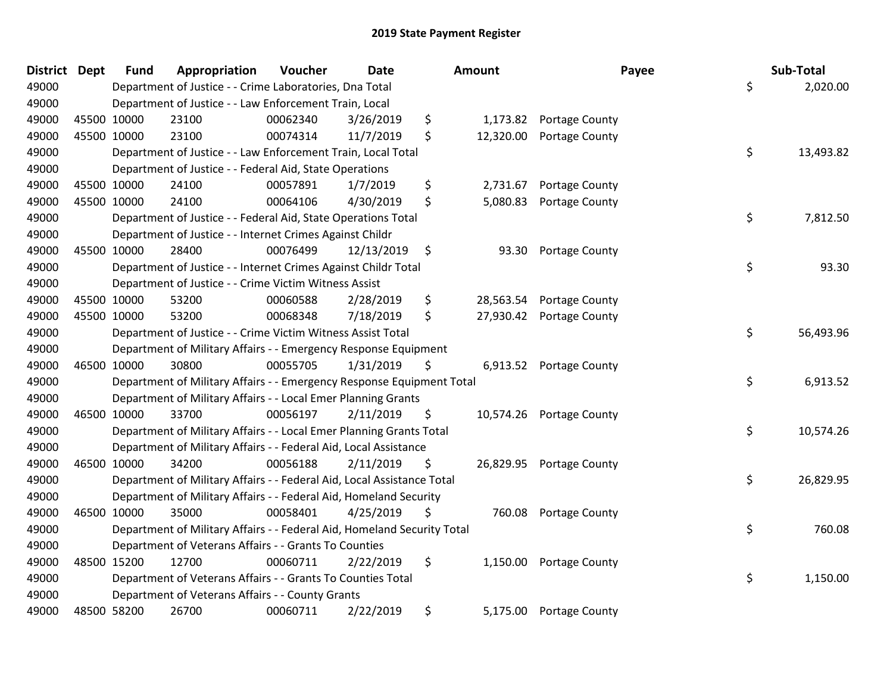| <b>District</b> | <b>Dept</b> | <b>Fund</b> | Appropriation                                                           | Voucher  | <b>Date</b> | Amount          | Payee                    | Sub-Total       |
|-----------------|-------------|-------------|-------------------------------------------------------------------------|----------|-------------|-----------------|--------------------------|-----------------|
| 49000           |             |             | Department of Justice - - Crime Laboratories, Dna Total                 |          |             |                 |                          | \$<br>2,020.00  |
| 49000           |             |             | Department of Justice - - Law Enforcement Train, Local                  |          |             |                 |                          |                 |
| 49000           | 45500 10000 |             | 23100                                                                   | 00062340 | 3/26/2019   | \$              | 1,173.82 Portage County  |                 |
| 49000           | 45500 10000 |             | 23100                                                                   | 00074314 | 11/7/2019   | \$<br>12,320.00 | Portage County           |                 |
| 49000           |             |             | Department of Justice - - Law Enforcement Train, Local Total            |          |             |                 |                          | \$<br>13,493.82 |
| 49000           |             |             | Department of Justice - - Federal Aid, State Operations                 |          |             |                 |                          |                 |
| 49000           | 45500 10000 |             | 24100                                                                   | 00057891 | 1/7/2019    | \$<br>2,731.67  | Portage County           |                 |
| 49000           | 45500 10000 |             | 24100                                                                   | 00064106 | 4/30/2019   | \$<br>5,080.83  | Portage County           |                 |
| 49000           |             |             | Department of Justice - - Federal Aid, State Operations Total           |          |             |                 |                          | \$<br>7,812.50  |
| 49000           |             |             | Department of Justice - - Internet Crimes Against Childr                |          |             |                 |                          |                 |
| 49000           | 45500 10000 |             | 28400                                                                   | 00076499 | 12/13/2019  | \$<br>93.30     | Portage County           |                 |
| 49000           |             |             | Department of Justice - - Internet Crimes Against Childr Total          |          |             |                 |                          | \$<br>93.30     |
| 49000           |             |             | Department of Justice - - Crime Victim Witness Assist                   |          |             |                 |                          |                 |
| 49000           | 45500 10000 |             | 53200                                                                   | 00060588 | 2/28/2019   | \$<br>28,563.54 | Portage County           |                 |
| 49000           | 45500 10000 |             | 53200                                                                   | 00068348 | 7/18/2019   | \$<br>27,930.42 | Portage County           |                 |
| 49000           |             |             | Department of Justice - - Crime Victim Witness Assist Total             |          |             |                 |                          | \$<br>56,493.96 |
| 49000           |             |             | Department of Military Affairs - - Emergency Response Equipment         |          |             |                 |                          |                 |
| 49000           | 46500 10000 |             | 30800                                                                   | 00055705 | 1/31/2019   | \$              | 6,913.52 Portage County  |                 |
| 49000           |             |             | Department of Military Affairs - - Emergency Response Equipment Total   |          |             |                 |                          | \$<br>6,913.52  |
| 49000           |             |             | Department of Military Affairs - - Local Emer Planning Grants           |          |             |                 |                          |                 |
| 49000           | 46500 10000 |             | 33700                                                                   | 00056197 | 2/11/2019   | \$              | 10,574.26 Portage County |                 |
| 49000           |             |             | Department of Military Affairs - - Local Emer Planning Grants Total     |          |             |                 |                          | \$<br>10,574.26 |
| 49000           |             |             | Department of Military Affairs - - Federal Aid, Local Assistance        |          |             |                 |                          |                 |
| 49000           |             | 46500 10000 | 34200                                                                   | 00056188 | 2/11/2019   | \$              | 26,829.95 Portage County |                 |
| 49000           |             |             | Department of Military Affairs - - Federal Aid, Local Assistance Total  |          |             |                 |                          | \$<br>26,829.95 |
| 49000           |             |             | Department of Military Affairs - - Federal Aid, Homeland Security       |          |             |                 |                          |                 |
| 49000           | 46500 10000 |             | 35000                                                                   | 00058401 | 4/25/2019   | \$              | 760.08 Portage County    |                 |
| 49000           |             |             | Department of Military Affairs - - Federal Aid, Homeland Security Total |          |             |                 |                          | \$<br>760.08    |
| 49000           |             |             | Department of Veterans Affairs - - Grants To Counties                   |          |             |                 |                          |                 |
| 49000           | 48500 15200 |             | 12700                                                                   | 00060711 | 2/22/2019   | \$              | 1,150.00 Portage County  |                 |
| 49000           |             |             | Department of Veterans Affairs - - Grants To Counties Total             |          |             |                 |                          | \$<br>1,150.00  |
| 49000           |             |             | Department of Veterans Affairs - - County Grants                        |          |             |                 |                          |                 |
| 49000           | 48500 58200 |             | 26700                                                                   | 00060711 | 2/22/2019   | \$<br>5,175.00  | Portage County           |                 |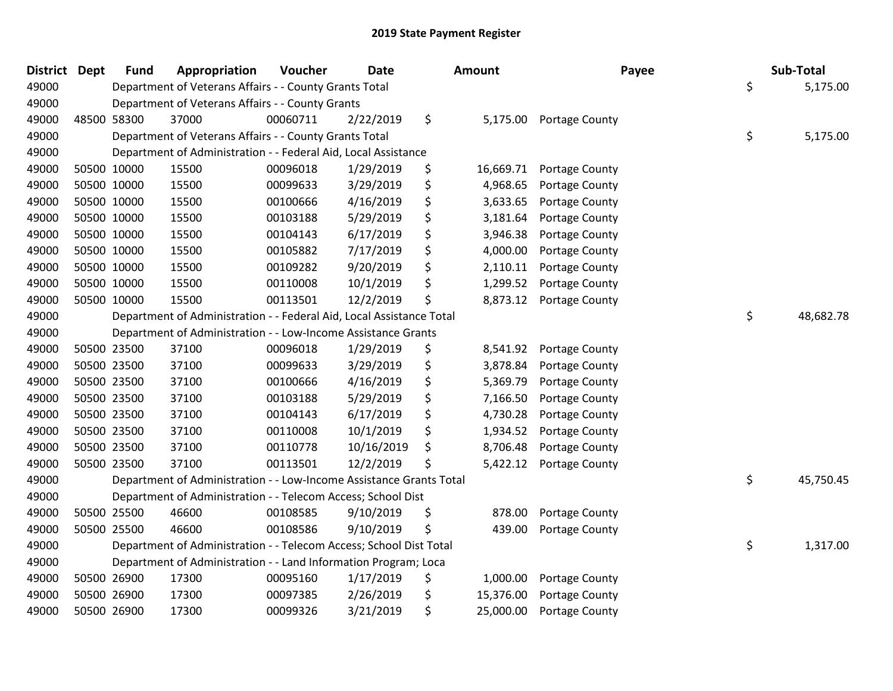| <b>District Dept</b> | <b>Fund</b> | Appropriation                                                        | Voucher  | <b>Date</b> | Amount          | Payee                 | Sub-Total       |
|----------------------|-------------|----------------------------------------------------------------------|----------|-------------|-----------------|-----------------------|-----------------|
| 49000                |             | Department of Veterans Affairs - - County Grants Total               |          |             |                 |                       | \$<br>5,175.00  |
| 49000                |             | Department of Veterans Affairs - - County Grants                     |          |             |                 |                       |                 |
| 49000                | 48500 58300 | 37000                                                                | 00060711 | 2/22/2019   | \$<br>5,175.00  | Portage County        |                 |
| 49000                |             | Department of Veterans Affairs - - County Grants Total               |          |             |                 |                       | \$<br>5,175.00  |
| 49000                |             | Department of Administration - - Federal Aid, Local Assistance       |          |             |                 |                       |                 |
| 49000                | 50500 10000 | 15500                                                                | 00096018 | 1/29/2019   | \$<br>16,669.71 | <b>Portage County</b> |                 |
| 49000                | 50500 10000 | 15500                                                                | 00099633 | 3/29/2019   | \$<br>4,968.65  | Portage County        |                 |
| 49000                | 50500 10000 | 15500                                                                | 00100666 | 4/16/2019   | \$<br>3,633.65  | Portage County        |                 |
| 49000                | 50500 10000 | 15500                                                                | 00103188 | 5/29/2019   | \$<br>3,181.64  | Portage County        |                 |
| 49000                | 50500 10000 | 15500                                                                | 00104143 | 6/17/2019   | \$<br>3,946.38  | Portage County        |                 |
| 49000                | 50500 10000 | 15500                                                                | 00105882 | 7/17/2019   | \$<br>4,000.00  | Portage County        |                 |
| 49000                | 50500 10000 | 15500                                                                | 00109282 | 9/20/2019   | \$<br>2,110.11  | Portage County        |                 |
| 49000                | 50500 10000 | 15500                                                                | 00110008 | 10/1/2019   | \$<br>1,299.52  | Portage County        |                 |
| 49000                | 50500 10000 | 15500                                                                | 00113501 | 12/2/2019   | \$<br>8,873.12  | Portage County        |                 |
| 49000                |             | Department of Administration - - Federal Aid, Local Assistance Total |          |             |                 |                       | \$<br>48,682.78 |
| 49000                |             | Department of Administration - - Low-Income Assistance Grants        |          |             |                 |                       |                 |
| 49000                | 50500 23500 | 37100                                                                | 00096018 | 1/29/2019   | \$<br>8,541.92  | Portage County        |                 |
| 49000                | 50500 23500 | 37100                                                                | 00099633 | 3/29/2019   | \$<br>3,878.84  | Portage County        |                 |
| 49000                | 50500 23500 | 37100                                                                | 00100666 | 4/16/2019   | \$<br>5,369.79  | Portage County        |                 |
| 49000                | 50500 23500 | 37100                                                                | 00103188 | 5/29/2019   | \$<br>7,166.50  | Portage County        |                 |
| 49000                | 50500 23500 | 37100                                                                | 00104143 | 6/17/2019   | \$<br>4,730.28  | Portage County        |                 |
| 49000                | 50500 23500 | 37100                                                                | 00110008 | 10/1/2019   | \$<br>1,934.52  | Portage County        |                 |
| 49000                | 50500 23500 | 37100                                                                | 00110778 | 10/16/2019  | \$<br>8,706.48  | Portage County        |                 |
| 49000                | 50500 23500 | 37100                                                                | 00113501 | 12/2/2019   | \$<br>5,422.12  | Portage County        |                 |
| 49000                |             | Department of Administration - - Low-Income Assistance Grants Total  |          |             |                 |                       | \$<br>45,750.45 |
| 49000                |             | Department of Administration - - Telecom Access; School Dist         |          |             |                 |                       |                 |
| 49000                | 50500 25500 | 46600                                                                | 00108585 | 9/10/2019   | \$<br>878.00    | Portage County        |                 |
| 49000                | 50500 25500 | 46600                                                                | 00108586 | 9/10/2019   | \$<br>439.00    | Portage County        |                 |
| 49000                |             | Department of Administration - - Telecom Access; School Dist Total   |          |             |                 |                       | \$<br>1,317.00  |
| 49000                |             | Department of Administration - - Land Information Program; Loca      |          |             |                 |                       |                 |
| 49000                | 50500 26900 | 17300                                                                | 00095160 | 1/17/2019   | \$<br>1,000.00  | Portage County        |                 |
| 49000                | 50500 26900 | 17300                                                                | 00097385 | 2/26/2019   | \$<br>15,376.00 | Portage County        |                 |
| 49000                | 50500 26900 | 17300                                                                | 00099326 | 3/21/2019   | \$<br>25,000.00 | Portage County        |                 |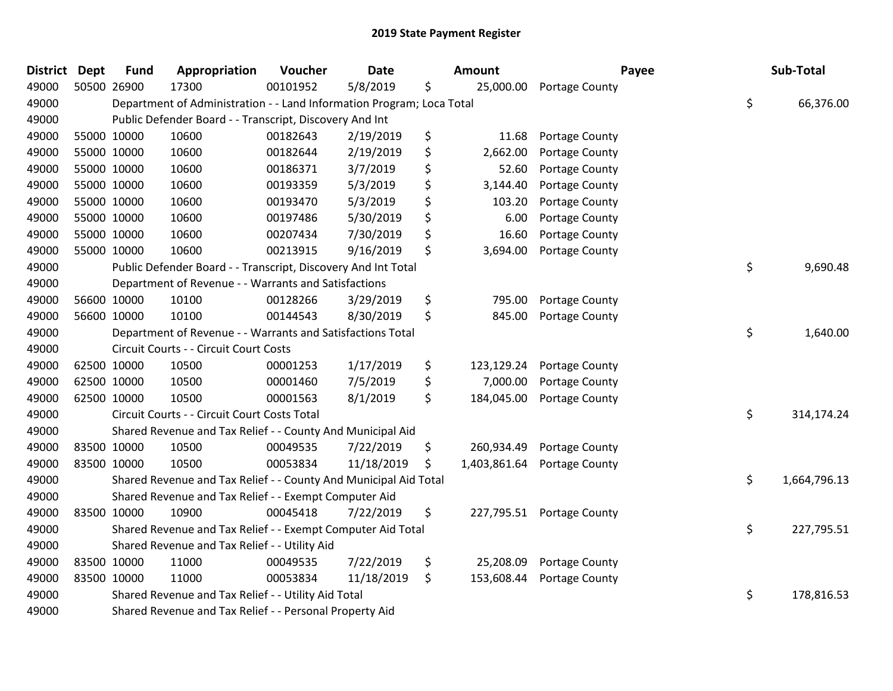| <b>District</b> | <b>Dept</b> | <b>Fund</b> | Appropriation                                                         | Voucher  | <b>Date</b> | Amount             | Payee                     | Sub-Total          |
|-----------------|-------------|-------------|-----------------------------------------------------------------------|----------|-------------|--------------------|---------------------------|--------------------|
| 49000           |             | 50500 26900 | 17300                                                                 | 00101952 | 5/8/2019    | \$<br>25,000.00    | Portage County            |                    |
| 49000           |             |             | Department of Administration - - Land Information Program; Loca Total |          |             |                    |                           | \$<br>66,376.00    |
| 49000           |             |             | Public Defender Board - - Transcript, Discovery And Int               |          |             |                    |                           |                    |
| 49000           |             | 55000 10000 | 10600                                                                 | 00182643 | 2/19/2019   | \$<br>11.68        | Portage County            |                    |
| 49000           |             | 55000 10000 | 10600                                                                 | 00182644 | 2/19/2019   | \$<br>2,662.00     | Portage County            |                    |
| 49000           |             | 55000 10000 | 10600                                                                 | 00186371 | 3/7/2019    | \$<br>52.60        | Portage County            |                    |
| 49000           |             | 55000 10000 | 10600                                                                 | 00193359 | 5/3/2019    | \$<br>3,144.40     | Portage County            |                    |
| 49000           |             | 55000 10000 | 10600                                                                 | 00193470 | 5/3/2019    | \$<br>103.20       | Portage County            |                    |
| 49000           |             | 55000 10000 | 10600                                                                 | 00197486 | 5/30/2019   | \$<br>6.00         | Portage County            |                    |
| 49000           |             | 55000 10000 | 10600                                                                 | 00207434 | 7/30/2019   | \$<br>16.60        | Portage County            |                    |
| 49000           |             | 55000 10000 | 10600                                                                 | 00213915 | 9/16/2019   | \$<br>3,694.00     | Portage County            |                    |
| 49000           |             |             | Public Defender Board - - Transcript, Discovery And Int Total         |          |             |                    |                           | \$<br>9,690.48     |
| 49000           |             |             | Department of Revenue - - Warrants and Satisfactions                  |          |             |                    |                           |                    |
| 49000           |             | 56600 10000 | 10100                                                                 | 00128266 | 3/29/2019   | \$<br>795.00       | Portage County            |                    |
| 49000           |             | 56600 10000 | 10100                                                                 | 00144543 | 8/30/2019   | \$<br>845.00       | Portage County            |                    |
| 49000           |             |             | Department of Revenue - - Warrants and Satisfactions Total            |          |             |                    |                           | \$<br>1,640.00     |
| 49000           |             |             | Circuit Courts - - Circuit Court Costs                                |          |             |                    |                           |                    |
| 49000           |             | 62500 10000 | 10500                                                                 | 00001253 | 1/17/2019   | \$<br>123,129.24   | Portage County            |                    |
| 49000           |             | 62500 10000 | 10500                                                                 | 00001460 | 7/5/2019    | \$<br>7,000.00     | Portage County            |                    |
| 49000           |             | 62500 10000 | 10500                                                                 | 00001563 | 8/1/2019    | \$<br>184,045.00   | Portage County            |                    |
| 49000           |             |             | Circuit Courts - - Circuit Court Costs Total                          |          |             |                    |                           | \$<br>314,174.24   |
| 49000           |             |             | Shared Revenue and Tax Relief - - County And Municipal Aid            |          |             |                    |                           |                    |
| 49000           |             | 83500 10000 | 10500                                                                 | 00049535 | 7/22/2019   | \$<br>260,934.49   | Portage County            |                    |
| 49000           |             | 83500 10000 | 10500                                                                 | 00053834 | 11/18/2019  | \$<br>1,403,861.64 | Portage County            |                    |
| 49000           |             |             | Shared Revenue and Tax Relief - - County And Municipal Aid Total      |          |             |                    |                           | \$<br>1,664,796.13 |
| 49000           |             |             | Shared Revenue and Tax Relief - - Exempt Computer Aid                 |          |             |                    |                           |                    |
| 49000           |             | 83500 10000 | 10900                                                                 | 00045418 | 7/22/2019   | \$                 | 227,795.51 Portage County |                    |
| 49000           |             |             | Shared Revenue and Tax Relief - - Exempt Computer Aid Total           |          |             |                    |                           | \$<br>227,795.51   |
| 49000           |             |             | Shared Revenue and Tax Relief - - Utility Aid                         |          |             |                    |                           |                    |
| 49000           |             | 83500 10000 | 11000                                                                 | 00049535 | 7/22/2019   | \$<br>25,208.09    | Portage County            |                    |
| 49000           |             | 83500 10000 | 11000                                                                 | 00053834 | 11/18/2019  | \$<br>153,608.44   | Portage County            |                    |
| 49000           |             |             | Shared Revenue and Tax Relief - - Utility Aid Total                   |          |             |                    |                           | \$<br>178,816.53   |
| 49000           |             |             | Shared Revenue and Tax Relief - - Personal Property Aid               |          |             |                    |                           |                    |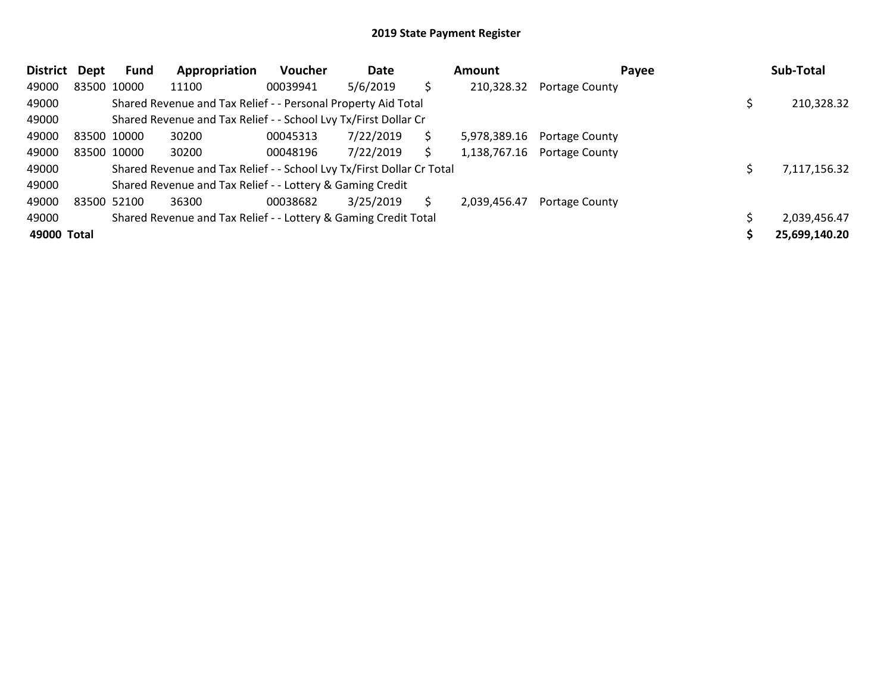| <b>District</b> | Dept | Fund        | Appropriation                                                         | Voucher  | Date      |    | <b>Amount</b> | Payee                       | Sub-Total     |
|-----------------|------|-------------|-----------------------------------------------------------------------|----------|-----------|----|---------------|-----------------------------|---------------|
| 49000           |      | 83500 10000 | 11100                                                                 | 00039941 | 5/6/2019  | \$ | 210,328.32    | <b>Portage County</b>       |               |
| 49000           |      |             | Shared Revenue and Tax Relief - - Personal Property Aid Total         |          |           |    |               |                             | 210,328.32    |
| 49000           |      |             | Shared Revenue and Tax Relief - - School Lvy Tx/First Dollar Cr       |          |           |    |               |                             |               |
| 49000           |      | 83500 10000 | 30200                                                                 | 00045313 | 7/22/2019 | S. | 5,978,389.16  | <b>Portage County</b>       |               |
| 49000           |      | 83500 10000 | 30200                                                                 | 00048196 | 7/22/2019 | S. |               | 1,138,767.16 Portage County |               |
| 49000           |      |             | Shared Revenue and Tax Relief - - School Lvy Tx/First Dollar Cr Total |          |           |    |               |                             | 7,117,156.32  |
| 49000           |      |             | Shared Revenue and Tax Relief - - Lottery & Gaming Credit             |          |           |    |               |                             |               |
| 49000           |      | 83500 52100 | 36300                                                                 | 00038682 | 3/25/2019 | S. | 2,039,456.47  | <b>Portage County</b>       |               |
| 49000           |      |             | Shared Revenue and Tax Relief - - Lottery & Gaming Credit Total       |          |           |    |               |                             | 2,039,456.47  |
| 49000 Total     |      |             |                                                                       |          |           |    |               |                             | 25,699,140.20 |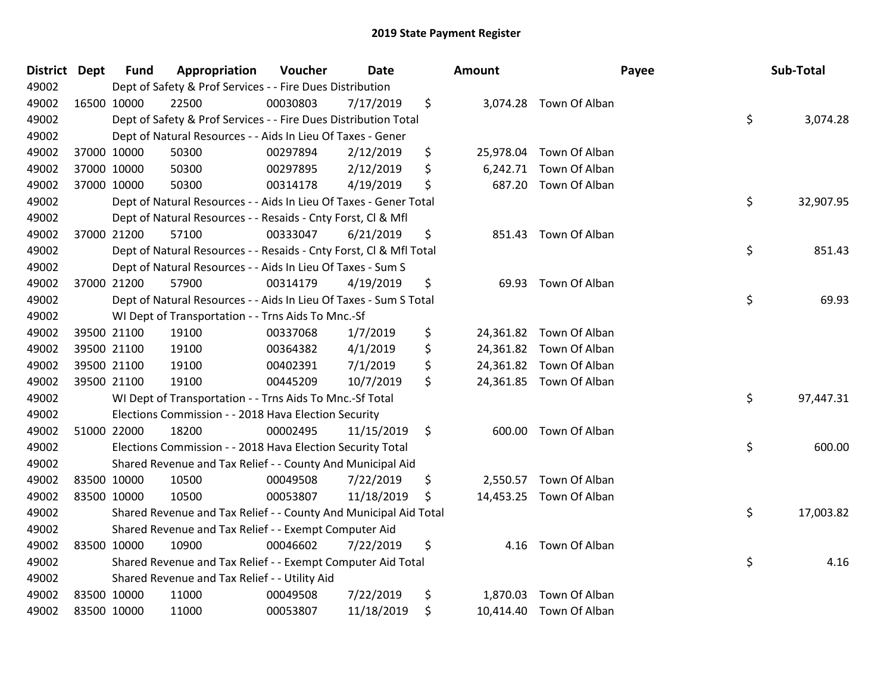| District Dept | <b>Fund</b> | Appropriation                                                      | Voucher  | <b>Date</b> | Amount          |                         | Payee | Sub-Total |
|---------------|-------------|--------------------------------------------------------------------|----------|-------------|-----------------|-------------------------|-------|-----------|
| 49002         |             | Dept of Safety & Prof Services - - Fire Dues Distribution          |          |             |                 |                         |       |           |
| 49002         | 16500 10000 | 22500                                                              | 00030803 | 7/17/2019   | \$              | 3,074.28 Town Of Alban  |       |           |
| 49002         |             | Dept of Safety & Prof Services - - Fire Dues Distribution Total    |          |             |                 |                         | \$    | 3,074.28  |
| 49002         |             | Dept of Natural Resources - - Aids In Lieu Of Taxes - Gener        |          |             |                 |                         |       |           |
| 49002         | 37000 10000 | 50300                                                              | 00297894 | 2/12/2019   | \$<br>25,978.04 | Town Of Alban           |       |           |
| 49002         | 37000 10000 | 50300                                                              | 00297895 | 2/12/2019   | \$              | 6,242.71 Town Of Alban  |       |           |
| 49002         | 37000 10000 | 50300                                                              | 00314178 | 4/19/2019   | \$<br>687.20    | Town Of Alban           |       |           |
| 49002         |             | Dept of Natural Resources - - Aids In Lieu Of Taxes - Gener Total  |          |             |                 |                         | \$    | 32,907.95 |
| 49002         |             | Dept of Natural Resources - - Resaids - Cnty Forst, Cl & Mfl       |          |             |                 |                         |       |           |
| 49002         | 37000 21200 | 57100                                                              | 00333047 | 6/21/2019   | \$              | 851.43 Town Of Alban    |       |           |
| 49002         |             | Dept of Natural Resources - - Resaids - Cnty Forst, Cl & Mfl Total |          |             |                 |                         | \$    | 851.43    |
| 49002         |             | Dept of Natural Resources - - Aids In Lieu Of Taxes - Sum S        |          |             |                 |                         |       |           |
| 49002         | 37000 21200 | 57900                                                              | 00314179 | 4/19/2019   | \$              | 69.93 Town Of Alban     |       |           |
| 49002         |             | Dept of Natural Resources - - Aids In Lieu Of Taxes - Sum S Total  |          |             |                 |                         | \$    | 69.93     |
| 49002         |             | WI Dept of Transportation - - Trns Aids To Mnc.-Sf                 |          |             |                 |                         |       |           |
| 49002         | 39500 21100 | 19100                                                              | 00337068 | 1/7/2019    | \$              | 24,361.82 Town Of Alban |       |           |
| 49002         | 39500 21100 | 19100                                                              | 00364382 | 4/1/2019    | \$              | 24,361.82 Town Of Alban |       |           |
| 49002         | 39500 21100 | 19100                                                              | 00402391 | 7/1/2019    | \$              | 24,361.82 Town Of Alban |       |           |
| 49002         | 39500 21100 | 19100                                                              | 00445209 | 10/7/2019   | \$              | 24,361.85 Town Of Alban |       |           |
| 49002         |             | WI Dept of Transportation - - Trns Aids To Mnc.-Sf Total           |          |             |                 |                         | \$    | 97,447.31 |
| 49002         |             | Elections Commission - - 2018 Hava Election Security               |          |             |                 |                         |       |           |
| 49002         | 51000 22000 | 18200                                                              | 00002495 | 11/15/2019  | \$              | 600.00 Town Of Alban    |       |           |
| 49002         |             | Elections Commission - - 2018 Hava Election Security Total         |          |             |                 |                         | \$    | 600.00    |
| 49002         |             | Shared Revenue and Tax Relief - - County And Municipal Aid         |          |             |                 |                         |       |           |
| 49002         | 83500 10000 | 10500                                                              | 00049508 | 7/22/2019   | \$              | 2,550.57 Town Of Alban  |       |           |
| 49002         | 83500 10000 | 10500                                                              | 00053807 | 11/18/2019  | \$              | 14,453.25 Town Of Alban |       |           |
| 49002         |             | Shared Revenue and Tax Relief - - County And Municipal Aid Total   |          |             |                 |                         | \$    | 17,003.82 |
| 49002         |             | Shared Revenue and Tax Relief - - Exempt Computer Aid              |          |             |                 |                         |       |           |
| 49002         | 83500 10000 | 10900                                                              | 00046602 | 7/22/2019   | \$              | 4.16 Town Of Alban      |       |           |
| 49002         |             | Shared Revenue and Tax Relief - - Exempt Computer Aid Total        |          |             |                 |                         | \$    | 4.16      |
| 49002         |             | Shared Revenue and Tax Relief - - Utility Aid                      |          |             |                 |                         |       |           |
| 49002         | 83500 10000 | 11000                                                              | 00049508 | 7/22/2019   | \$<br>1,870.03  | Town Of Alban           |       |           |
| 49002         | 83500 10000 | 11000                                                              | 00053807 | 11/18/2019  | \$              | 10,414.40 Town Of Alban |       |           |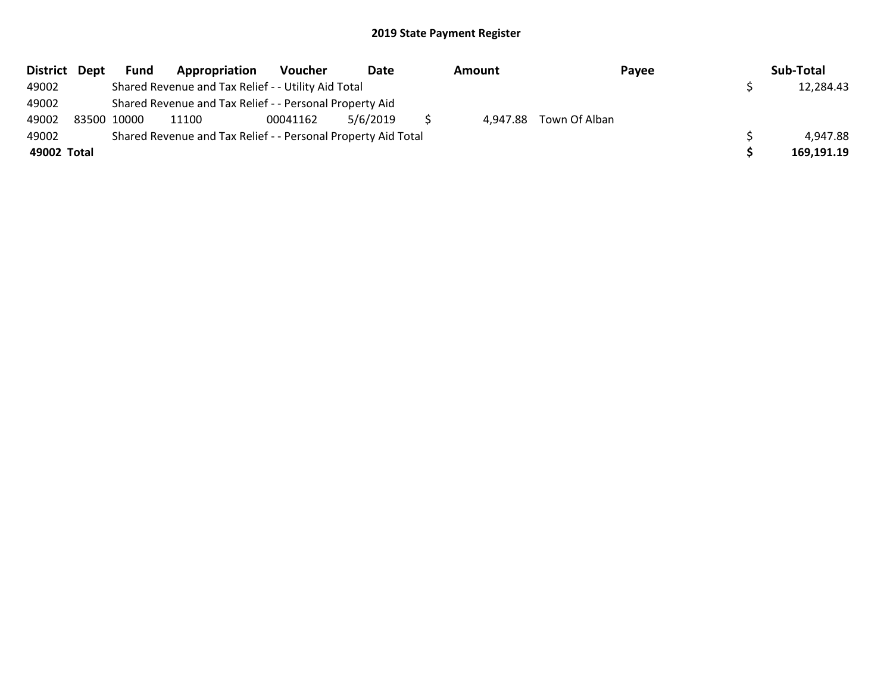|             | District Dept | Fund        | Appropriation                                                 | Voucher  | Date     | <b>Amount</b> |                        | Payee | Sub-Total  |
|-------------|---------------|-------------|---------------------------------------------------------------|----------|----------|---------------|------------------------|-------|------------|
| 49002       |               |             | Shared Revenue and Tax Relief - - Utility Aid Total           |          |          |               |                        |       | 12,284.43  |
| 49002       |               |             | Shared Revenue and Tax Relief - - Personal Property Aid       |          |          |               |                        |       |            |
| 49002       |               | 83500 10000 | 11100                                                         | 00041162 | 5/6/2019 |               | 4,947.88 Town Of Alban |       |            |
| 49002       |               |             | Shared Revenue and Tax Relief - - Personal Property Aid Total |          |          |               |                        |       | 4,947.88   |
| 49002 Total |               |             |                                                               |          |          |               |                        |       | 169,191.19 |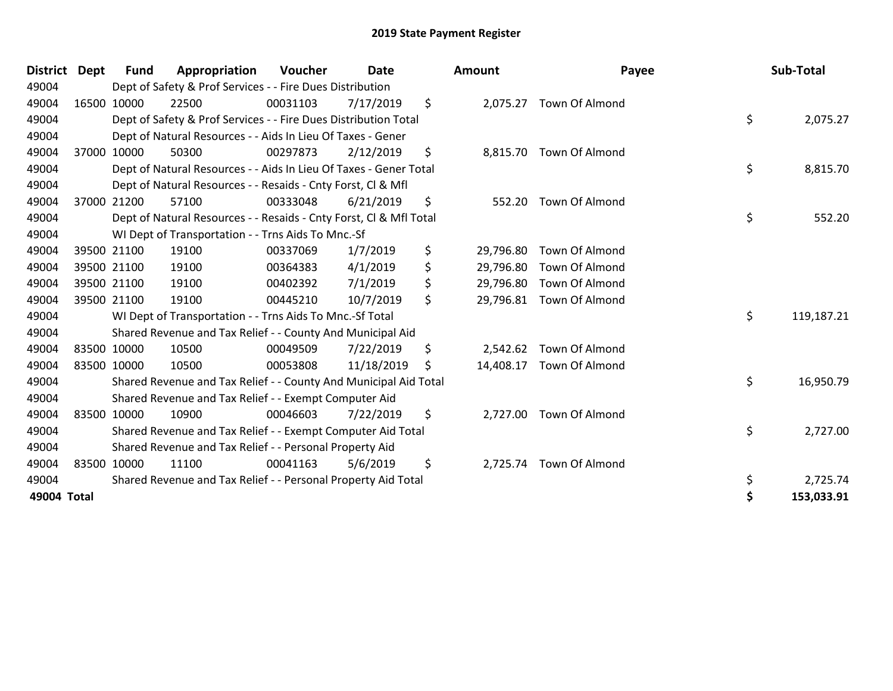| <b>District</b> | <b>Dept</b> | <b>Fund</b> | Appropriation                                                      | Voucher  | Date       | <b>Amount</b>   | Payee                   | Sub-Total        |
|-----------------|-------------|-------------|--------------------------------------------------------------------|----------|------------|-----------------|-------------------------|------------------|
| 49004           |             |             | Dept of Safety & Prof Services - - Fire Dues Distribution          |          |            |                 |                         |                  |
| 49004           |             | 16500 10000 | 22500                                                              | 00031103 | 7/17/2019  | \$              | 2,075.27 Town Of Almond |                  |
| 49004           |             |             | Dept of Safety & Prof Services - - Fire Dues Distribution Total    |          |            |                 |                         | \$<br>2,075.27   |
| 49004           |             |             | Dept of Natural Resources - - Aids In Lieu Of Taxes - Gener        |          |            |                 |                         |                  |
| 49004           |             | 37000 10000 | 50300                                                              | 00297873 | 2/12/2019  | \$              | 8,815.70 Town Of Almond |                  |
| 49004           |             |             | Dept of Natural Resources - - Aids In Lieu Of Taxes - Gener Total  |          |            |                 |                         | \$<br>8,815.70   |
| 49004           |             |             | Dept of Natural Resources - - Resaids - Cnty Forst, CI & Mfl       |          |            |                 |                         |                  |
| 49004           |             | 37000 21200 | 57100                                                              | 00333048 | 6/21/2019  | \$<br>552.20    | Town Of Almond          |                  |
| 49004           |             |             | Dept of Natural Resources - - Resaids - Cnty Forst, CI & Mfl Total |          |            |                 |                         | \$<br>552.20     |
| 49004           |             |             | WI Dept of Transportation - - Trns Aids To Mnc.-Sf                 |          |            |                 |                         |                  |
| 49004           |             | 39500 21100 | 19100                                                              | 00337069 | 1/7/2019   | \$<br>29,796.80 | Town Of Almond          |                  |
| 49004           |             | 39500 21100 | 19100                                                              | 00364383 | 4/1/2019   | \$<br>29,796.80 | Town Of Almond          |                  |
| 49004           |             | 39500 21100 | 19100                                                              | 00402392 | 7/1/2019   | \$<br>29,796.80 | Town Of Almond          |                  |
| 49004           |             | 39500 21100 | 19100                                                              | 00445210 | 10/7/2019  | \$<br>29,796.81 | Town Of Almond          |                  |
| 49004           |             |             | WI Dept of Transportation - - Trns Aids To Mnc.-Sf Total           |          |            |                 |                         | \$<br>119,187.21 |
| 49004           |             |             | Shared Revenue and Tax Relief - - County And Municipal Aid         |          |            |                 |                         |                  |
| 49004           |             | 83500 10000 | 10500                                                              | 00049509 | 7/22/2019  | \$<br>2,542.62  | Town Of Almond          |                  |
| 49004           |             | 83500 10000 | 10500                                                              | 00053808 | 11/18/2019 | \$<br>14,408.17 | Town Of Almond          |                  |
| 49004           |             |             | Shared Revenue and Tax Relief - - County And Municipal Aid Total   |          |            |                 |                         | \$<br>16,950.79  |
| 49004           |             |             | Shared Revenue and Tax Relief - - Exempt Computer Aid              |          |            |                 |                         |                  |
| 49004           |             | 83500 10000 | 10900                                                              | 00046603 | 7/22/2019  | \$<br>2,727.00  | <b>Town Of Almond</b>   |                  |
| 49004           |             |             | Shared Revenue and Tax Relief - - Exempt Computer Aid Total        |          |            |                 |                         | \$<br>2,727.00   |
| 49004           |             |             | Shared Revenue and Tax Relief - - Personal Property Aid            |          |            |                 |                         |                  |
| 49004           |             | 83500 10000 | 11100                                                              | 00041163 | 5/6/2019   | \$<br>2,725.74  | <b>Town Of Almond</b>   |                  |
| 49004           |             |             | Shared Revenue and Tax Relief - - Personal Property Aid Total      |          |            |                 |                         | \$<br>2,725.74   |
| 49004 Total     |             |             |                                                                    |          |            |                 |                         | \$<br>153,033.91 |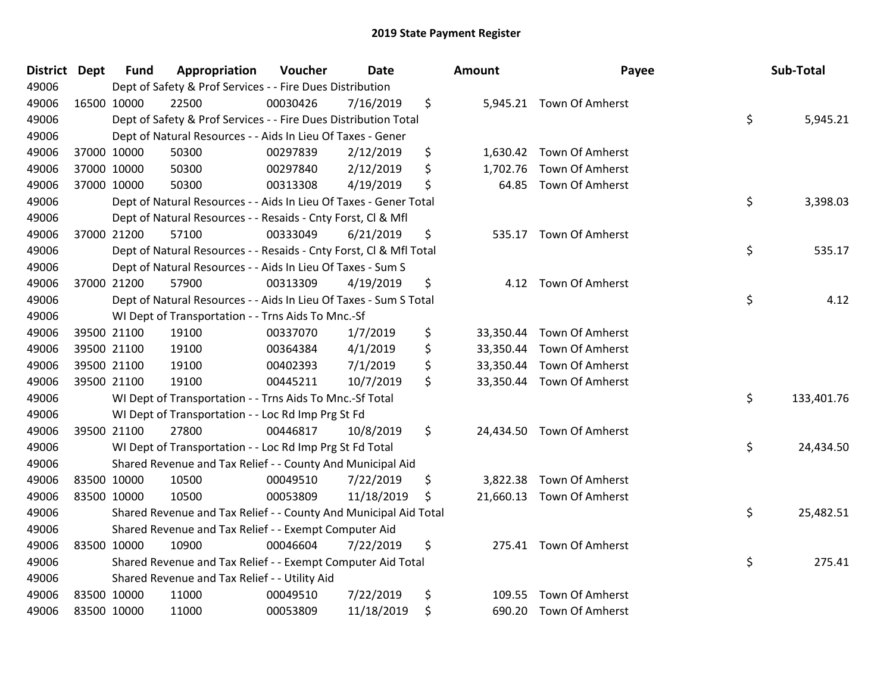| <b>District</b> | <b>Dept</b> | <b>Fund</b> | Appropriation                                                      | Voucher  | <b>Date</b> | Amount          | Payee                     | Sub-Total        |
|-----------------|-------------|-------------|--------------------------------------------------------------------|----------|-------------|-----------------|---------------------------|------------------|
| 49006           |             |             | Dept of Safety & Prof Services - - Fire Dues Distribution          |          |             |                 |                           |                  |
| 49006           |             | 16500 10000 | 22500                                                              | 00030426 | 7/16/2019   | \$              | 5,945.21 Town Of Amherst  |                  |
| 49006           |             |             | Dept of Safety & Prof Services - - Fire Dues Distribution Total    |          |             |                 |                           | \$<br>5,945.21   |
| 49006           |             |             | Dept of Natural Resources - - Aids In Lieu Of Taxes - Gener        |          |             |                 |                           |                  |
| 49006           |             | 37000 10000 | 50300                                                              | 00297839 | 2/12/2019   | \$<br>1,630.42  | Town Of Amherst           |                  |
| 49006           |             | 37000 10000 | 50300                                                              | 00297840 | 2/12/2019   | \$<br>1,702.76  | Town Of Amherst           |                  |
| 49006           |             | 37000 10000 | 50300                                                              | 00313308 | 4/19/2019   | \$<br>64.85     | Town Of Amherst           |                  |
| 49006           |             |             | Dept of Natural Resources - - Aids In Lieu Of Taxes - Gener Total  |          |             |                 |                           | \$<br>3,398.03   |
| 49006           |             |             | Dept of Natural Resources - - Resaids - Cnty Forst, Cl & Mfl       |          |             |                 |                           |                  |
| 49006           |             | 37000 21200 | 57100                                                              | 00333049 | 6/21/2019   | \$              | 535.17 Town Of Amherst    |                  |
| 49006           |             |             | Dept of Natural Resources - - Resaids - Cnty Forst, Cl & Mfl Total |          |             |                 |                           | \$<br>535.17     |
| 49006           |             |             | Dept of Natural Resources - - Aids In Lieu Of Taxes - Sum S        |          |             |                 |                           |                  |
| 49006           |             | 37000 21200 | 57900                                                              | 00313309 | 4/19/2019   | \$<br>4.12      | <b>Town Of Amherst</b>    |                  |
| 49006           |             |             | Dept of Natural Resources - - Aids In Lieu Of Taxes - Sum S Total  |          |             |                 |                           | \$<br>4.12       |
| 49006           |             |             | WI Dept of Transportation - - Trns Aids To Mnc.-Sf                 |          |             |                 |                           |                  |
| 49006           |             | 39500 21100 | 19100                                                              | 00337070 | 1/7/2019    | \$<br>33,350.44 | Town Of Amherst           |                  |
| 49006           |             | 39500 21100 | 19100                                                              | 00364384 | 4/1/2019    | \$<br>33,350.44 | Town Of Amherst           |                  |
| 49006           |             | 39500 21100 | 19100                                                              | 00402393 | 7/1/2019    | \$<br>33,350.44 | Town Of Amherst           |                  |
| 49006           |             | 39500 21100 | 19100                                                              | 00445211 | 10/7/2019   | \$              | 33,350.44 Town Of Amherst |                  |
| 49006           |             |             | WI Dept of Transportation - - Trns Aids To Mnc.-Sf Total           |          |             |                 |                           | \$<br>133,401.76 |
| 49006           |             |             | WI Dept of Transportation - - Loc Rd Imp Prg St Fd                 |          |             |                 |                           |                  |
| 49006           |             | 39500 21100 | 27800                                                              | 00446817 | 10/8/2019   | \$              | 24,434.50 Town Of Amherst |                  |
| 49006           |             |             | WI Dept of Transportation - - Loc Rd Imp Prg St Fd Total           |          |             |                 |                           | \$<br>24,434.50  |
| 49006           |             |             | Shared Revenue and Tax Relief - - County And Municipal Aid         |          |             |                 |                           |                  |
| 49006           |             | 83500 10000 | 10500                                                              | 00049510 | 7/22/2019   | \$<br>3,822.38  | Town Of Amherst           |                  |
| 49006           |             | 83500 10000 | 10500                                                              | 00053809 | 11/18/2019  | \$              | 21,660.13 Town Of Amherst |                  |
| 49006           |             |             | Shared Revenue and Tax Relief - - County And Municipal Aid Total   |          |             |                 |                           | \$<br>25,482.51  |
| 49006           |             |             | Shared Revenue and Tax Relief - - Exempt Computer Aid              |          |             |                 |                           |                  |
| 49006           | 83500 10000 |             | 10900                                                              | 00046604 | 7/22/2019   | \$              | 275.41 Town Of Amherst    |                  |
| 49006           |             |             | Shared Revenue and Tax Relief - - Exempt Computer Aid Total        |          |             |                 |                           | \$<br>275.41     |
| 49006           |             |             | Shared Revenue and Tax Relief - - Utility Aid                      |          |             |                 |                           |                  |
| 49006           |             | 83500 10000 | 11000                                                              | 00049510 | 7/22/2019   | \$<br>109.55    | Town Of Amherst           |                  |
| 49006           |             | 83500 10000 | 11000                                                              | 00053809 | 11/18/2019  | \$              | 690.20 Town Of Amherst    |                  |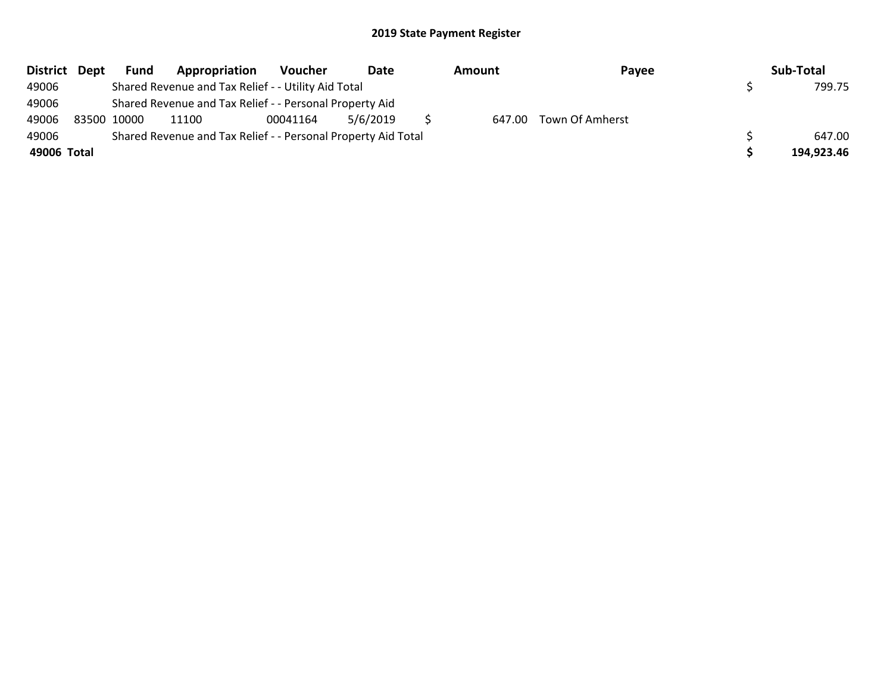|             | District Dept | Fund        | Appropriation                                                 | Voucher  | Date     | Amount | Payee                  | Sub-Total  |
|-------------|---------------|-------------|---------------------------------------------------------------|----------|----------|--------|------------------------|------------|
| 49006       |               |             | Shared Revenue and Tax Relief - - Utility Aid Total           |          |          |        |                        | 799.75     |
| 49006       |               |             | Shared Revenue and Tax Relief - - Personal Property Aid       |          |          |        |                        |            |
| 49006       |               | 83500 10000 | 11100                                                         | 00041164 | 5/6/2019 |        | 647.00 Town Of Amherst |            |
| 49006       |               |             | Shared Revenue and Tax Relief - - Personal Property Aid Total |          |          |        |                        | 647.00     |
| 49006 Total |               |             |                                                               |          |          |        |                        | 194,923.46 |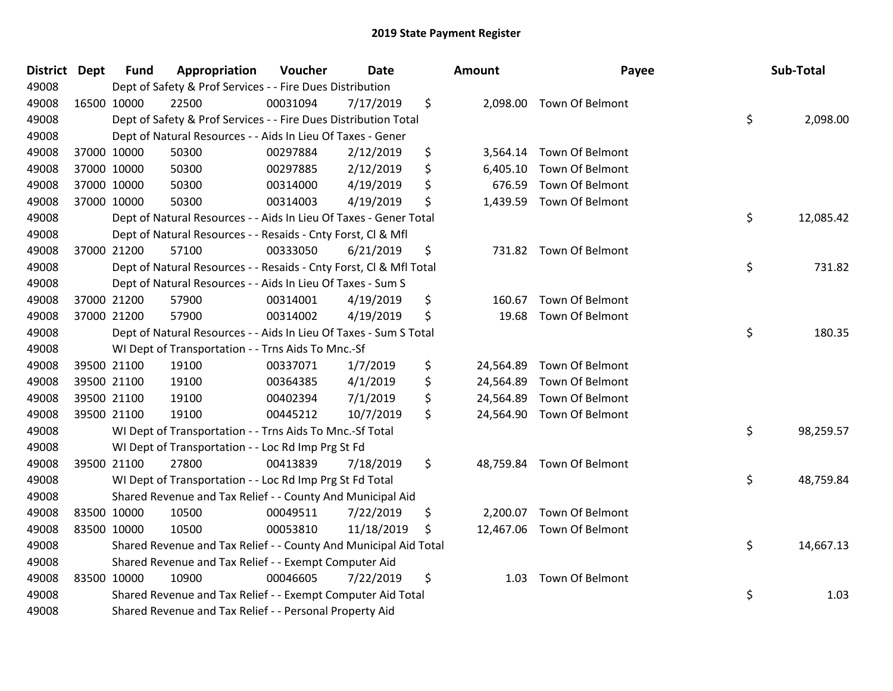| <b>District</b> | Dept | <b>Fund</b> | Appropriation                                                      | Voucher  | <b>Date</b> | Amount                  | Payee                     | Sub-Total       |
|-----------------|------|-------------|--------------------------------------------------------------------|----------|-------------|-------------------------|---------------------------|-----------------|
| 49008           |      |             | Dept of Safety & Prof Services - - Fire Dues Distribution          |          |             |                         |                           |                 |
| 49008           |      | 16500 10000 | 22500                                                              | 00031094 | 7/17/2019   | \$                      | 2,098.00 Town Of Belmont  |                 |
| 49008           |      |             | Dept of Safety & Prof Services - - Fire Dues Distribution Total    |          |             |                         |                           | \$<br>2,098.00  |
| 49008           |      |             | Dept of Natural Resources - - Aids In Lieu Of Taxes - Gener        |          |             |                         |                           |                 |
| 49008           |      | 37000 10000 | 50300                                                              | 00297884 | 2/12/2019   | \$<br>3,564.14          | Town Of Belmont           |                 |
| 49008           |      | 37000 10000 | 50300                                                              | 00297885 | 2/12/2019   | \$<br>6,405.10          | Town Of Belmont           |                 |
| 49008           |      | 37000 10000 | 50300                                                              | 00314000 | 4/19/2019   | \$<br>676.59            | Town Of Belmont           |                 |
| 49008           |      | 37000 10000 | 50300                                                              | 00314003 | 4/19/2019   | \$<br>1,439.59          | Town Of Belmont           |                 |
| 49008           |      |             | Dept of Natural Resources - - Aids In Lieu Of Taxes - Gener Total  |          |             |                         |                           | \$<br>12,085.42 |
| 49008           |      |             | Dept of Natural Resources - - Resaids - Cnty Forst, CI & Mfl       |          |             |                         |                           |                 |
| 49008           |      | 37000 21200 | 57100                                                              | 00333050 | 6/21/2019   | \$                      | 731.82 Town Of Belmont    |                 |
| 49008           |      |             | Dept of Natural Resources - - Resaids - Cnty Forst, Cl & Mfl Total |          |             |                         |                           | \$<br>731.82    |
| 49008           |      |             | Dept of Natural Resources - - Aids In Lieu Of Taxes - Sum S        |          |             |                         |                           |                 |
| 49008           |      | 37000 21200 | 57900                                                              | 00314001 | 4/19/2019   | \$<br>160.67            | Town Of Belmont           |                 |
| 49008           |      | 37000 21200 | 57900                                                              | 00314002 | 4/19/2019   | \$<br>19.68             | Town Of Belmont           |                 |
| 49008           |      |             | Dept of Natural Resources - - Aids In Lieu Of Taxes - Sum S Total  |          |             |                         |                           | \$<br>180.35    |
| 49008           |      |             | WI Dept of Transportation - - Trns Aids To Mnc.-Sf                 |          |             |                         |                           |                 |
| 49008           |      | 39500 21100 | 19100                                                              | 00337071 | 1/7/2019    | \$<br>24,564.89         | Town Of Belmont           |                 |
| 49008           |      | 39500 21100 | 19100                                                              | 00364385 | 4/1/2019    | \$<br>24,564.89         | Town Of Belmont           |                 |
| 49008           |      | 39500 21100 | 19100                                                              | 00402394 | 7/1/2019    | \$<br>24,564.89         | Town Of Belmont           |                 |
| 49008           |      | 39500 21100 | 19100                                                              | 00445212 | 10/7/2019   | \$<br>24,564.90         | Town Of Belmont           |                 |
| 49008           |      |             | WI Dept of Transportation - - Trns Aids To Mnc.-Sf Total           |          |             |                         |                           | \$<br>98,259.57 |
| 49008           |      |             | WI Dept of Transportation - - Loc Rd Imp Prg St Fd                 |          |             |                         |                           |                 |
| 49008           |      | 39500 21100 | 27800                                                              | 00413839 | 7/18/2019   | \$                      | 48,759.84 Town Of Belmont |                 |
| 49008           |      |             | WI Dept of Transportation - - Loc Rd Imp Prg St Fd Total           |          |             |                         |                           | \$<br>48,759.84 |
| 49008           |      |             | Shared Revenue and Tax Relief - - County And Municipal Aid         |          |             |                         |                           |                 |
| 49008           |      | 83500 10000 | 10500                                                              | 00049511 | 7/22/2019   | \$<br>2,200.07          | Town Of Belmont           |                 |
| 49008           |      | 83500 10000 | 10500                                                              | 00053810 | 11/18/2019  | \$                      | 12,467.06 Town Of Belmont |                 |
| 49008           |      |             | Shared Revenue and Tax Relief - - County And Municipal Aid Total   |          |             |                         |                           | \$<br>14,667.13 |
| 49008           |      |             | Shared Revenue and Tax Relief - - Exempt Computer Aid              |          |             |                         |                           |                 |
| 49008           |      | 83500 10000 | 10900                                                              | 00046605 | 7/22/2019   | \$<br>1.03 <sub>1</sub> | Town Of Belmont           |                 |
| 49008           |      |             | Shared Revenue and Tax Relief - - Exempt Computer Aid Total        |          |             |                         |                           | \$<br>1.03      |
| 49008           |      |             | Shared Revenue and Tax Relief - - Personal Property Aid            |          |             |                         |                           |                 |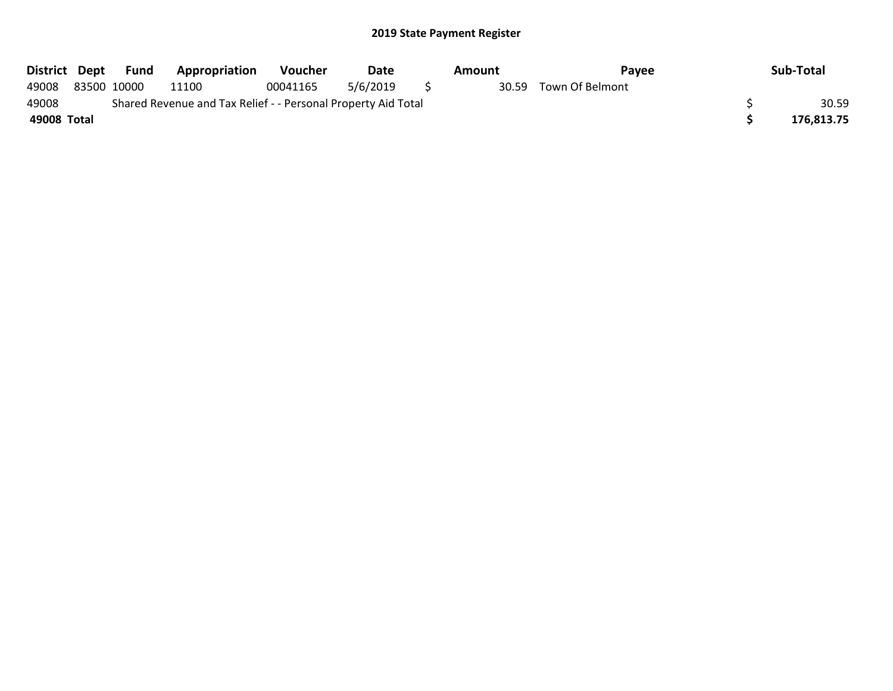| District Dept                                                          |  | Fund        | <b>Appropriation</b> | <b>Voucher</b> | Date     | Amount |  | Pavee                 |  | Sub-Total  |
|------------------------------------------------------------------------|--|-------------|----------------------|----------------|----------|--------|--|-----------------------|--|------------|
| 49008                                                                  |  | 83500 10000 | 11100                | 00041165       | 5/6/2019 |        |  | 30.59 Town Of Belmont |  |            |
| Shared Revenue and Tax Relief - - Personal Property Aid Total<br>49008 |  |             |                      |                |          |        |  |                       |  | 30.59      |
| 49008 Total                                                            |  |             |                      |                |          |        |  |                       |  | 176.813.75 |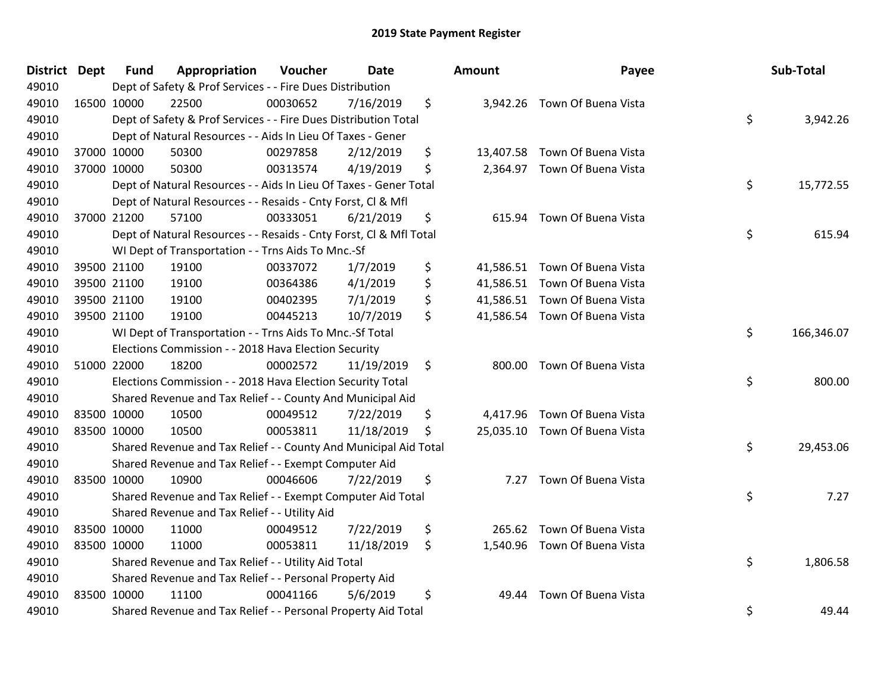| District | <b>Dept</b> | <b>Fund</b>                                              | Appropriation                                                      | Voucher  | <b>Date</b> |    | <b>Amount</b> | Payee                         | Sub-Total        |
|----------|-------------|----------------------------------------------------------|--------------------------------------------------------------------|----------|-------------|----|---------------|-------------------------------|------------------|
| 49010    |             |                                                          | Dept of Safety & Prof Services - - Fire Dues Distribution          |          |             |    |               |                               |                  |
| 49010    |             | 16500 10000                                              | 22500                                                              | 00030652 | 7/16/2019   | \$ |               | 3,942.26 Town Of Buena Vista  |                  |
| 49010    |             |                                                          | Dept of Safety & Prof Services - - Fire Dues Distribution Total    |          |             |    |               |                               | \$<br>3,942.26   |
| 49010    |             |                                                          | Dept of Natural Resources - - Aids In Lieu Of Taxes - Gener        |          |             |    |               |                               |                  |
| 49010    |             | 37000 10000                                              | 50300                                                              | 00297858 | 2/12/2019   | \$ | 13,407.58     | Town Of Buena Vista           |                  |
| 49010    |             | 37000 10000                                              | 50300                                                              | 00313574 | 4/19/2019   | \$ |               | 2,364.97 Town Of Buena Vista  |                  |
| 49010    |             |                                                          | Dept of Natural Resources - - Aids In Lieu Of Taxes - Gener Total  |          |             |    |               |                               | \$<br>15,772.55  |
| 49010    |             |                                                          | Dept of Natural Resources - - Resaids - Cnty Forst, Cl & Mfl       |          |             |    |               |                               |                  |
| 49010    |             | 37000 21200                                              | 57100                                                              | 00333051 | 6/21/2019   | \$ |               | 615.94 Town Of Buena Vista    |                  |
| 49010    |             |                                                          | Dept of Natural Resources - - Resaids - Cnty Forst, Cl & Mfl Total |          |             |    |               |                               | \$<br>615.94     |
| 49010    |             |                                                          | WI Dept of Transportation - - Trns Aids To Mnc.-Sf                 |          |             |    |               |                               |                  |
| 49010    |             | 39500 21100                                              | 19100                                                              | 00337072 | 1/7/2019    | \$ |               | 41,586.51 Town Of Buena Vista |                  |
| 49010    |             | 39500 21100                                              | 19100                                                              | 00364386 | 4/1/2019    | \$ |               | 41,586.51 Town Of Buena Vista |                  |
| 49010    |             | 39500 21100                                              | 19100                                                              | 00402395 | 7/1/2019    | \$ |               | 41,586.51 Town Of Buena Vista |                  |
| 49010    |             | 39500 21100                                              | 19100                                                              | 00445213 | 10/7/2019   | \$ |               | 41,586.54 Town Of Buena Vista |                  |
| 49010    |             | WI Dept of Transportation - - Trns Aids To Mnc.-Sf Total |                                                                    |          |             |    |               |                               | \$<br>166,346.07 |
| 49010    |             |                                                          | Elections Commission - - 2018 Hava Election Security               |          |             |    |               |                               |                  |
| 49010    |             | 51000 22000                                              | 18200                                                              | 00002572 | 11/19/2019  | \$ |               | 800.00 Town Of Buena Vista    |                  |
| 49010    |             |                                                          | Elections Commission - - 2018 Hava Election Security Total         |          |             |    |               |                               | \$<br>800.00     |
| 49010    |             |                                                          | Shared Revenue and Tax Relief - - County And Municipal Aid         |          |             |    |               |                               |                  |
| 49010    |             | 83500 10000                                              | 10500                                                              | 00049512 | 7/22/2019   | \$ |               | 4,417.96 Town Of Buena Vista  |                  |
| 49010    |             | 83500 10000                                              | 10500                                                              | 00053811 | 11/18/2019  | \$ |               | 25,035.10 Town Of Buena Vista |                  |
| 49010    |             |                                                          | Shared Revenue and Tax Relief - - County And Municipal Aid Total   |          |             |    |               |                               | \$<br>29,453.06  |
| 49010    |             |                                                          | Shared Revenue and Tax Relief - - Exempt Computer Aid              |          |             |    |               |                               |                  |
| 49010    |             | 83500 10000                                              | 10900                                                              | 00046606 | 7/22/2019   | \$ | 7.27          | Town Of Buena Vista           |                  |
| 49010    |             |                                                          | Shared Revenue and Tax Relief - - Exempt Computer Aid Total        |          |             |    |               |                               | \$<br>7.27       |
| 49010    |             |                                                          | Shared Revenue and Tax Relief - - Utility Aid                      |          |             |    |               |                               |                  |
| 49010    |             | 83500 10000                                              | 11000                                                              | 00049512 | 7/22/2019   | \$ |               | 265.62 Town Of Buena Vista    |                  |
| 49010    |             | 83500 10000                                              | 11000                                                              | 00053811 | 11/18/2019  | \$ |               | 1,540.96 Town Of Buena Vista  |                  |
| 49010    |             |                                                          | Shared Revenue and Tax Relief - - Utility Aid Total                |          |             |    |               |                               | \$<br>1,806.58   |
| 49010    |             |                                                          | Shared Revenue and Tax Relief - - Personal Property Aid            |          |             |    |               |                               |                  |
| 49010    |             | 83500 10000                                              | 11100                                                              | 00041166 | 5/6/2019    | \$ | 49.44         | Town Of Buena Vista           |                  |
| 49010    |             |                                                          | Shared Revenue and Tax Relief - - Personal Property Aid Total      |          |             |    |               |                               | \$<br>49.44      |

| Sub-Total  | Payee                         | าount     |
|------------|-------------------------------|-----------|
| 3,942.26   | \$<br>Town Of Buena Vista     | 3,942.26  |
|            | 13,407.58 Town Of Buena Vista |           |
|            | Town Of Buena Vista           | 2,364.97  |
| 15,772.55  | \$                            |           |
| 615.94     | \$<br>Town Of Buena Vista     | 615.94    |
|            |                               |           |
|            | Town Of Buena Vista           | 41,586.51 |
|            | 41,586.51 Town Of Buena Vista |           |
|            | 41,586.51 Town Of Buena Vista |           |
|            | Town Of Buena Vista           | 41,586.54 |
| 166,346.07 | \$                            |           |
|            | Town Of Buena Vista           | 800.00    |
| 800.00     | \$                            |           |
|            | 4,417.96 Town Of Buena Vista  |           |
|            | 25,035.10 Town Of Buena Vista |           |
| 29,453.06  | \$                            |           |
|            | Town Of Buena Vista           | 7.27      |
| 7.27       | \$                            |           |
|            | 265.62 Town Of Buena Vista    |           |
|            | Town Of Buena Vista           | 1,540.96  |
| 1,806.58   | \$                            |           |
|            | Town Of Buena Vista           | 49.44     |
| 49.44      | \$                            |           |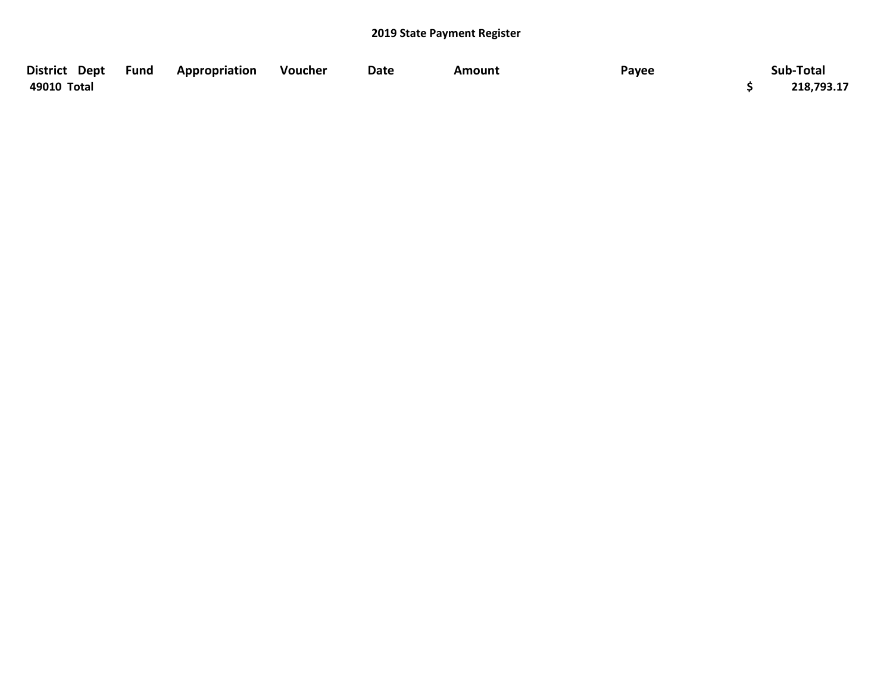| District Dept Fund | Appropriation | Voucher | Date | Amount | Payee | Sub-Total  |
|--------------------|---------------|---------|------|--------|-------|------------|
| 49010 Total        |               |         |      |        |       | 218,793.17 |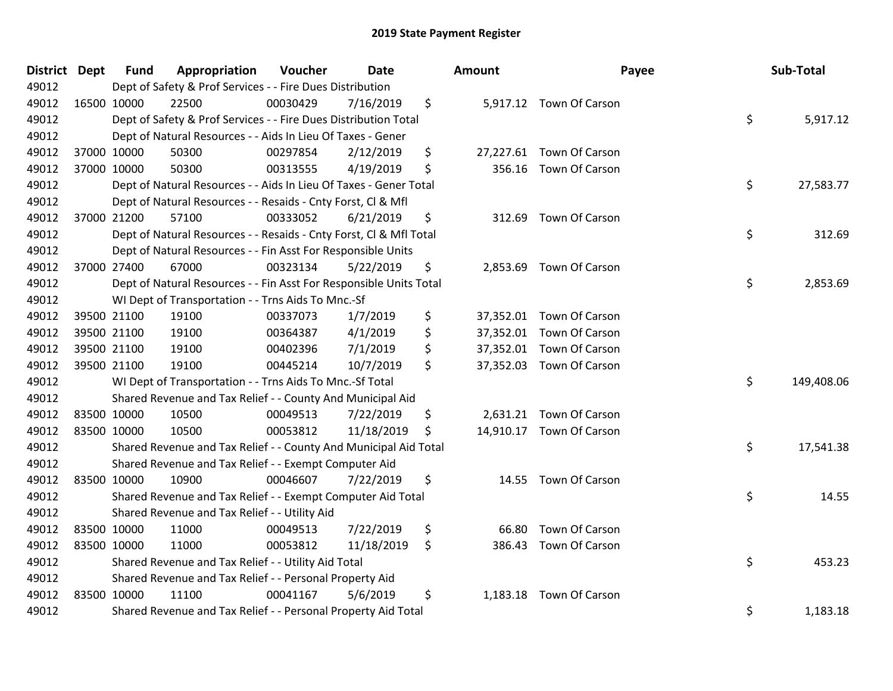| District Dept |             | <b>Fund</b> | Appropriation                                                      | Voucher  | <b>Date</b> | Amount         | Payee                    | Sub-Total        |
|---------------|-------------|-------------|--------------------------------------------------------------------|----------|-------------|----------------|--------------------------|------------------|
| 49012         |             |             | Dept of Safety & Prof Services - - Fire Dues Distribution          |          |             |                |                          |                  |
| 49012         |             | 16500 10000 | 22500                                                              | 00030429 | 7/16/2019   | \$             | 5,917.12 Town Of Carson  |                  |
| 49012         |             |             | Dept of Safety & Prof Services - - Fire Dues Distribution Total    |          |             |                |                          | \$<br>5,917.12   |
| 49012         |             |             | Dept of Natural Resources - - Aids In Lieu Of Taxes - Gener        |          |             |                |                          |                  |
| 49012         |             | 37000 10000 | 50300                                                              | 00297854 | 2/12/2019   | \$             | 27,227.61 Town Of Carson |                  |
| 49012         |             | 37000 10000 | 50300                                                              | 00313555 | 4/19/2019   | \$             | 356.16 Town Of Carson    |                  |
| 49012         |             |             | Dept of Natural Resources - - Aids In Lieu Of Taxes - Gener Total  |          |             |                |                          | \$<br>27,583.77  |
| 49012         |             |             | Dept of Natural Resources - - Resaids - Cnty Forst, Cl & Mfl       |          |             |                |                          |                  |
| 49012         |             | 37000 21200 | 57100                                                              | 00333052 | 6/21/2019   | \$             | 312.69 Town Of Carson    |                  |
| 49012         |             |             | Dept of Natural Resources - - Resaids - Cnty Forst, CI & Mfl Total |          |             |                |                          | \$<br>312.69     |
| 49012         |             |             | Dept of Natural Resources - - Fin Asst For Responsible Units       |          |             |                |                          |                  |
| 49012         |             | 37000 27400 | 67000                                                              | 00323134 | 5/22/2019   | \$             | 2,853.69 Town Of Carson  |                  |
| 49012         |             |             | Dept of Natural Resources - - Fin Asst For Responsible Units Total |          |             |                |                          | \$<br>2,853.69   |
| 49012         |             |             | WI Dept of Transportation - - Trns Aids To Mnc.-Sf                 |          |             |                |                          |                  |
| 49012         |             | 39500 21100 | 19100                                                              | 00337073 | 1/7/2019    | \$             | 37,352.01 Town Of Carson |                  |
| 49012         |             | 39500 21100 | 19100                                                              | 00364387 | 4/1/2019    | \$             | 37,352.01 Town Of Carson |                  |
| 49012         |             | 39500 21100 | 19100                                                              | 00402396 | 7/1/2019    | \$             | 37,352.01 Town Of Carson |                  |
| 49012         |             | 39500 21100 | 19100                                                              | 00445214 | 10/7/2019   | \$             | 37,352.03 Town Of Carson |                  |
| 49012         |             |             | WI Dept of Transportation - - Trns Aids To Mnc.-Sf Total           |          |             |                |                          | \$<br>149,408.06 |
| 49012         |             |             | Shared Revenue and Tax Relief - - County And Municipal Aid         |          |             |                |                          |                  |
| 49012         |             | 83500 10000 | 10500                                                              | 00049513 | 7/22/2019   | \$             | 2,631.21 Town Of Carson  |                  |
| 49012         | 83500 10000 |             | 10500                                                              | 00053812 | 11/18/2019  | \$             | 14,910.17 Town Of Carson |                  |
| 49012         |             |             | Shared Revenue and Tax Relief - - County And Municipal Aid Total   |          |             |                |                          | \$<br>17,541.38  |
| 49012         |             |             | Shared Revenue and Tax Relief - - Exempt Computer Aid              |          |             |                |                          |                  |
| 49012         |             | 83500 10000 | 10900                                                              | 00046607 | 7/22/2019   | \$             | 14.55 Town Of Carson     |                  |
| 49012         |             |             | Shared Revenue and Tax Relief - - Exempt Computer Aid Total        |          |             |                |                          | \$<br>14.55      |
| 49012         |             |             | Shared Revenue and Tax Relief - - Utility Aid                      |          |             |                |                          |                  |
| 49012         | 83500 10000 |             | 11000                                                              | 00049513 | 7/22/2019   | \$<br>66.80    | Town Of Carson           |                  |
| 49012         | 83500 10000 |             | 11000                                                              | 00053812 | 11/18/2019  | \$             | 386.43 Town Of Carson    |                  |
| 49012         |             |             | Shared Revenue and Tax Relief - - Utility Aid Total                |          |             |                |                          | \$<br>453.23     |
| 49012         |             |             | Shared Revenue and Tax Relief - - Personal Property Aid            |          |             |                |                          |                  |
| 49012         |             | 83500 10000 | 11100                                                              | 00041167 | 5/6/2019    | \$<br>1,183.18 | Town Of Carson           |                  |
| 49012         |             |             | Shared Revenue and Tax Relief - - Personal Property Aid Total      |          |             |                |                          | \$<br>1,183.18   |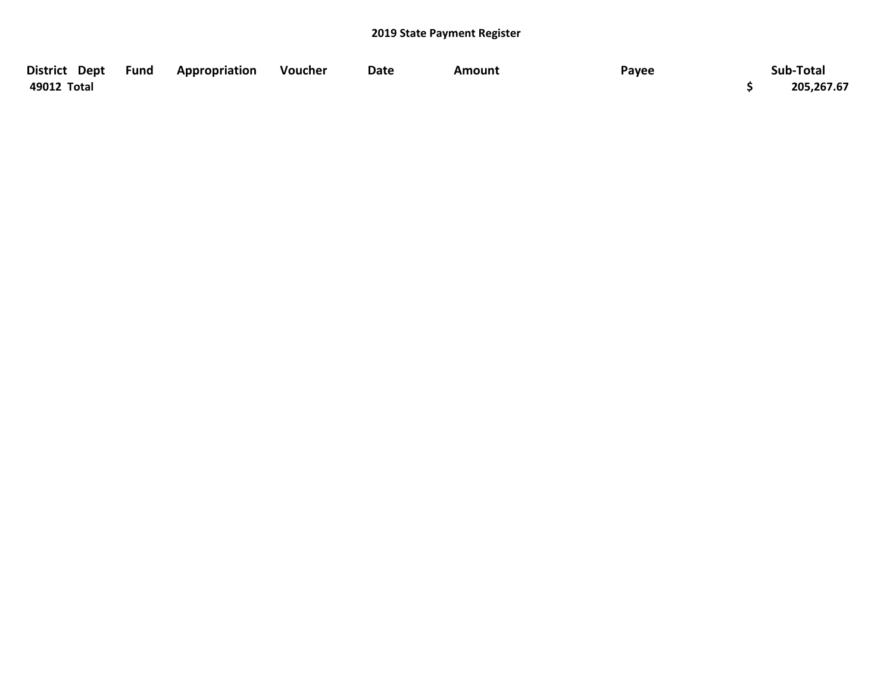| District Dept | <b>Fund</b> | Appropriation | Voucher | <b>Date</b> | Amount | Payee | Sub-Total  |
|---------------|-------------|---------------|---------|-------------|--------|-------|------------|
| 49012 Total   |             |               |         |             |        |       | 205,267.67 |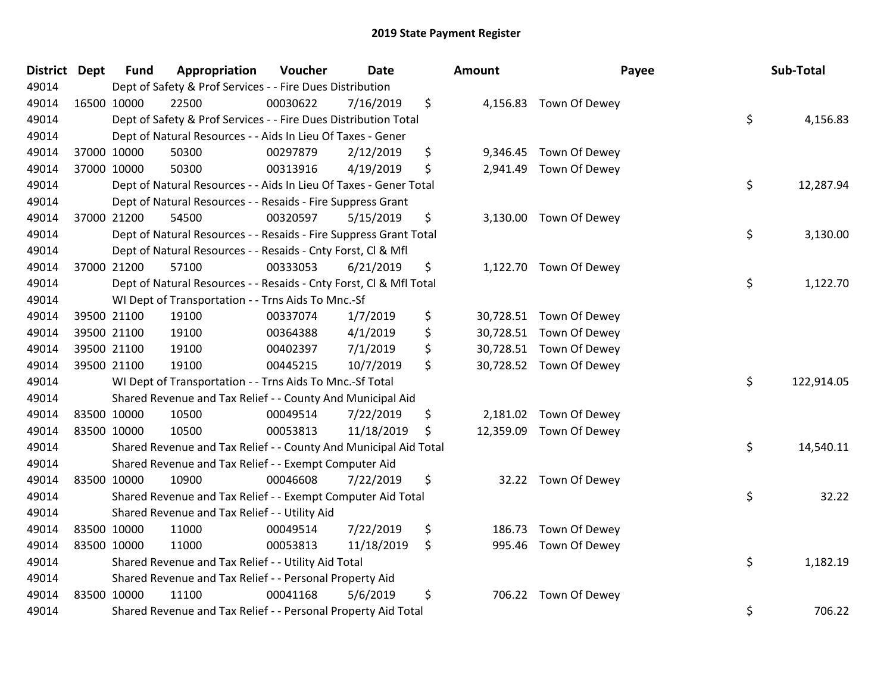| <b>District Dept</b> |             | <b>Fund</b> | Appropriation                                                      | Voucher  | <b>Date</b> | Amount         | Payee                   | Sub-Total        |
|----------------------|-------------|-------------|--------------------------------------------------------------------|----------|-------------|----------------|-------------------------|------------------|
| 49014                |             |             | Dept of Safety & Prof Services - - Fire Dues Distribution          |          |             |                |                         |                  |
| 49014                |             | 16500 10000 | 22500                                                              | 00030622 | 7/16/2019   | \$             | 4,156.83 Town Of Dewey  |                  |
| 49014                |             |             | Dept of Safety & Prof Services - - Fire Dues Distribution Total    |          |             |                |                         | \$<br>4,156.83   |
| 49014                |             |             | Dept of Natural Resources - - Aids In Lieu Of Taxes - Gener        |          |             |                |                         |                  |
| 49014                |             | 37000 10000 | 50300                                                              | 00297879 | 2/12/2019   | \$             | 9,346.45 Town Of Dewey  |                  |
| 49014                |             | 37000 10000 | 50300                                                              | 00313916 | 4/19/2019   | \$<br>2,941.49 | Town Of Dewey           |                  |
| 49014                |             |             | Dept of Natural Resources - - Aids In Lieu Of Taxes - Gener Total  |          |             |                |                         | \$<br>12,287.94  |
| 49014                |             |             | Dept of Natural Resources - - Resaids - Fire Suppress Grant        |          |             |                |                         |                  |
| 49014                |             | 37000 21200 | 54500                                                              | 00320597 | 5/15/2019   | \$             | 3,130.00 Town Of Dewey  |                  |
| 49014                |             |             | Dept of Natural Resources - - Resaids - Fire Suppress Grant Total  |          |             |                |                         | \$<br>3,130.00   |
| 49014                |             |             | Dept of Natural Resources - - Resaids - Cnty Forst, Cl & Mfl       |          |             |                |                         |                  |
| 49014                |             | 37000 21200 | 57100                                                              | 00333053 | 6/21/2019   | \$             | 1,122.70 Town Of Dewey  |                  |
| 49014                |             |             | Dept of Natural Resources - - Resaids - Cnty Forst, CI & Mfl Total |          |             |                |                         | \$<br>1,122.70   |
| 49014                |             |             | WI Dept of Transportation - - Trns Aids To Mnc.-Sf                 |          |             |                |                         |                  |
| 49014                |             | 39500 21100 | 19100                                                              | 00337074 | 1/7/2019    | \$             | 30,728.51 Town Of Dewey |                  |
| 49014                |             | 39500 21100 | 19100                                                              | 00364388 | 4/1/2019    | \$             | 30,728.51 Town Of Dewey |                  |
| 49014                |             | 39500 21100 | 19100                                                              | 00402397 | 7/1/2019    | \$             | 30,728.51 Town Of Dewey |                  |
| 49014                |             | 39500 21100 | 19100                                                              | 00445215 | 10/7/2019   | \$             | 30,728.52 Town Of Dewey |                  |
| 49014                |             |             | WI Dept of Transportation - - Trns Aids To Mnc.-Sf Total           |          |             |                |                         | \$<br>122,914.05 |
| 49014                |             |             | Shared Revenue and Tax Relief - - County And Municipal Aid         |          |             |                |                         |                  |
| 49014                |             | 83500 10000 | 10500                                                              | 00049514 | 7/22/2019   | \$             | 2,181.02 Town Of Dewey  |                  |
| 49014                |             | 83500 10000 | 10500                                                              | 00053813 | 11/18/2019  | \$             | 12,359.09 Town Of Dewey |                  |
| 49014                |             |             | Shared Revenue and Tax Relief - - County And Municipal Aid Total   |          |             |                |                         | \$<br>14,540.11  |
| 49014                |             |             | Shared Revenue and Tax Relief - - Exempt Computer Aid              |          |             |                |                         |                  |
| 49014                |             | 83500 10000 | 10900                                                              | 00046608 | 7/22/2019   | \$             | 32.22 Town Of Dewey     |                  |
| 49014                |             |             | Shared Revenue and Tax Relief - - Exempt Computer Aid Total        |          |             |                |                         | \$<br>32.22      |
| 49014                |             |             | Shared Revenue and Tax Relief - - Utility Aid                      |          |             |                |                         |                  |
| 49014                | 83500 10000 |             | 11000                                                              | 00049514 | 7/22/2019   | \$<br>186.73   | Town Of Dewey           |                  |
| 49014                | 83500 10000 |             | 11000                                                              | 00053813 | 11/18/2019  | \$             | 995.46 Town Of Dewey    |                  |
| 49014                |             |             | Shared Revenue and Tax Relief - - Utility Aid Total                |          |             |                |                         | \$<br>1,182.19   |
| 49014                |             |             | Shared Revenue and Tax Relief - - Personal Property Aid            |          |             |                |                         |                  |
| 49014                |             | 83500 10000 | 11100                                                              | 00041168 | 5/6/2019    | \$<br>706.22   | Town Of Dewey           |                  |
| 49014                |             |             | Shared Revenue and Tax Relief - - Personal Property Aid Total      |          |             |                |                         | \$<br>706.22     |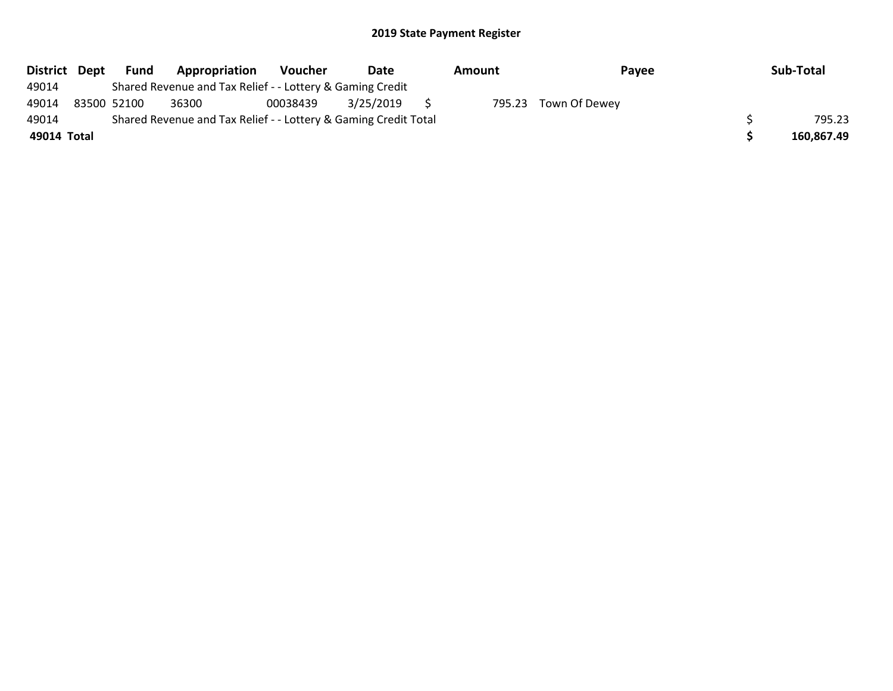| <b>District</b> | Dept | Fund        | Appropriation                                                   | <b>Voucher</b> | Date      | Amount | Payee         | Sub-Total  |
|-----------------|------|-------------|-----------------------------------------------------------------|----------------|-----------|--------|---------------|------------|
| 49014           |      |             | Shared Revenue and Tax Relief - - Lottery & Gaming Credit       |                |           |        |               |            |
| 49014           |      | 83500 52100 | 36300                                                           | 00038439       | 3/25/2019 | 795.23 | Town Of Dewey |            |
| 49014           |      |             | Shared Revenue and Tax Relief - - Lottery & Gaming Credit Total |                | 795.23    |        |               |            |
| 49014 Total     |      |             |                                                                 |                |           |        |               | 160,867.49 |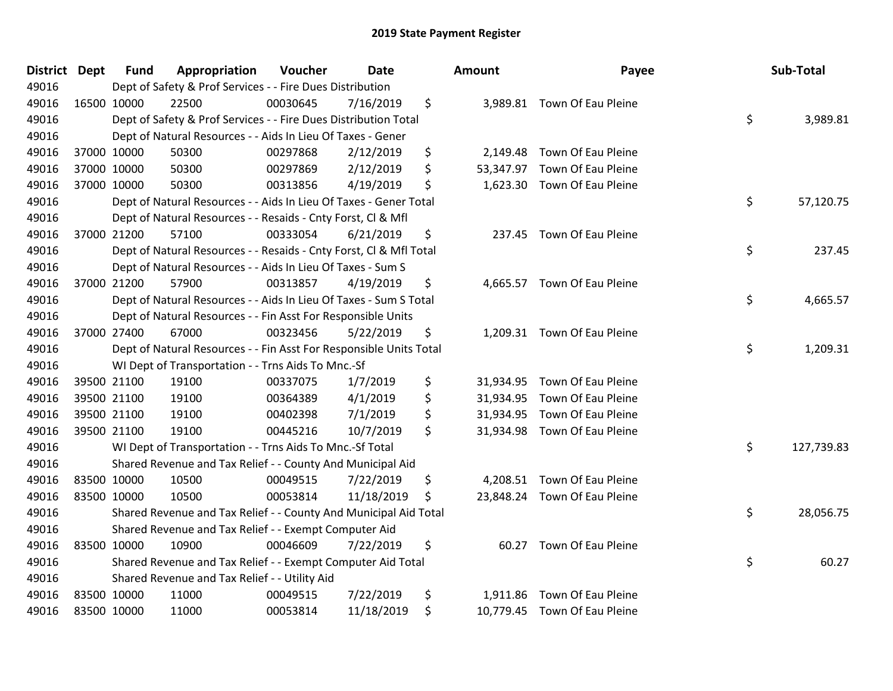| <b>District Dept</b> | <b>Fund</b> | Appropriation                                                      | Voucher  | <b>Date</b> | Amount          | Payee                        | Sub-Total        |
|----------------------|-------------|--------------------------------------------------------------------|----------|-------------|-----------------|------------------------------|------------------|
| 49016                |             | Dept of Safety & Prof Services - - Fire Dues Distribution          |          |             |                 |                              |                  |
| 49016                | 16500 10000 | 22500                                                              | 00030645 | 7/16/2019   | \$              | 3,989.81 Town Of Eau Pleine  |                  |
| 49016                |             | Dept of Safety & Prof Services - - Fire Dues Distribution Total    |          |             |                 |                              | \$<br>3,989.81   |
| 49016                |             | Dept of Natural Resources - - Aids In Lieu Of Taxes - Gener        |          |             |                 |                              |                  |
| 49016                | 37000 10000 | 50300                                                              | 00297868 | 2/12/2019   | \$<br>2,149.48  | Town Of Eau Pleine           |                  |
| 49016                | 37000 10000 | 50300                                                              | 00297869 | 2/12/2019   | \$<br>53,347.97 | Town Of Eau Pleine           |                  |
| 49016                | 37000 10000 | 50300                                                              | 00313856 | 4/19/2019   | \$              | 1,623.30 Town Of Eau Pleine  |                  |
| 49016                |             | Dept of Natural Resources - - Aids In Lieu Of Taxes - Gener Total  |          |             |                 |                              | \$<br>57,120.75  |
| 49016                |             | Dept of Natural Resources - - Resaids - Cnty Forst, Cl & Mfl       |          |             |                 |                              |                  |
| 49016                | 37000 21200 | 57100                                                              | 00333054 | 6/21/2019   | \$              | 237.45 Town Of Eau Pleine    |                  |
| 49016                |             | Dept of Natural Resources - - Resaids - Cnty Forst, CI & Mfl Total |          |             |                 |                              | \$<br>237.45     |
| 49016                |             | Dept of Natural Resources - - Aids In Lieu Of Taxes - Sum S        |          |             |                 |                              |                  |
| 49016                | 37000 21200 | 57900                                                              | 00313857 | 4/19/2019   | \$              | 4,665.57 Town Of Eau Pleine  |                  |
| 49016                |             | Dept of Natural Resources - - Aids In Lieu Of Taxes - Sum S Total  |          |             |                 |                              | \$<br>4,665.57   |
| 49016                |             | Dept of Natural Resources - - Fin Asst For Responsible Units       |          |             |                 |                              |                  |
| 49016                | 37000 27400 | 67000                                                              | 00323456 | 5/22/2019   | \$              | 1,209.31 Town Of Eau Pleine  |                  |
| 49016                |             | Dept of Natural Resources - - Fin Asst For Responsible Units Total |          |             |                 |                              | \$<br>1,209.31   |
| 49016                |             | WI Dept of Transportation - - Trns Aids To Mnc.-Sf                 |          |             |                 |                              |                  |
| 49016                | 39500 21100 | 19100                                                              | 00337075 | 1/7/2019    | \$              | 31,934.95 Town Of Eau Pleine |                  |
| 49016                | 39500 21100 | 19100                                                              | 00364389 | 4/1/2019    | \$              | 31,934.95 Town Of Eau Pleine |                  |
| 49016                | 39500 21100 | 19100                                                              | 00402398 | 7/1/2019    | \$              | 31,934.95 Town Of Eau Pleine |                  |
| 49016                | 39500 21100 | 19100                                                              | 00445216 | 10/7/2019   | \$              | 31,934.98 Town Of Eau Pleine |                  |
| 49016                |             | WI Dept of Transportation - - Trns Aids To Mnc.-Sf Total           |          |             |                 |                              | \$<br>127,739.83 |
| 49016                |             | Shared Revenue and Tax Relief - - County And Municipal Aid         |          |             |                 |                              |                  |
| 49016                | 83500 10000 | 10500                                                              | 00049515 | 7/22/2019   | \$              | 4,208.51 Town Of Eau Pleine  |                  |
| 49016                | 83500 10000 | 10500                                                              | 00053814 | 11/18/2019  | \$              | 23,848.24 Town Of Eau Pleine |                  |
| 49016                |             | Shared Revenue and Tax Relief - - County And Municipal Aid Total   |          |             |                 |                              | \$<br>28,056.75  |
| 49016                |             | Shared Revenue and Tax Relief - - Exempt Computer Aid              |          |             |                 |                              |                  |
| 49016                | 83500 10000 | 10900                                                              | 00046609 | 7/22/2019   | \$              | 60.27 Town Of Eau Pleine     |                  |
| 49016                |             | Shared Revenue and Tax Relief - - Exempt Computer Aid Total        |          |             |                 |                              | \$<br>60.27      |
| 49016                |             | Shared Revenue and Tax Relief - - Utility Aid                      |          |             |                 |                              |                  |
| 49016                | 83500 10000 | 11000                                                              | 00049515 | 7/22/2019   | \$<br>1,911.86  | Town Of Eau Pleine           |                  |
| 49016                | 83500 10000 | 11000                                                              | 00053814 | 11/18/2019  | \$              | 10,779.45 Town Of Eau Pleine |                  |

| nount     | Payee                       | Sub-Total        |
|-----------|-----------------------------|------------------|
| 3,989.81  | Town Of Eau Pleine          | \$<br>3,989.81   |
| 2,149.48  | Town Of Eau Pleine          |                  |
| 53,347.97 | Town Of Eau Pleine          |                  |
| 1,623.30  | Town Of Eau Pleine          |                  |
|           |                             | \$<br>57,120.75  |
| 237.45    | <b>Town Of Eau Pleine</b>   |                  |
|           |                             | \$<br>237.45     |
| 4,665.57  | Town Of Eau Pleine          |                  |
|           |                             | \$<br>4,665.57   |
| 1,209.31  | Town Of Eau Pleine          |                  |
|           |                             | \$<br>1,209.31   |
| 31,934.95 | <b>Town Of Eau Pleine</b>   |                  |
| 31,934.95 | <b>Town Of Eau Pleine</b>   |                  |
| 31,934.95 | Town Of Eau Pleine          |                  |
| 31,934.98 | Town Of Eau Pleine          |                  |
|           |                             | \$<br>127,739.83 |
|           | 4,208.51 Town Of Eau Pleine |                  |
| 23,848.24 | Town Of Eau Pleine          |                  |
|           |                             | \$<br>28,056.75  |
| 60.27     | Town Of Eau Pleine          |                  |
|           |                             | \$<br>60.27      |
| 1,911.86  | <b>Town Of Eau Pleine</b>   |                  |
| 10,779.45 | Town Of Eau Pleine          |                  |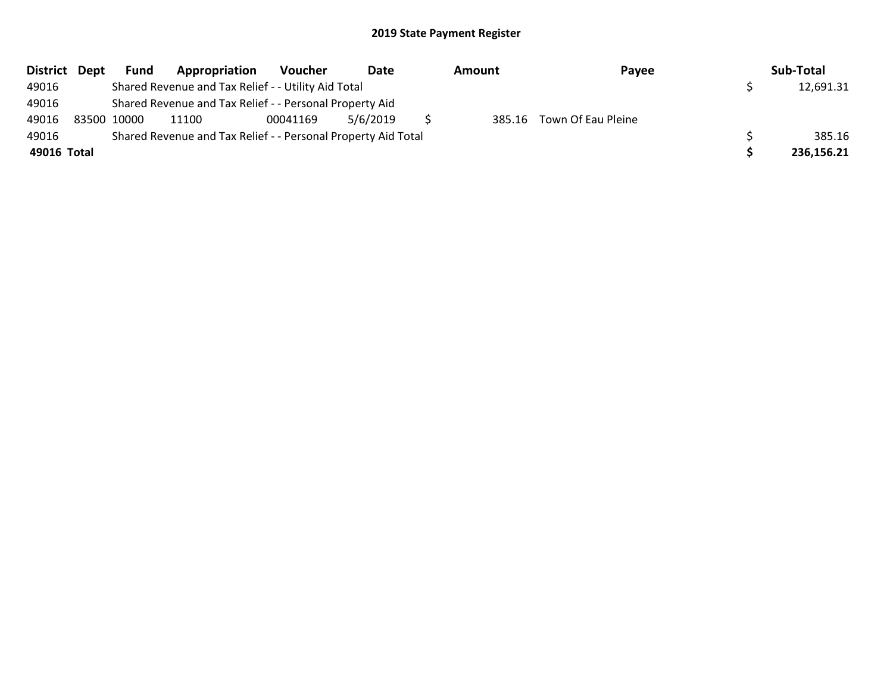| District Dept | Fund        | Appropriation                                                 | Voucher  | Date     | Amount | Payee                     | Sub-Total  |
|---------------|-------------|---------------------------------------------------------------|----------|----------|--------|---------------------------|------------|
| 49016         |             | Shared Revenue and Tax Relief - - Utility Aid Total           |          |          |        |                           | 12,691.31  |
| 49016         |             | Shared Revenue and Tax Relief - - Personal Property Aid       |          |          |        |                           |            |
| 49016         | 83500 10000 | 11100                                                         | 00041169 | 5/6/2019 |        | 385.16 Town Of Eau Pleine |            |
| 49016         |             | Shared Revenue and Tax Relief - - Personal Property Aid Total |          | 385.16   |        |                           |            |
| 49016 Total   |             |                                                               |          |          |        |                           | 236,156.21 |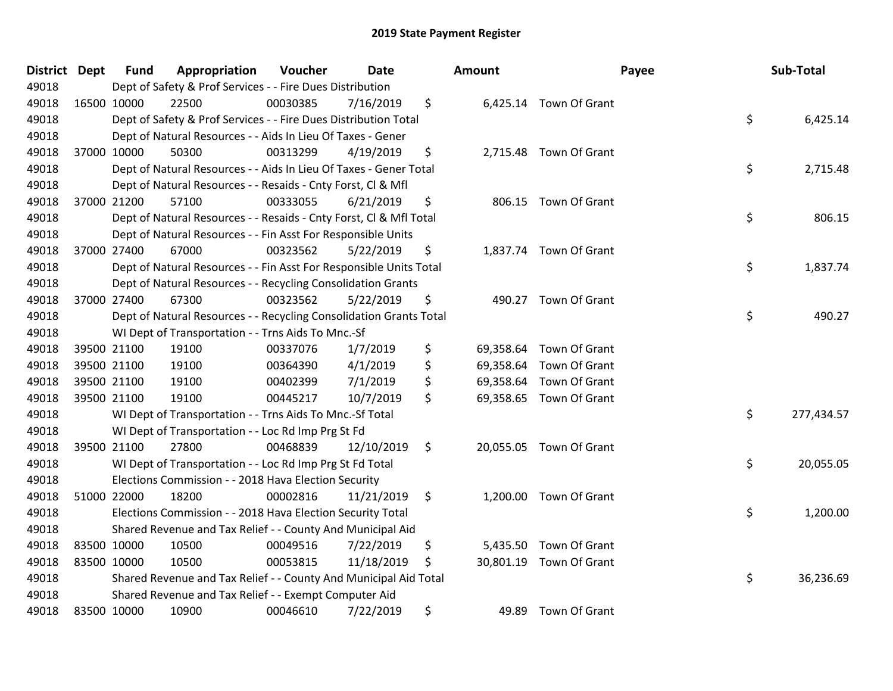| District Dept |             | <b>Fund</b> | Appropriation                                                      | Voucher  | <b>Date</b> | <b>Amount</b> |                         | Payee | Sub-Total  |
|---------------|-------------|-------------|--------------------------------------------------------------------|----------|-------------|---------------|-------------------------|-------|------------|
| 49018         |             |             | Dept of Safety & Prof Services - - Fire Dues Distribution          |          |             |               |                         |       |            |
| 49018         | 16500 10000 |             | 22500                                                              | 00030385 | 7/16/2019   | \$            | 6,425.14 Town Of Grant  |       |            |
| 49018         |             |             | Dept of Safety & Prof Services - - Fire Dues Distribution Total    |          |             |               |                         | \$    | 6,425.14   |
| 49018         |             |             | Dept of Natural Resources - - Aids In Lieu Of Taxes - Gener        |          |             |               |                         |       |            |
| 49018         | 37000 10000 |             | 50300                                                              | 00313299 | 4/19/2019   | \$            | 2,715.48 Town Of Grant  |       |            |
| 49018         |             |             | Dept of Natural Resources - - Aids In Lieu Of Taxes - Gener Total  |          |             |               |                         | \$    | 2,715.48   |
| 49018         |             |             | Dept of Natural Resources - - Resaids - Cnty Forst, Cl & Mfl       |          |             |               |                         |       |            |
| 49018         |             | 37000 21200 | 57100                                                              | 00333055 | 6/21/2019   | \$            | 806.15 Town Of Grant    |       |            |
| 49018         |             |             | Dept of Natural Resources - - Resaids - Cnty Forst, CI & Mfl Total |          |             |               |                         | \$    | 806.15     |
| 49018         |             |             | Dept of Natural Resources - - Fin Asst For Responsible Units       |          |             |               |                         |       |            |
| 49018         |             | 37000 27400 | 67000                                                              | 00323562 | 5/22/2019   | \$            | 1,837.74 Town Of Grant  |       |            |
| 49018         |             |             | Dept of Natural Resources - - Fin Asst For Responsible Units Total |          |             |               |                         | \$    | 1,837.74   |
| 49018         |             |             | Dept of Natural Resources - - Recycling Consolidation Grants       |          |             |               |                         |       |            |
| 49018         | 37000 27400 |             | 67300                                                              | 00323562 | 5/22/2019   | \$            | 490.27 Town Of Grant    |       |            |
| 49018         |             |             | Dept of Natural Resources - - Recycling Consolidation Grants Total |          |             |               |                         | \$    | 490.27     |
| 49018         |             |             | WI Dept of Transportation - - Trns Aids To Mnc.-Sf                 |          |             |               |                         |       |            |
| 49018         |             | 39500 21100 | 19100                                                              | 00337076 | 1/7/2019    | \$            | 69,358.64 Town Of Grant |       |            |
| 49018         |             | 39500 21100 | 19100                                                              | 00364390 | 4/1/2019    | \$            | 69,358.64 Town Of Grant |       |            |
| 49018         | 39500 21100 |             | 19100                                                              | 00402399 | 7/1/2019    | \$            | 69,358.64 Town Of Grant |       |            |
| 49018         | 39500 21100 |             | 19100                                                              | 00445217 | 10/7/2019   | \$            | 69,358.65 Town Of Grant |       |            |
| 49018         |             |             | WI Dept of Transportation - - Trns Aids To Mnc.-Sf Total           |          |             |               |                         | \$    | 277,434.57 |
| 49018         |             |             | WI Dept of Transportation - - Loc Rd Imp Prg St Fd                 |          |             |               |                         |       |            |
| 49018         |             | 39500 21100 | 27800                                                              | 00468839 | 12/10/2019  | \$            | 20,055.05 Town Of Grant |       |            |
| 49018         |             |             | WI Dept of Transportation - - Loc Rd Imp Prg St Fd Total           |          |             |               |                         | \$    | 20,055.05  |
| 49018         |             |             | Elections Commission - - 2018 Hava Election Security               |          |             |               |                         |       |            |
| 49018         | 51000 22000 |             | 18200                                                              | 00002816 | 11/21/2019  | \$            | 1,200.00 Town Of Grant  |       |            |
| 49018         |             |             | Elections Commission - - 2018 Hava Election Security Total         |          |             |               |                         | \$    | 1,200.00   |
| 49018         |             |             | Shared Revenue and Tax Relief - - County And Municipal Aid         |          |             |               |                         |       |            |
| 49018         |             | 83500 10000 | 10500                                                              | 00049516 | 7/22/2019   | \$            | 5,435.50 Town Of Grant  |       |            |
| 49018         | 83500 10000 |             | 10500                                                              | 00053815 | 11/18/2019  | \$            | 30,801.19 Town Of Grant |       |            |
| 49018         |             |             | Shared Revenue and Tax Relief - - County And Municipal Aid Total   |          |             |               |                         | \$    | 36,236.69  |
| 49018         |             |             | Shared Revenue and Tax Relief - - Exempt Computer Aid              |          |             |               |                         |       |            |
| 49018         | 83500 10000 |             | 10900                                                              | 00046610 | 7/22/2019   | \$            | 49.89 Town Of Grant     |       |            |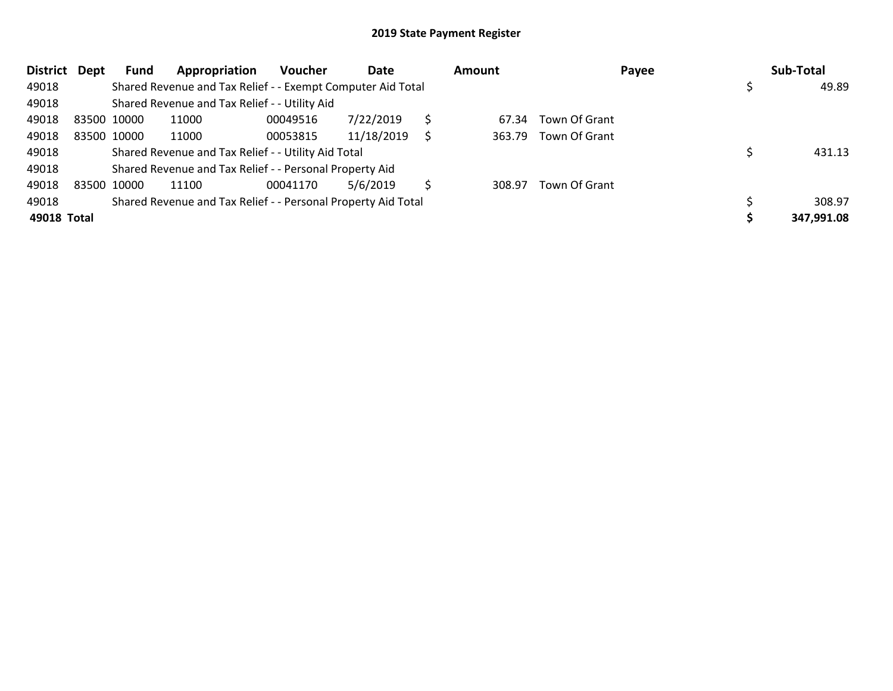| <b>District</b> | <b>Dept</b> | Fund        | Appropriation                                                 | <b>Voucher</b> | Date       |   | Amount |               | Payee | Sub-Total  |
|-----------------|-------------|-------------|---------------------------------------------------------------|----------------|------------|---|--------|---------------|-------|------------|
| 49018           |             |             | Shared Revenue and Tax Relief - - Exempt Computer Aid Total   |                |            |   |        |               |       | 49.89      |
| 49018           |             |             | Shared Revenue and Tax Relief - - Utility Aid                 |                |            |   |        |               |       |            |
| 49018           |             | 83500 10000 | 11000                                                         | 00049516       | 7/22/2019  |   | 67.34  | Town Of Grant |       |            |
| 49018           |             | 83500 10000 | 11000                                                         | 00053815       | 11/18/2019 | S | 363.79 | Town Of Grant |       |            |
| 49018           |             |             | Shared Revenue and Tax Relief - - Utility Aid Total           |                |            |   |        |               |       | 431.13     |
| 49018           |             |             | Shared Revenue and Tax Relief - - Personal Property Aid       |                |            |   |        |               |       |            |
| 49018           |             | 83500 10000 | 11100                                                         | 00041170       | 5/6/2019   |   | 308.97 | Town Of Grant |       |            |
| 49018           |             |             | Shared Revenue and Tax Relief - - Personal Property Aid Total |                |            |   |        |               |       | 308.97     |
| 49018 Total     |             |             |                                                               |                |            |   |        |               |       | 347,991.08 |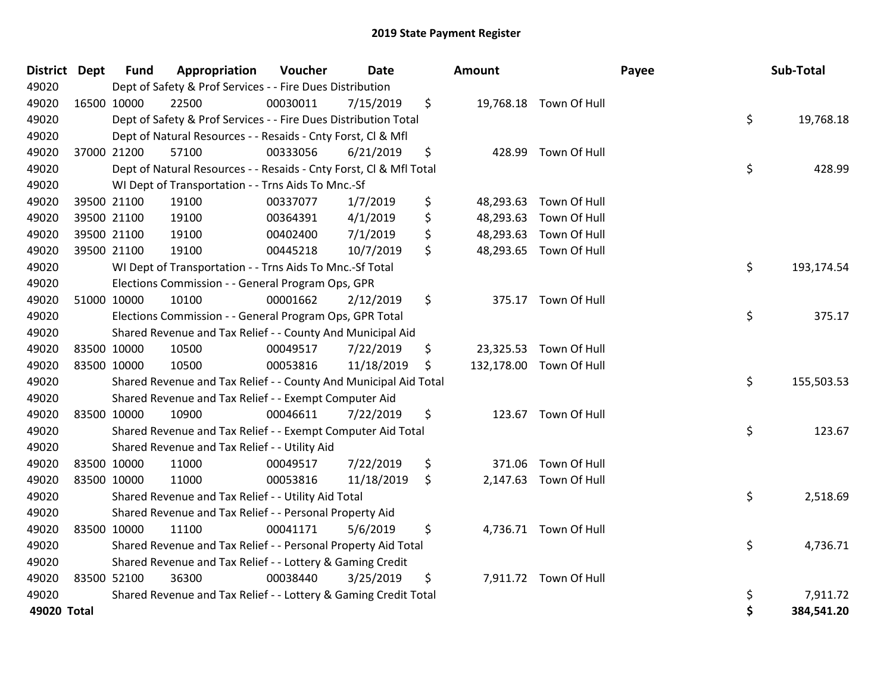| District Dept | <b>Fund</b> | Appropriation                                                      | Voucher  | <b>Date</b> | Amount          |                         | Payee | Sub-Total  |
|---------------|-------------|--------------------------------------------------------------------|----------|-------------|-----------------|-------------------------|-------|------------|
| 49020         |             | Dept of Safety & Prof Services - - Fire Dues Distribution          |          |             |                 |                         |       |            |
| 49020         | 16500 10000 | 22500                                                              | 00030011 | 7/15/2019   | \$              | 19,768.18 Town Of Hull  |       |            |
| 49020         |             | Dept of Safety & Prof Services - - Fire Dues Distribution Total    |          |             |                 |                         | \$    | 19,768.18  |
| 49020         |             | Dept of Natural Resources - - Resaids - Cnty Forst, CI & Mfl       |          |             |                 |                         |       |            |
| 49020         | 37000 21200 | 57100                                                              | 00333056 | 6/21/2019   | \$              | 428.99 Town Of Hull     |       |            |
| 49020         |             | Dept of Natural Resources - - Resaids - Cnty Forst, Cl & Mfl Total |          |             |                 |                         | \$    | 428.99     |
| 49020         |             | WI Dept of Transportation - - Trns Aids To Mnc.-Sf                 |          |             |                 |                         |       |            |
| 49020         | 39500 21100 | 19100                                                              | 00337077 | 1/7/2019    | \$              | 48,293.63 Town Of Hull  |       |            |
| 49020         | 39500 21100 | 19100                                                              | 00364391 | 4/1/2019    | \$              | 48,293.63 Town Of Hull  |       |            |
| 49020         | 39500 21100 | 19100                                                              | 00402400 | 7/1/2019    | \$              | 48,293.63 Town Of Hull  |       |            |
| 49020         | 39500 21100 | 19100                                                              | 00445218 | 10/7/2019   | \$              | 48,293.65 Town Of Hull  |       |            |
| 49020         |             | WI Dept of Transportation - - Trns Aids To Mnc.-Sf Total           |          |             |                 |                         | \$    | 193,174.54 |
| 49020         |             | Elections Commission - - General Program Ops, GPR                  |          |             |                 |                         |       |            |
| 49020         | 51000 10000 | 10100                                                              | 00001662 | 2/12/2019   | \$              | 375.17 Town Of Hull     |       |            |
| 49020         |             | Elections Commission - - General Program Ops, GPR Total            |          |             |                 |                         | \$    | 375.17     |
| 49020         |             | Shared Revenue and Tax Relief - - County And Municipal Aid         |          |             |                 |                         |       |            |
| 49020         | 83500 10000 | 10500                                                              | 00049517 | 7/22/2019   | \$<br>23,325.53 | Town Of Hull            |       |            |
| 49020         | 83500 10000 | 10500                                                              | 00053816 | 11/18/2019  | \$              | 132,178.00 Town Of Hull |       |            |
| 49020         |             | Shared Revenue and Tax Relief - - County And Municipal Aid Total   |          |             |                 |                         | \$    | 155,503.53 |
| 49020         |             | Shared Revenue and Tax Relief - - Exempt Computer Aid              |          |             |                 |                         |       |            |
| 49020         | 83500 10000 | 10900                                                              | 00046611 | 7/22/2019   | \$              | 123.67 Town Of Hull     |       |            |
| 49020         |             | Shared Revenue and Tax Relief - - Exempt Computer Aid Total        |          |             |                 |                         | \$    | 123.67     |
| 49020         |             | Shared Revenue and Tax Relief - - Utility Aid                      |          |             |                 |                         |       |            |
| 49020         | 83500 10000 | 11000                                                              | 00049517 | 7/22/2019   | \$<br>371.06    | Town Of Hull            |       |            |
| 49020         | 83500 10000 | 11000                                                              | 00053816 | 11/18/2019  | \$              | 2,147.63 Town Of Hull   |       |            |
| 49020         |             | Shared Revenue and Tax Relief - - Utility Aid Total                |          |             |                 |                         | \$    | 2,518.69   |
| 49020         |             | Shared Revenue and Tax Relief - - Personal Property Aid            |          |             |                 |                         |       |            |
| 49020         | 83500 10000 | 11100                                                              | 00041171 | 5/6/2019    | \$              | 4,736.71 Town Of Hull   |       |            |
| 49020         |             | Shared Revenue and Tax Relief - - Personal Property Aid Total      |          |             |                 |                         | \$    | 4,736.71   |
| 49020         |             | Shared Revenue and Tax Relief - - Lottery & Gaming Credit          |          |             |                 |                         |       |            |
| 49020         | 83500 52100 | 36300                                                              | 00038440 | 3/25/2019   | \$              | 7,911.72 Town Of Hull   |       |            |
| 49020         |             | Shared Revenue and Tax Relief - - Lottery & Gaming Credit Total    |          |             |                 |                         | \$    | 7,911.72   |
| 49020 Total   |             |                                                                    |          |             |                 |                         | \$    | 384,541.20 |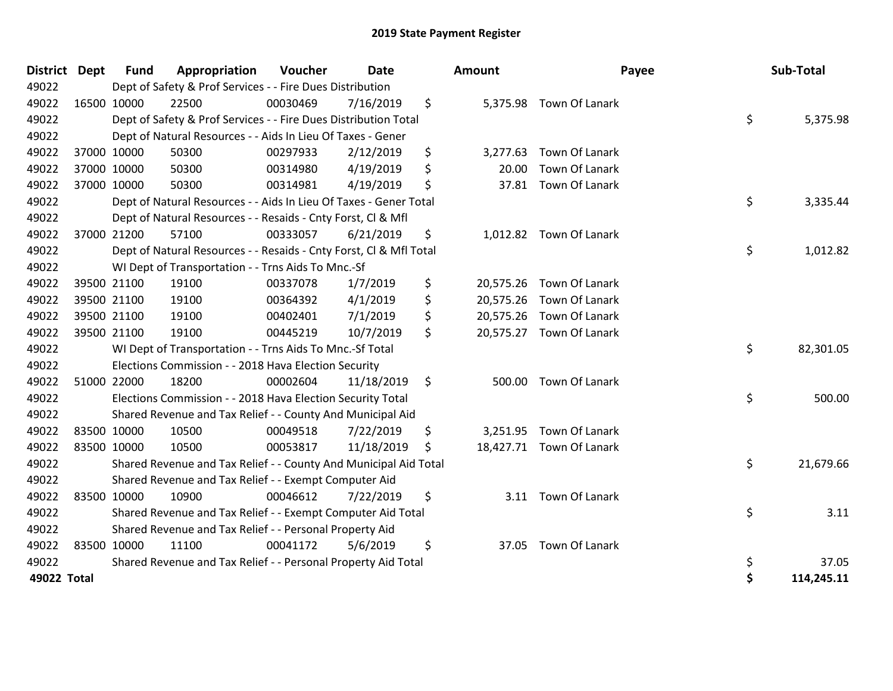| <b>District</b> | <b>Dept</b> | <b>Fund</b> | Appropriation                                                      | Voucher  | <b>Date</b> | <b>Amount</b>  | Payee                    | Sub-Total        |
|-----------------|-------------|-------------|--------------------------------------------------------------------|----------|-------------|----------------|--------------------------|------------------|
| 49022           |             |             | Dept of Safety & Prof Services - - Fire Dues Distribution          |          |             |                |                          |                  |
| 49022           | 16500 10000 |             | 22500                                                              | 00030469 | 7/16/2019   | \$             | 5,375.98 Town Of Lanark  |                  |
| 49022           |             |             | Dept of Safety & Prof Services - - Fire Dues Distribution Total    |          |             |                |                          | \$<br>5,375.98   |
| 49022           |             |             | Dept of Natural Resources - - Aids In Lieu Of Taxes - Gener        |          |             |                |                          |                  |
| 49022           | 37000 10000 |             | 50300                                                              | 00297933 | 2/12/2019   | \$<br>3,277.63 | Town Of Lanark           |                  |
| 49022           | 37000 10000 |             | 50300                                                              | 00314980 | 4/19/2019   | \$<br>20.00    | Town Of Lanark           |                  |
| 49022           | 37000 10000 |             | 50300                                                              | 00314981 | 4/19/2019   | \$<br>37.81    | Town Of Lanark           |                  |
| 49022           |             |             | Dept of Natural Resources - - Aids In Lieu Of Taxes - Gener Total  |          |             |                |                          | \$<br>3,335.44   |
| 49022           |             |             | Dept of Natural Resources - - Resaids - Cnty Forst, Cl & Mfl       |          |             |                |                          |                  |
| 49022           |             | 37000 21200 | 57100                                                              | 00333057 | 6/21/2019   | \$             | 1,012.82 Town Of Lanark  |                  |
| 49022           |             |             | Dept of Natural Resources - - Resaids - Cnty Forst, Cl & Mfl Total |          |             |                |                          | \$<br>1,012.82   |
| 49022           |             |             | WI Dept of Transportation - - Trns Aids To Mnc.-Sf                 |          |             |                |                          |                  |
| 49022           |             | 39500 21100 | 19100                                                              | 00337078 | 1/7/2019    | \$             | 20,575.26 Town Of Lanark |                  |
| 49022           | 39500 21100 |             | 19100                                                              | 00364392 | 4/1/2019    | \$             | 20,575.26 Town Of Lanark |                  |
| 49022           | 39500 21100 |             | 19100                                                              | 00402401 | 7/1/2019    | \$             | 20,575.26 Town Of Lanark |                  |
| 49022           | 39500 21100 |             | 19100                                                              | 00445219 | 10/7/2019   | \$             | 20,575.27 Town Of Lanark |                  |
| 49022           |             |             | WI Dept of Transportation - - Trns Aids To Mnc.-Sf Total           |          |             |                |                          | \$<br>82,301.05  |
| 49022           |             |             | Elections Commission - - 2018 Hava Election Security               |          |             |                |                          |                  |
| 49022           |             | 51000 22000 | 18200                                                              | 00002604 | 11/18/2019  | \$             | 500.00 Town Of Lanark    |                  |
| 49022           |             |             | Elections Commission - - 2018 Hava Election Security Total         |          |             |                |                          | \$<br>500.00     |
| 49022           |             |             | Shared Revenue and Tax Relief - - County And Municipal Aid         |          |             |                |                          |                  |
| 49022           |             | 83500 10000 | 10500                                                              | 00049518 | 7/22/2019   | \$             | 3,251.95 Town Of Lanark  |                  |
| 49022           | 83500 10000 |             | 10500                                                              | 00053817 | 11/18/2019  | \$             | 18,427.71 Town Of Lanark |                  |
| 49022           |             |             | Shared Revenue and Tax Relief - - County And Municipal Aid Total   |          |             |                |                          | \$<br>21,679.66  |
| 49022           |             |             | Shared Revenue and Tax Relief - - Exempt Computer Aid              |          |             |                |                          |                  |
| 49022           |             | 83500 10000 | 10900                                                              | 00046612 | 7/22/2019   | \$<br>3.11     | Town Of Lanark           |                  |
| 49022           |             |             | Shared Revenue and Tax Relief - - Exempt Computer Aid Total        |          |             |                |                          | \$<br>3.11       |
| 49022           |             |             | Shared Revenue and Tax Relief - - Personal Property Aid            |          |             |                |                          |                  |
| 49022           |             | 83500 10000 | 11100                                                              | 00041172 | 5/6/2019    | \$<br>37.05    | Town Of Lanark           |                  |
| 49022           |             |             | Shared Revenue and Tax Relief - - Personal Property Aid Total      |          |             |                |                          | \$<br>37.05      |
| 49022 Total     |             |             |                                                                    |          |             |                |                          | \$<br>114,245.11 |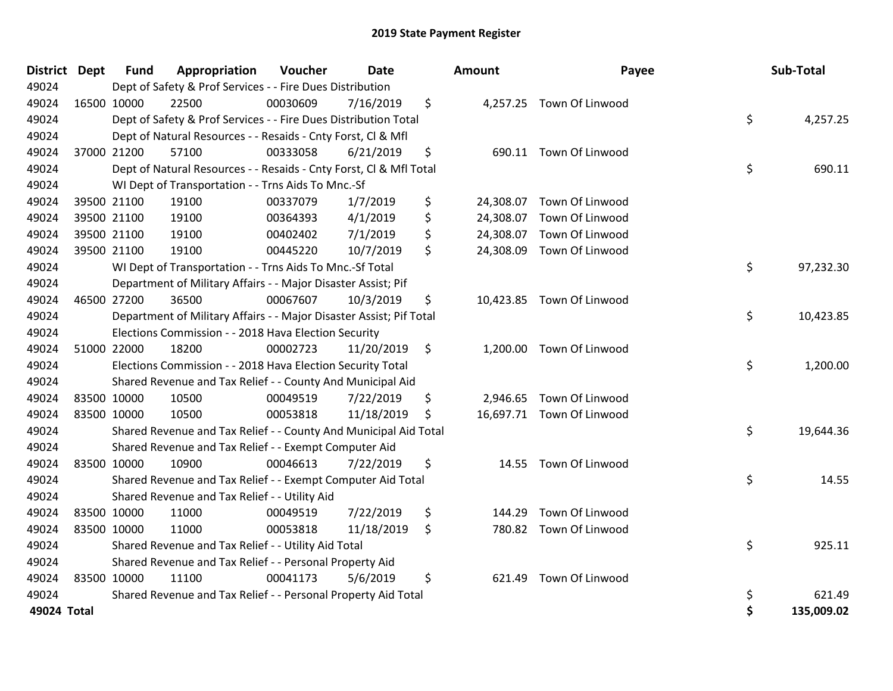| District Dept | <b>Fund</b> | Appropriation                                                       | Voucher  | <b>Date</b> |    | <b>Amount</b> | Payee                     | Sub-Total        |
|---------------|-------------|---------------------------------------------------------------------|----------|-------------|----|---------------|---------------------------|------------------|
| 49024         |             | Dept of Safety & Prof Services - - Fire Dues Distribution           |          |             |    |               |                           |                  |
| 49024         | 16500 10000 | 22500                                                               | 00030609 | 7/16/2019   | \$ |               | 4,257.25 Town Of Linwood  |                  |
| 49024         |             | Dept of Safety & Prof Services - - Fire Dues Distribution Total     |          |             |    |               |                           | \$<br>4,257.25   |
| 49024         |             | Dept of Natural Resources - - Resaids - Cnty Forst, CI & Mfl        |          |             |    |               |                           |                  |
| 49024         | 37000 21200 | 57100                                                               | 00333058 | 6/21/2019   | \$ |               | 690.11 Town Of Linwood    |                  |
| 49024         |             | Dept of Natural Resources - - Resaids - Cnty Forst, Cl & Mfl Total  |          |             |    |               |                           | \$<br>690.11     |
| 49024         |             | WI Dept of Transportation - - Trns Aids To Mnc.-Sf                  |          |             |    |               |                           |                  |
| 49024         | 39500 21100 | 19100                                                               | 00337079 | 1/7/2019    | \$ |               | 24,308.07 Town Of Linwood |                  |
| 49024         | 39500 21100 | 19100                                                               | 00364393 | 4/1/2019    | \$ |               | 24,308.07 Town Of Linwood |                  |
| 49024         | 39500 21100 | 19100                                                               | 00402402 | 7/1/2019    | \$ |               | 24,308.07 Town Of Linwood |                  |
| 49024         | 39500 21100 | 19100                                                               | 00445220 | 10/7/2019   | \$ |               | 24,308.09 Town Of Linwood |                  |
| 49024         |             | WI Dept of Transportation - - Trns Aids To Mnc.-Sf Total            |          |             |    |               |                           | \$<br>97,232.30  |
| 49024         |             | Department of Military Affairs - - Major Disaster Assist; Pif       |          |             |    |               |                           |                  |
| 49024         | 46500 27200 | 36500                                                               | 00067607 | 10/3/2019   | \$ |               | 10,423.85 Town Of Linwood |                  |
| 49024         |             | Department of Military Affairs - - Major Disaster Assist; Pif Total |          |             |    |               |                           | \$<br>10,423.85  |
| 49024         |             | Elections Commission - - 2018 Hava Election Security                |          |             |    |               |                           |                  |
| 49024         | 51000 22000 | 18200                                                               | 00002723 | 11/20/2019  | \$ |               | 1,200.00 Town Of Linwood  |                  |
| 49024         |             | Elections Commission - - 2018 Hava Election Security Total          |          |             |    |               |                           | \$<br>1,200.00   |
| 49024         |             | Shared Revenue and Tax Relief - - County And Municipal Aid          |          |             |    |               |                           |                  |
| 49024         | 83500 10000 | 10500                                                               | 00049519 | 7/22/2019   | \$ |               | 2,946.65 Town Of Linwood  |                  |
| 49024         | 83500 10000 | 10500                                                               | 00053818 | 11/18/2019  | S. |               | 16,697.71 Town Of Linwood |                  |
| 49024         |             | Shared Revenue and Tax Relief - - County And Municipal Aid Total    |          |             |    |               |                           | \$<br>19,644.36  |
| 49024         |             | Shared Revenue and Tax Relief - - Exempt Computer Aid               |          |             |    |               |                           |                  |
| 49024         | 83500 10000 | 10900                                                               | 00046613 | 7/22/2019   | \$ | 14.55         | Town Of Linwood           |                  |
| 49024         |             | Shared Revenue and Tax Relief - - Exempt Computer Aid Total         |          |             |    |               |                           | \$<br>14.55      |
| 49024         |             | Shared Revenue and Tax Relief - - Utility Aid                       |          |             |    |               |                           |                  |
| 49024         | 83500 10000 | 11000                                                               | 00049519 | 7/22/2019   | \$ | 144.29        | Town Of Linwood           |                  |
| 49024         | 83500 10000 | 11000                                                               | 00053818 | 11/18/2019  | \$ |               | 780.82 Town Of Linwood    |                  |
| 49024         |             | Shared Revenue and Tax Relief - - Utility Aid Total                 |          |             |    |               |                           | \$<br>925.11     |
| 49024         |             | Shared Revenue and Tax Relief - - Personal Property Aid             |          |             |    |               |                           |                  |
| 49024         | 83500 10000 | 11100                                                               | 00041173 | 5/6/2019    | \$ | 621.49        | Town Of Linwood           |                  |
| 49024         |             | Shared Revenue and Tax Relief - - Personal Property Aid Total       |          |             |    |               |                           | \$<br>621.49     |
| 49024 Total   |             |                                                                     |          |             |    |               |                           | \$<br>135,009.02 |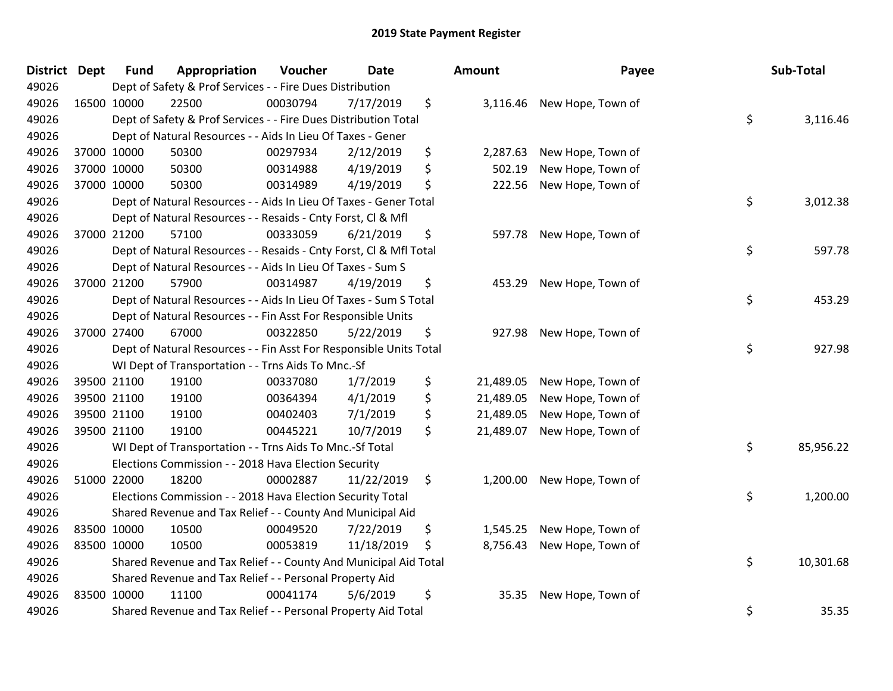| <b>District</b> | <b>Dept</b> | <b>Fund</b> | Appropriation                                                      | Voucher  | <b>Date</b> | Amount          | Payee             | Sub-Total       |
|-----------------|-------------|-------------|--------------------------------------------------------------------|----------|-------------|-----------------|-------------------|-----------------|
| 49026           |             |             | Dept of Safety & Prof Services - - Fire Dues Distribution          |          |             |                 |                   |                 |
| 49026           |             | 16500 10000 | 22500                                                              | 00030794 | 7/17/2019   | \$<br>3,116.46  | New Hope, Town of |                 |
| 49026           |             |             | Dept of Safety & Prof Services - - Fire Dues Distribution Total    |          |             |                 |                   | \$<br>3,116.46  |
| 49026           |             |             | Dept of Natural Resources - - Aids In Lieu Of Taxes - Gener        |          |             |                 |                   |                 |
| 49026           |             | 37000 10000 | 50300                                                              | 00297934 | 2/12/2019   | \$<br>2,287.63  | New Hope, Town of |                 |
| 49026           |             | 37000 10000 | 50300                                                              | 00314988 | 4/19/2019   | \$<br>502.19    | New Hope, Town of |                 |
| 49026           |             | 37000 10000 | 50300                                                              | 00314989 | 4/19/2019   | \$<br>222.56    | New Hope, Town of |                 |
| 49026           |             |             | Dept of Natural Resources - - Aids In Lieu Of Taxes - Gener Total  |          |             |                 |                   | \$<br>3,012.38  |
| 49026           |             |             | Dept of Natural Resources - - Resaids - Cnty Forst, Cl & Mfl       |          |             |                 |                   |                 |
| 49026           |             | 37000 21200 | 57100                                                              | 00333059 | 6/21/2019   | \$<br>597.78    | New Hope, Town of |                 |
| 49026           |             |             | Dept of Natural Resources - - Resaids - Cnty Forst, CI & Mfl Total |          |             |                 |                   | \$<br>597.78    |
| 49026           |             |             | Dept of Natural Resources - - Aids In Lieu Of Taxes - Sum S        |          |             |                 |                   |                 |
| 49026           |             | 37000 21200 | 57900                                                              | 00314987 | 4/19/2019   | \$<br>453.29    | New Hope, Town of |                 |
| 49026           |             |             | Dept of Natural Resources - - Aids In Lieu Of Taxes - Sum S Total  |          |             |                 |                   | \$<br>453.29    |
| 49026           |             |             | Dept of Natural Resources - - Fin Asst For Responsible Units       |          |             |                 |                   |                 |
| 49026           |             | 37000 27400 | 67000                                                              | 00322850 | 5/22/2019   | \$<br>927.98    | New Hope, Town of |                 |
| 49026           |             |             | Dept of Natural Resources - - Fin Asst For Responsible Units Total |          |             |                 |                   | \$<br>927.98    |
| 49026           |             |             | WI Dept of Transportation - - Trns Aids To Mnc.-Sf                 |          |             |                 |                   |                 |
| 49026           |             | 39500 21100 | 19100                                                              | 00337080 | 1/7/2019    | \$<br>21,489.05 | New Hope, Town of |                 |
| 49026           |             | 39500 21100 | 19100                                                              | 00364394 | 4/1/2019    | \$<br>21,489.05 | New Hope, Town of |                 |
| 49026           |             | 39500 21100 | 19100                                                              | 00402403 | 7/1/2019    | \$<br>21,489.05 | New Hope, Town of |                 |
| 49026           |             | 39500 21100 | 19100                                                              | 00445221 | 10/7/2019   | \$<br>21,489.07 | New Hope, Town of |                 |
| 49026           |             |             | WI Dept of Transportation - - Trns Aids To Mnc.-Sf Total           |          |             |                 |                   | \$<br>85,956.22 |
| 49026           |             |             | Elections Commission - - 2018 Hava Election Security               |          |             |                 |                   |                 |
| 49026           |             | 51000 22000 | 18200                                                              | 00002887 | 11/22/2019  | \$<br>1,200.00  | New Hope, Town of |                 |
| 49026           |             |             | Elections Commission - - 2018 Hava Election Security Total         |          |             |                 |                   | \$<br>1,200.00  |
| 49026           |             |             | Shared Revenue and Tax Relief - - County And Municipal Aid         |          |             |                 |                   |                 |
| 49026           |             | 83500 10000 | 10500                                                              | 00049520 | 7/22/2019   | \$<br>1,545.25  | New Hope, Town of |                 |
| 49026           |             | 83500 10000 | 10500                                                              | 00053819 | 11/18/2019  | \$<br>8,756.43  | New Hope, Town of |                 |
| 49026           |             |             | Shared Revenue and Tax Relief - - County And Municipal Aid Total   |          |             |                 |                   | \$<br>10,301.68 |
| 49026           |             |             | Shared Revenue and Tax Relief - - Personal Property Aid            |          |             |                 |                   |                 |
| 49026           |             | 83500 10000 | 11100                                                              | 00041174 | 5/6/2019    | \$<br>35.35     | New Hope, Town of |                 |
| 49026           |             |             | Shared Revenue and Tax Relief - - Personal Property Aid Total      |          |             |                 |                   | \$<br>35.35     |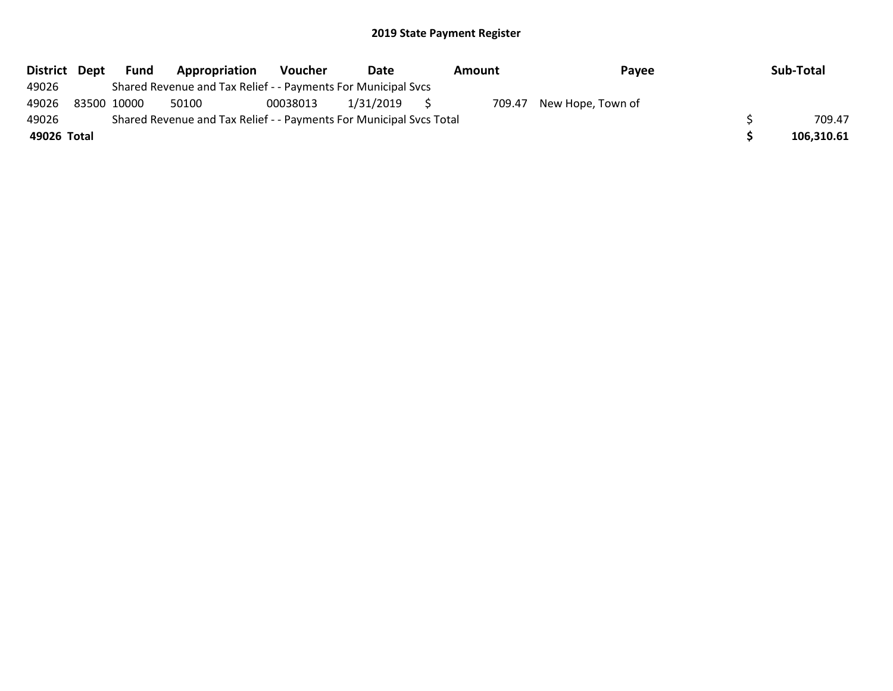| District Dept | Fund        | Appropriation                                                       | Voucher  | Date      | Amount | Pavee             | Sub-Total  |
|---------------|-------------|---------------------------------------------------------------------|----------|-----------|--------|-------------------|------------|
| 49026         |             | Shared Revenue and Tax Relief - - Payments For Municipal Svcs       |          |           |        |                   |            |
| 49026         | 83500 10000 | 50100                                                               | 00038013 | 1/31/2019 | 709.47 | New Hope, Town of |            |
| 49026         |             | Shared Revenue and Tax Relief - - Payments For Municipal Svcs Total |          |           |        |                   | 709.47     |
| 49026 Total   |             |                                                                     |          |           |        |                   | 106,310.61 |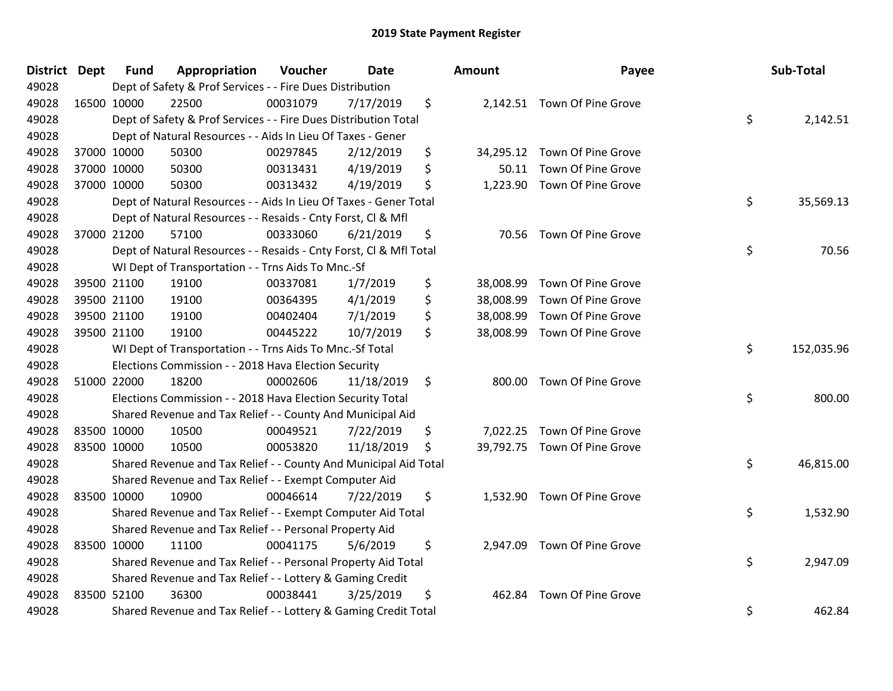| District Dept | <b>Fund</b> | Appropriation                                                      | Voucher  | <b>Date</b> | Amount          | Payee                        | Sub-Total        |
|---------------|-------------|--------------------------------------------------------------------|----------|-------------|-----------------|------------------------------|------------------|
| 49028         |             | Dept of Safety & Prof Services - - Fire Dues Distribution          |          |             |                 |                              |                  |
| 49028         | 16500 10000 | 22500                                                              | 00031079 | 7/17/2019   | \$              | 2,142.51 Town Of Pine Grove  |                  |
| 49028         |             | Dept of Safety & Prof Services - - Fire Dues Distribution Total    |          |             |                 |                              | \$<br>2,142.51   |
| 49028         |             | Dept of Natural Resources - - Aids In Lieu Of Taxes - Gener        |          |             |                 |                              |                  |
| 49028         | 37000 10000 | 50300                                                              | 00297845 | 2/12/2019   | \$              | 34,295.12 Town Of Pine Grove |                  |
| 49028         | 37000 10000 | 50300                                                              | 00313431 | 4/19/2019   | \$<br>50.11     | Town Of Pine Grove           |                  |
| 49028         | 37000 10000 | 50300                                                              | 00313432 | 4/19/2019   | \$<br>1,223.90  | Town Of Pine Grove           |                  |
| 49028         |             | Dept of Natural Resources - - Aids In Lieu Of Taxes - Gener Total  |          |             |                 |                              | \$<br>35,569.13  |
| 49028         |             | Dept of Natural Resources - - Resaids - Cnty Forst, Cl & Mfl       |          |             |                 |                              |                  |
| 49028         | 37000 21200 | 57100                                                              | 00333060 | 6/21/2019   | \$<br>70.56     | Town Of Pine Grove           |                  |
| 49028         |             | Dept of Natural Resources - - Resaids - Cnty Forst, CI & Mfl Total |          |             |                 |                              | \$<br>70.56      |
| 49028         |             | WI Dept of Transportation - - Trns Aids To Mnc.-Sf                 |          |             |                 |                              |                  |
| 49028         | 39500 21100 | 19100                                                              | 00337081 | 1/7/2019    | \$              | 38,008.99 Town Of Pine Grove |                  |
| 49028         | 39500 21100 | 19100                                                              | 00364395 | 4/1/2019    | \$<br>38,008.99 | Town Of Pine Grove           |                  |
| 49028         | 39500 21100 | 19100                                                              | 00402404 | 7/1/2019    | \$              | 38,008.99 Town Of Pine Grove |                  |
| 49028         | 39500 21100 | 19100                                                              | 00445222 | 10/7/2019   | \$              | 38,008.99 Town Of Pine Grove |                  |
| 49028         |             | WI Dept of Transportation - - Trns Aids To Mnc.-Sf Total           |          |             |                 |                              | \$<br>152,035.96 |
| 49028         |             | Elections Commission - - 2018 Hava Election Security               |          |             |                 |                              |                  |
| 49028         | 51000 22000 | 18200                                                              | 00002606 | 11/18/2019  | \$              | 800.00 Town Of Pine Grove    |                  |
| 49028         |             | Elections Commission - - 2018 Hava Election Security Total         |          |             |                 |                              | \$<br>800.00     |
| 49028         |             | Shared Revenue and Tax Relief - - County And Municipal Aid         |          |             |                 |                              |                  |
| 49028         | 83500 10000 | 10500                                                              | 00049521 | 7/22/2019   | \$              | 7,022.25 Town Of Pine Grove  |                  |
| 49028         | 83500 10000 | 10500                                                              | 00053820 | 11/18/2019  | \$              | 39,792.75 Town Of Pine Grove |                  |
| 49028         |             | Shared Revenue and Tax Relief - - County And Municipal Aid Total   |          |             |                 |                              | \$<br>46,815.00  |
| 49028         |             | Shared Revenue and Tax Relief - - Exempt Computer Aid              |          |             |                 |                              |                  |
| 49028         | 83500 10000 | 10900                                                              | 00046614 | 7/22/2019   | \$              | 1,532.90 Town Of Pine Grove  |                  |
| 49028         |             | Shared Revenue and Tax Relief - - Exempt Computer Aid Total        |          |             |                 |                              | \$<br>1,532.90   |
| 49028         |             | Shared Revenue and Tax Relief - - Personal Property Aid            |          |             |                 |                              |                  |
| 49028         | 83500 10000 | 11100                                                              | 00041175 | 5/6/2019    | \$              | 2,947.09 Town Of Pine Grove  |                  |
| 49028         |             | Shared Revenue and Tax Relief - - Personal Property Aid Total      |          |             |                 |                              | \$<br>2,947.09   |
| 49028         |             | Shared Revenue and Tax Relief - - Lottery & Gaming Credit          |          |             |                 |                              |                  |
| 49028         | 83500 52100 | 36300                                                              | 00038441 | 3/25/2019   | \$<br>462.84    | Town Of Pine Grove           |                  |
| 49028         |             | Shared Revenue and Tax Relief - - Lottery & Gaming Credit Total    |          |             |                 |                              | \$<br>462.84     |

| ount      | <b>Payee</b>                 | Sub-Total        |
|-----------|------------------------------|------------------|
| 2,142.51  | Town Of Pine Grove           | \$<br>2,142.51   |
|           | 34,295.12 Town Of Pine Grove |                  |
| 50.11     | Town Of Pine Grove           |                  |
| 1,223.90  | Town Of Pine Grove           |                  |
|           |                              | \$<br>35,569.13  |
| 70.56     | Town Of Pine Grove           |                  |
|           |                              | \$<br>70.56      |
| 38,008.99 | Town Of Pine Grove           |                  |
| 38,008.99 | Town Of Pine Grove           |                  |
| 38,008.99 | <b>Town Of Pine Grove</b>    |                  |
| 38,008.99 | Town Of Pine Grove           |                  |
|           |                              | \$<br>152,035.96 |
| 800.00    | Town Of Pine Grove           |                  |
|           |                              | \$<br>800.00     |
|           | 7,022.25 Town Of Pine Grove  |                  |
| 39,792.75 | Town Of Pine Grove           |                  |
|           |                              | \$<br>46,815.00  |
| 1,532.90  | Town Of Pine Grove           |                  |
|           |                              | \$<br>1,532.90   |
| 2,947.09  | Town Of Pine Grove           |                  |
|           |                              | \$<br>2,947.09   |
| 462.84    | Town Of Pine Grove           |                  |
|           |                              | \$<br>462.84     |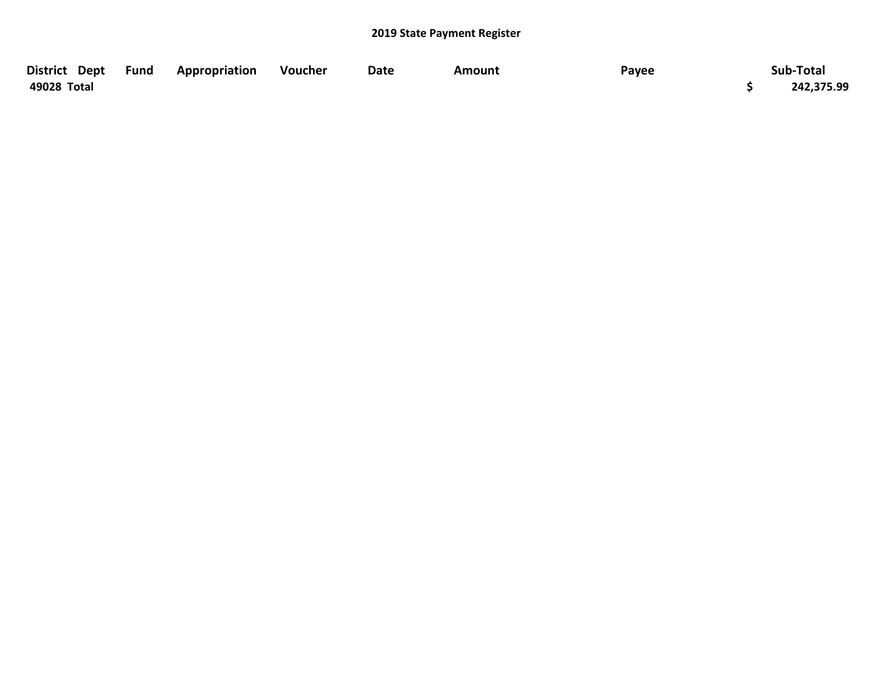| District Dept Fund | Appropriation | Voucher | Date | Amount | Payee | Sub-Total  |
|--------------------|---------------|---------|------|--------|-------|------------|
| 49028 Total        |               |         |      |        |       | 242,375.99 |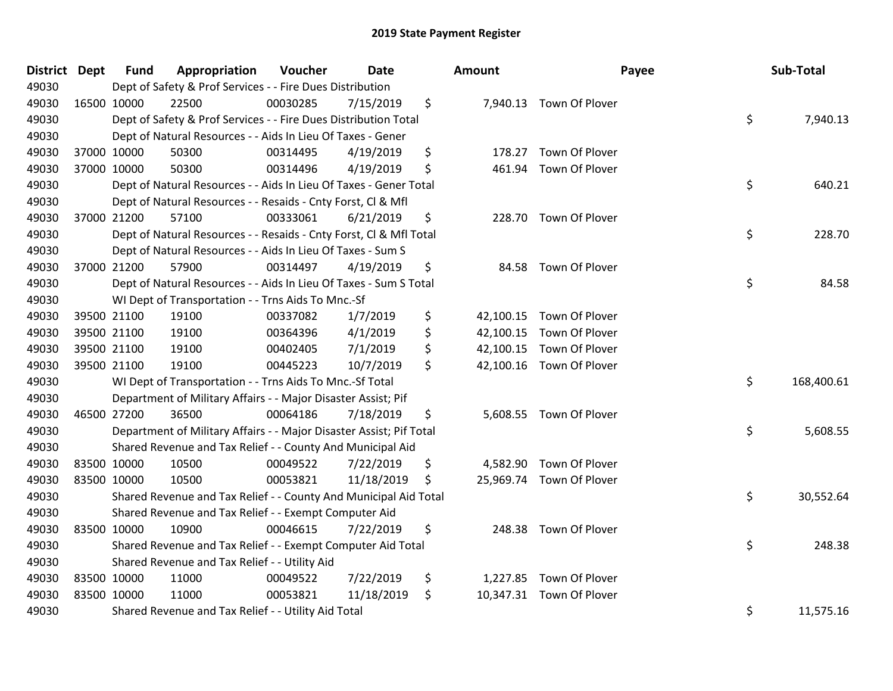| District Dept |             | <b>Fund</b> | Appropriation                                                       | Voucher  | <b>Date</b> | Amount       |                          | Payee | Sub-Total  |
|---------------|-------------|-------------|---------------------------------------------------------------------|----------|-------------|--------------|--------------------------|-------|------------|
| 49030         |             |             | Dept of Safety & Prof Services - - Fire Dues Distribution           |          |             |              |                          |       |            |
| 49030         |             | 16500 10000 | 22500                                                               | 00030285 | 7/15/2019   | \$           | 7,940.13 Town Of Plover  |       |            |
| 49030         |             |             | Dept of Safety & Prof Services - - Fire Dues Distribution Total     |          |             |              |                          | \$    | 7,940.13   |
| 49030         |             |             | Dept of Natural Resources - - Aids In Lieu Of Taxes - Gener         |          |             |              |                          |       |            |
| 49030         |             | 37000 10000 | 50300                                                               | 00314495 | 4/19/2019   | \$           | 178.27 Town Of Plover    |       |            |
| 49030         |             | 37000 10000 | 50300                                                               | 00314496 | 4/19/2019   | \$<br>461.94 | Town Of Plover           |       |            |
| 49030         |             |             | Dept of Natural Resources - - Aids In Lieu Of Taxes - Gener Total   |          |             |              |                          | \$    | 640.21     |
| 49030         |             |             | Dept of Natural Resources - - Resaids - Cnty Forst, Cl & Mfl        |          |             |              |                          |       |            |
| 49030         |             | 37000 21200 | 57100                                                               | 00333061 | 6/21/2019   | \$           | 228.70 Town Of Plover    |       |            |
| 49030         |             |             | Dept of Natural Resources - - Resaids - Cnty Forst, Cl & Mfl Total  |          |             |              |                          | \$    | 228.70     |
| 49030         |             |             | Dept of Natural Resources - - Aids In Lieu Of Taxes - Sum S         |          |             |              |                          |       |            |
| 49030         |             | 37000 21200 | 57900                                                               | 00314497 | 4/19/2019   | \$           | 84.58 Town Of Plover     |       |            |
| 49030         |             |             | Dept of Natural Resources - - Aids In Lieu Of Taxes - Sum S Total   |          |             |              |                          | \$    | 84.58      |
| 49030         |             |             | WI Dept of Transportation - - Trns Aids To Mnc.-Sf                  |          |             |              |                          |       |            |
| 49030         |             | 39500 21100 | 19100                                                               | 00337082 | 1/7/2019    | \$           | 42,100.15 Town Of Plover |       |            |
| 49030         |             | 39500 21100 | 19100                                                               | 00364396 | 4/1/2019    | \$           | 42,100.15 Town Of Plover |       |            |
| 49030         |             | 39500 21100 | 19100                                                               | 00402405 | 7/1/2019    | \$           | 42,100.15 Town Of Plover |       |            |
| 49030         |             | 39500 21100 | 19100                                                               | 00445223 | 10/7/2019   | \$           | 42,100.16 Town Of Plover |       |            |
| 49030         |             |             | WI Dept of Transportation - - Trns Aids To Mnc.-Sf Total            |          |             |              |                          | \$    | 168,400.61 |
| 49030         |             |             | Department of Military Affairs - - Major Disaster Assist; Pif       |          |             |              |                          |       |            |
| 49030         |             | 46500 27200 | 36500                                                               | 00064186 | 7/18/2019   | \$           | 5,608.55 Town Of Plover  |       |            |
| 49030         |             |             | Department of Military Affairs - - Major Disaster Assist; Pif Total |          |             |              |                          | \$    | 5,608.55   |
| 49030         |             |             | Shared Revenue and Tax Relief - - County And Municipal Aid          |          |             |              |                          |       |            |
| 49030         | 83500 10000 |             | 10500                                                               | 00049522 | 7/22/2019   | \$           | 4,582.90 Town Of Plover  |       |            |
| 49030         |             | 83500 10000 | 10500                                                               | 00053821 | 11/18/2019  | \$           | 25,969.74 Town Of Plover |       |            |
| 49030         |             |             | Shared Revenue and Tax Relief - - County And Municipal Aid Total    |          |             |              |                          | \$    | 30,552.64  |
| 49030         |             |             | Shared Revenue and Tax Relief - - Exempt Computer Aid               |          |             |              |                          |       |            |
| 49030         | 83500 10000 |             | 10900                                                               | 00046615 | 7/22/2019   | \$           | 248.38 Town Of Plover    |       |            |
| 49030         |             |             | Shared Revenue and Tax Relief - - Exempt Computer Aid Total         |          |             |              |                          | \$    | 248.38     |
| 49030         |             |             | Shared Revenue and Tax Relief - - Utility Aid                       |          |             |              |                          |       |            |
| 49030         |             | 83500 10000 | 11000                                                               | 00049522 | 7/22/2019   | \$           | 1,227.85 Town Of Plover  |       |            |
| 49030         |             | 83500 10000 | 11000                                                               | 00053821 | 11/18/2019  | \$           | 10,347.31 Town Of Plover |       |            |
| 49030         |             |             | Shared Revenue and Tax Relief - - Utility Aid Total                 |          |             |              |                          | \$    | 11,575.16  |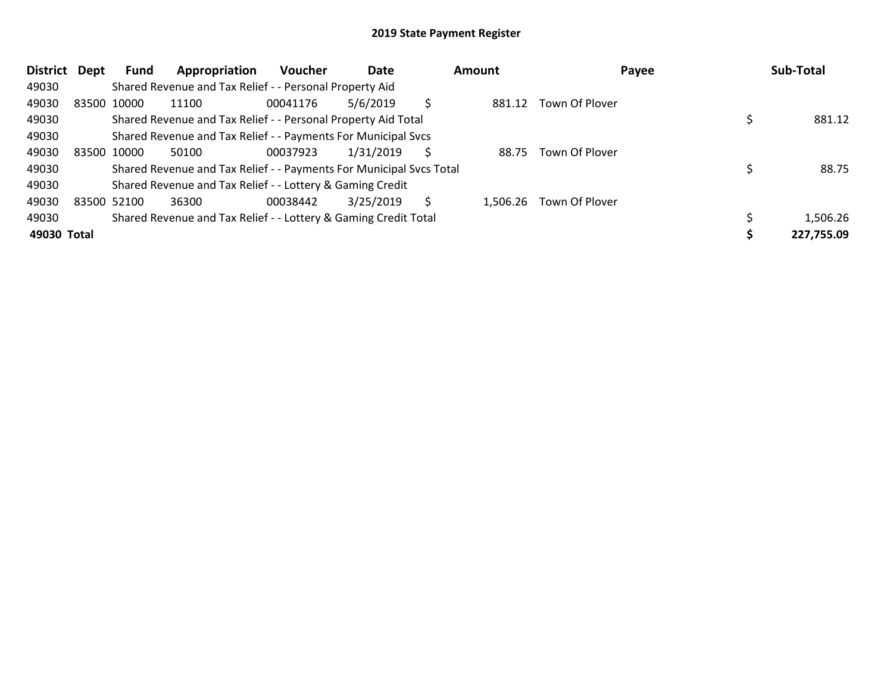| <b>District</b> | <b>Dept</b> | Fund        | Appropriation                                                       | <b>Voucher</b> | Date      | Amount |          | Payee          |   | Sub-Total  |
|-----------------|-------------|-------------|---------------------------------------------------------------------|----------------|-----------|--------|----------|----------------|---|------------|
| 49030           |             |             | Shared Revenue and Tax Relief - - Personal Property Aid             |                |           |        |          |                |   |            |
| 49030           |             | 83500 10000 | 11100                                                               | 00041176       | 5/6/2019  | Ś      | 881.12   | Town Of Plover |   |            |
| 49030           |             |             | Shared Revenue and Tax Relief - - Personal Property Aid Total       |                |           |        |          |                |   | 881.12     |
| 49030           |             |             | Shared Revenue and Tax Relief - - Payments For Municipal Svcs       |                |           |        |          |                |   |            |
| 49030           |             | 83500 10000 | 50100                                                               | 00037923       | 1/31/2019 | Ś      | 88.75    | Town Of Plover |   |            |
| 49030           |             |             | Shared Revenue and Tax Relief - - Payments For Municipal Svcs Total |                |           |        |          |                |   | 88.75      |
| 49030           |             |             | Shared Revenue and Tax Relief - - Lottery & Gaming Credit           |                |           |        |          |                |   |            |
| 49030           |             | 83500 52100 | 36300                                                               | 00038442       | 3/25/2019 | S      | 1.506.26 | Town Of Plover |   |            |
| 49030           |             |             | Shared Revenue and Tax Relief - - Lottery & Gaming Credit Total     |                |           |        |          |                | Ś | 1,506.26   |
| 49030 Total     |             |             |                                                                     |                |           |        |          |                |   | 227,755.09 |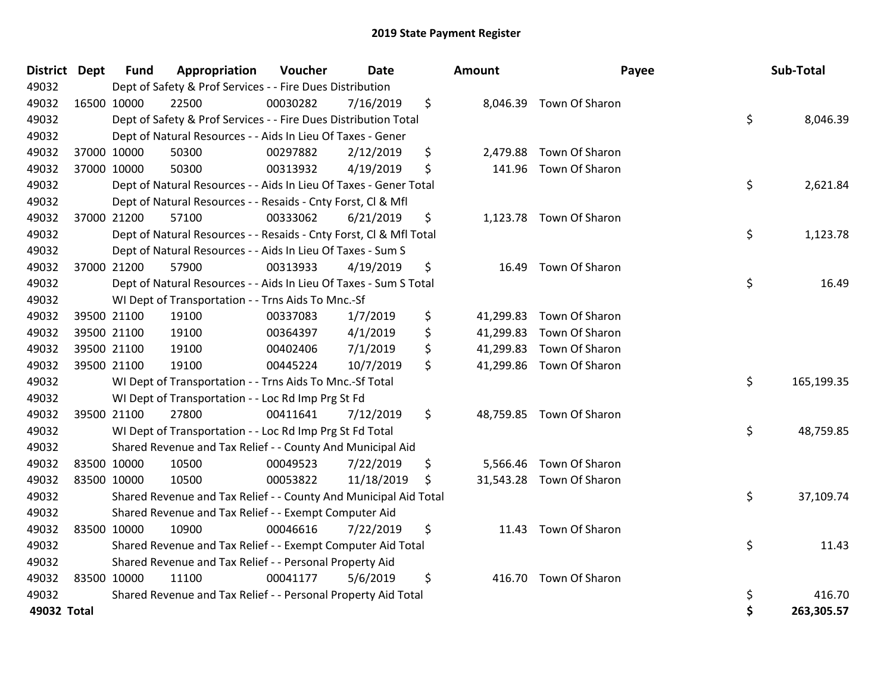| District Dept | <b>Fund</b> | Appropriation                                                      | Voucher  | <b>Date</b> | Amount | Payee                    | Sub-Total        |
|---------------|-------------|--------------------------------------------------------------------|----------|-------------|--------|--------------------------|------------------|
| 49032         |             | Dept of Safety & Prof Services - - Fire Dues Distribution          |          |             |        |                          |                  |
| 49032         | 16500 10000 | 22500                                                              | 00030282 | 7/16/2019   | \$     | 8,046.39 Town Of Sharon  |                  |
| 49032         |             | Dept of Safety & Prof Services - - Fire Dues Distribution Total    |          |             |        |                          | \$<br>8,046.39   |
| 49032         |             | Dept of Natural Resources - - Aids In Lieu Of Taxes - Gener        |          |             |        |                          |                  |
| 49032         | 37000 10000 | 50300                                                              | 00297882 | 2/12/2019   | \$     | 2,479.88 Town Of Sharon  |                  |
| 49032         | 37000 10000 | 50300                                                              | 00313932 | 4/19/2019   | \$     | 141.96 Town Of Sharon    |                  |
| 49032         |             | Dept of Natural Resources - - Aids In Lieu Of Taxes - Gener Total  |          |             |        |                          | \$<br>2,621.84   |
| 49032         |             | Dept of Natural Resources - - Resaids - Cnty Forst, Cl & Mfl       |          |             |        |                          |                  |
| 49032         | 37000 21200 | 57100                                                              | 00333062 | 6/21/2019   | \$     | 1,123.78 Town Of Sharon  |                  |
| 49032         |             | Dept of Natural Resources - - Resaids - Cnty Forst, CI & Mfl Total |          |             |        |                          | \$<br>1,123.78   |
| 49032         |             | Dept of Natural Resources - - Aids In Lieu Of Taxes - Sum S        |          |             |        |                          |                  |
| 49032         | 37000 21200 | 57900                                                              | 00313933 | 4/19/2019   | \$     | 16.49 Town Of Sharon     |                  |
| 49032         |             | Dept of Natural Resources - - Aids In Lieu Of Taxes - Sum S Total  |          |             |        |                          | \$<br>16.49      |
| 49032         |             | WI Dept of Transportation - - Trns Aids To Mnc.-Sf                 |          |             |        |                          |                  |
| 49032         | 39500 21100 | 19100                                                              | 00337083 | 1/7/2019    | \$     | 41,299.83 Town Of Sharon |                  |
| 49032         | 39500 21100 | 19100                                                              | 00364397 | 4/1/2019    | \$     | 41,299.83 Town Of Sharon |                  |
| 49032         | 39500 21100 | 19100                                                              | 00402406 | 7/1/2019    | \$     | 41,299.83 Town Of Sharon |                  |
| 49032         | 39500 21100 | 19100                                                              | 00445224 | 10/7/2019   | \$     | 41,299.86 Town Of Sharon |                  |
| 49032         |             | WI Dept of Transportation - - Trns Aids To Mnc.-Sf Total           |          |             |        |                          | \$<br>165,199.35 |
| 49032         |             | WI Dept of Transportation - - Loc Rd Imp Prg St Fd                 |          |             |        |                          |                  |
| 49032         | 39500 21100 | 27800                                                              | 00411641 | 7/12/2019   | \$     | 48,759.85 Town Of Sharon |                  |
| 49032         |             | WI Dept of Transportation - - Loc Rd Imp Prg St Fd Total           |          |             |        |                          | \$<br>48,759.85  |
| 49032         |             | Shared Revenue and Tax Relief - - County And Municipal Aid         |          |             |        |                          |                  |
| 49032         | 83500 10000 | 10500                                                              | 00049523 | 7/22/2019   | \$     | 5,566.46 Town Of Sharon  |                  |
| 49032         | 83500 10000 | 10500                                                              | 00053822 | 11/18/2019  | \$     | 31,543.28 Town Of Sharon |                  |
| 49032         |             | Shared Revenue and Tax Relief - - County And Municipal Aid Total   |          |             |        |                          | \$<br>37,109.74  |
| 49032         |             | Shared Revenue and Tax Relief - - Exempt Computer Aid              |          |             |        |                          |                  |
| 49032         | 83500 10000 | 10900                                                              | 00046616 | 7/22/2019   | \$     | 11.43 Town Of Sharon     |                  |
| 49032         |             | Shared Revenue and Tax Relief - - Exempt Computer Aid Total        |          |             |        |                          | \$<br>11.43      |
| 49032         |             | Shared Revenue and Tax Relief - - Personal Property Aid            |          |             |        |                          |                  |
| 49032         | 83500 10000 | 11100                                                              | 00041177 | 5/6/2019    | \$     | 416.70 Town Of Sharon    |                  |
| 49032         |             | Shared Revenue and Tax Relief - - Personal Property Aid Total      |          |             |        |                          | \$<br>416.70     |
| 49032 Total   |             |                                                                    |          |             |        |                          | \$<br>263,305.57 |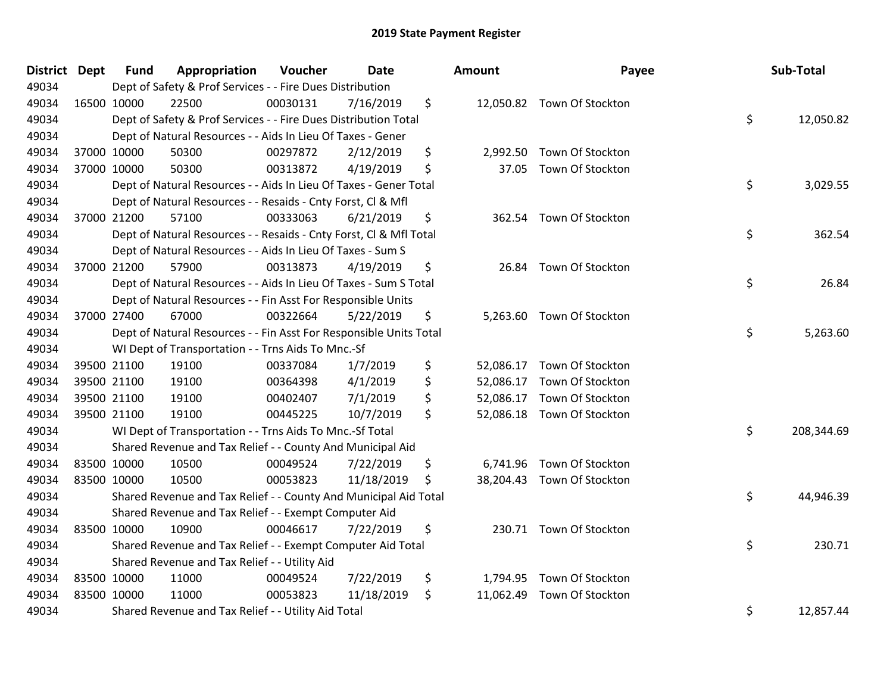| District Dept |             | <b>Fund</b> | Appropriation                                                      | Voucher  | Date       | <b>Amount</b>   | Payee                      | Sub-Total        |
|---------------|-------------|-------------|--------------------------------------------------------------------|----------|------------|-----------------|----------------------------|------------------|
| 49034         |             |             | Dept of Safety & Prof Services - - Fire Dues Distribution          |          |            |                 |                            |                  |
| 49034         |             | 16500 10000 | 22500                                                              | 00030131 | 7/16/2019  | \$              | 12,050.82 Town Of Stockton |                  |
| 49034         |             |             | Dept of Safety & Prof Services - - Fire Dues Distribution Total    |          |            |                 |                            | \$<br>12,050.82  |
| 49034         |             |             | Dept of Natural Resources - - Aids In Lieu Of Taxes - Gener        |          |            |                 |                            |                  |
| 49034         |             | 37000 10000 | 50300                                                              | 00297872 | 2/12/2019  | \$<br>2,992.50  | Town Of Stockton           |                  |
| 49034         |             | 37000 10000 | 50300                                                              | 00313872 | 4/19/2019  | \$<br>37.05     | Town Of Stockton           |                  |
| 49034         |             |             | Dept of Natural Resources - - Aids In Lieu Of Taxes - Gener Total  |          |            |                 |                            | \$<br>3,029.55   |
| 49034         |             |             | Dept of Natural Resources - - Resaids - Cnty Forst, Cl & Mfl       |          |            |                 |                            |                  |
| 49034         |             | 37000 21200 | 57100                                                              | 00333063 | 6/21/2019  | \$              | 362.54 Town Of Stockton    |                  |
| 49034         |             |             | Dept of Natural Resources - - Resaids - Cnty Forst, Cl & Mfl Total |          |            |                 |                            | \$<br>362.54     |
| 49034         |             |             | Dept of Natural Resources - - Aids In Lieu Of Taxes - Sum S        |          |            |                 |                            |                  |
| 49034         |             | 37000 21200 | 57900                                                              | 00313873 | 4/19/2019  | \$<br>26.84     | Town Of Stockton           |                  |
| 49034         |             |             | Dept of Natural Resources - - Aids In Lieu Of Taxes - Sum S Total  |          |            |                 |                            | \$<br>26.84      |
| 49034         |             |             | Dept of Natural Resources - - Fin Asst For Responsible Units       |          |            |                 |                            |                  |
| 49034         |             | 37000 27400 | 67000                                                              | 00322664 | 5/22/2019  | \$<br>5,263.60  | Town Of Stockton           |                  |
| 49034         |             |             | Dept of Natural Resources - - Fin Asst For Responsible Units Total |          |            |                 |                            | \$<br>5,263.60   |
| 49034         |             |             | WI Dept of Transportation - - Trns Aids To Mnc.-Sf                 |          |            |                 |                            |                  |
| 49034         |             | 39500 21100 | 19100                                                              | 00337084 | 1/7/2019   | \$<br>52,086.17 | Town Of Stockton           |                  |
| 49034         |             | 39500 21100 | 19100                                                              | 00364398 | 4/1/2019   | \$              | 52,086.17 Town Of Stockton |                  |
| 49034         |             | 39500 21100 | 19100                                                              | 00402407 | 7/1/2019   | \$<br>52,086.17 | Town Of Stockton           |                  |
| 49034         |             | 39500 21100 | 19100                                                              | 00445225 | 10/7/2019  | \$              | 52,086.18 Town Of Stockton |                  |
| 49034         |             |             | WI Dept of Transportation - - Trns Aids To Mnc.-Sf Total           |          |            |                 |                            | \$<br>208,344.69 |
| 49034         |             |             | Shared Revenue and Tax Relief - - County And Municipal Aid         |          |            |                 |                            |                  |
| 49034         |             | 83500 10000 | 10500                                                              | 00049524 | 7/22/2019  | \$              | 6,741.96 Town Of Stockton  |                  |
| 49034         |             | 83500 10000 | 10500                                                              | 00053823 | 11/18/2019 | \$              | 38,204.43 Town Of Stockton |                  |
| 49034         |             |             | Shared Revenue and Tax Relief - - County And Municipal Aid Total   |          |            |                 |                            | \$<br>44,946.39  |
| 49034         |             |             | Shared Revenue and Tax Relief - - Exempt Computer Aid              |          |            |                 |                            |                  |
| 49034         |             | 83500 10000 | 10900                                                              | 00046617 | 7/22/2019  | \$              | 230.71 Town Of Stockton    |                  |
| 49034         |             |             | Shared Revenue and Tax Relief - - Exempt Computer Aid Total        |          |            |                 |                            | \$<br>230.71     |
| 49034         |             |             | Shared Revenue and Tax Relief - - Utility Aid                      |          |            |                 |                            |                  |
| 49034         | 83500 10000 |             | 11000                                                              | 00049524 | 7/22/2019  | \$<br>1,794.95  | Town Of Stockton           |                  |
| 49034         | 83500 10000 |             | 11000                                                              | 00053823 | 11/18/2019 | \$<br>11,062.49 | Town Of Stockton           |                  |
| 49034         |             |             | Shared Revenue and Tax Relief - - Utility Aid Total                |          |            |                 |                            | \$<br>12,857.44  |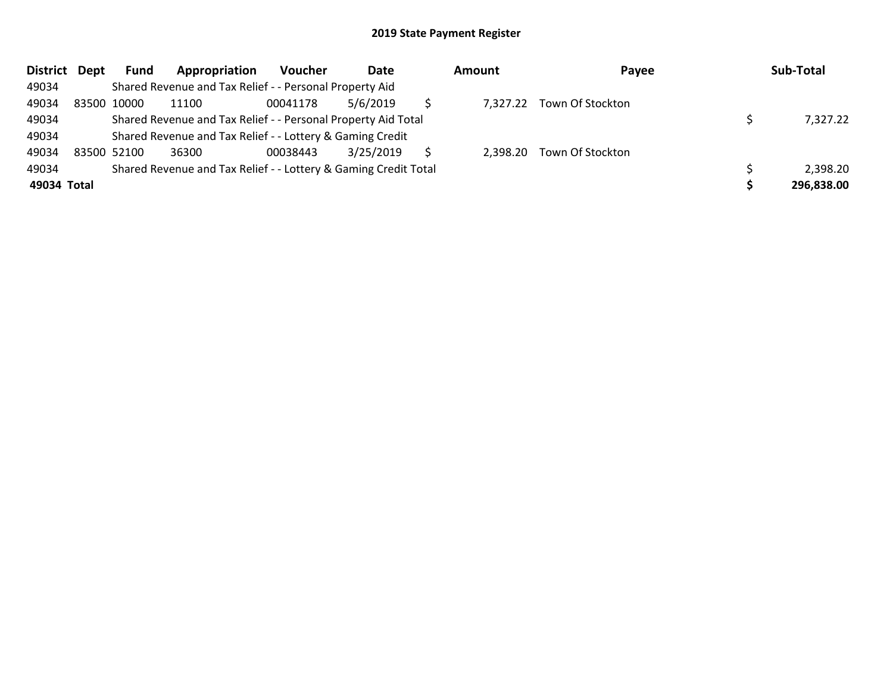| <b>District</b> | Dept | Fund        | Appropriation                                                   | <b>Voucher</b> | Date      | <b>Amount</b> | Payee                     | Sub-Total  |
|-----------------|------|-------------|-----------------------------------------------------------------|----------------|-----------|---------------|---------------------------|------------|
| 49034           |      |             | Shared Revenue and Tax Relief - - Personal Property Aid         |                |           |               |                           |            |
| 49034           |      | 83500 10000 | 11100                                                           | 00041178       | 5/6/2019  |               | 7,327.22 Town Of Stockton |            |
| 49034           |      |             | Shared Revenue and Tax Relief - - Personal Property Aid Total   |                |           |               |                           | 7,327.22   |
| 49034           |      |             | Shared Revenue and Tax Relief - - Lottery & Gaming Credit       |                |           |               |                           |            |
| 49034           |      | 83500 52100 | 36300                                                           | 00038443       | 3/25/2019 | 2,398.20      | Town Of Stockton          |            |
| 49034           |      |             | Shared Revenue and Tax Relief - - Lottery & Gaming Credit Total |                |           |               |                           | 2,398.20   |
| 49034 Total     |      |             |                                                                 |                |           |               |                           | 296,838.00 |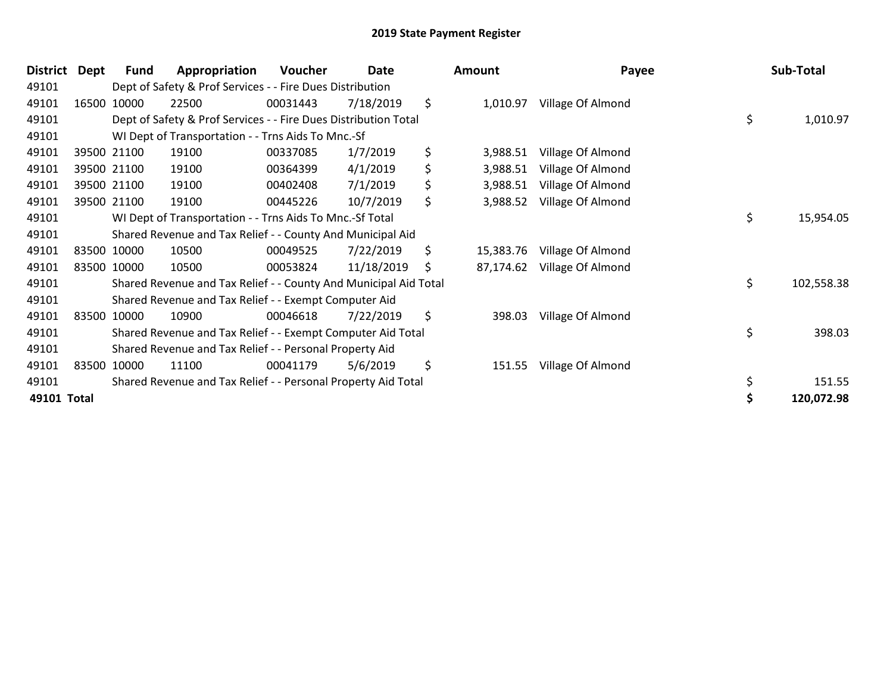| <b>District</b> | Dept | <b>Fund</b> | Appropriation                                                    | Voucher  | Date       |    | <b>Amount</b> | Payee             |    | Sub-Total  |
|-----------------|------|-------------|------------------------------------------------------------------|----------|------------|----|---------------|-------------------|----|------------|
| 49101           |      |             | Dept of Safety & Prof Services - - Fire Dues Distribution        |          |            |    |               |                   |    |            |
| 49101           |      | 16500 10000 | 22500                                                            | 00031443 | 7/18/2019  | \$ | 1,010.97      | Village Of Almond |    |            |
| 49101           |      |             | Dept of Safety & Prof Services - - Fire Dues Distribution Total  |          |            |    |               |                   | \$ | 1,010.97   |
| 49101           |      |             | WI Dept of Transportation - - Trns Aids To Mnc.-Sf               |          |            |    |               |                   |    |            |
| 49101           |      | 39500 21100 | 19100                                                            | 00337085 | 1/7/2019   | \$ | 3,988.51      | Village Of Almond |    |            |
| 49101           |      | 39500 21100 | 19100                                                            | 00364399 | 4/1/2019   | \$ | 3,988.51      | Village Of Almond |    |            |
| 49101           |      | 39500 21100 | 19100                                                            | 00402408 | 7/1/2019   | \$ | 3,988.51      | Village Of Almond |    |            |
| 49101           |      | 39500 21100 | 19100                                                            | 00445226 | 10/7/2019  | \$ | 3,988.52      | Village Of Almond |    |            |
| 49101           |      |             | WI Dept of Transportation - - Trns Aids To Mnc.-Sf Total         |          |            |    |               |                   | \$ | 15,954.05  |
| 49101           |      |             | Shared Revenue and Tax Relief - - County And Municipal Aid       |          |            |    |               |                   |    |            |
| 49101           |      | 83500 10000 | 10500                                                            | 00049525 | 7/22/2019  | \$ | 15,383.76     | Village Of Almond |    |            |
| 49101           |      | 83500 10000 | 10500                                                            | 00053824 | 11/18/2019 | \$ | 87,174.62     | Village Of Almond |    |            |
| 49101           |      |             | Shared Revenue and Tax Relief - - County And Municipal Aid Total |          |            |    |               |                   | \$ | 102,558.38 |
| 49101           |      |             | Shared Revenue and Tax Relief - - Exempt Computer Aid            |          |            |    |               |                   |    |            |
| 49101           |      | 83500 10000 | 10900                                                            | 00046618 | 7/22/2019  | \$ | 398.03        | Village Of Almond |    |            |
| 49101           |      |             | Shared Revenue and Tax Relief - - Exempt Computer Aid Total      |          |            |    |               |                   | \$ | 398.03     |
| 49101           |      |             | Shared Revenue and Tax Relief - - Personal Property Aid          |          |            |    |               |                   |    |            |
| 49101           |      | 83500 10000 | 11100                                                            | 00041179 | 5/6/2019   | \$ | 151.55        | Village Of Almond |    |            |
| 49101           |      |             | Shared Revenue and Tax Relief - - Personal Property Aid Total    |          |            |    |               |                   |    | 151.55     |
| 49101 Total     |      |             |                                                                  |          |            |    |               |                   |    | 120,072.98 |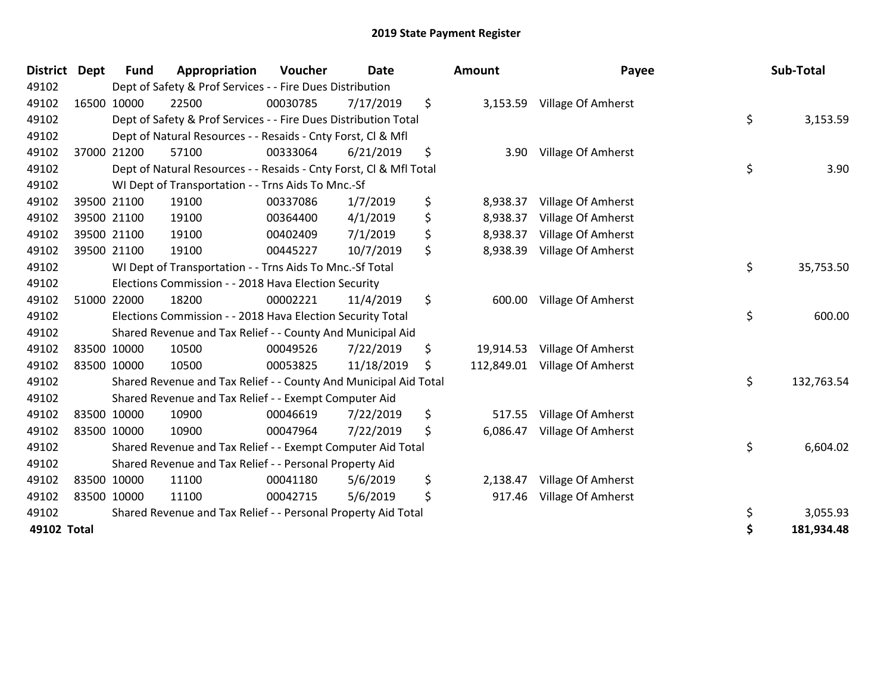| <b>District</b> | <b>Dept</b> | <b>Fund</b> | Appropriation                                                      | Voucher  | <b>Date</b> |    | <b>Amount</b> | Payee                         |    | Sub-Total  |
|-----------------|-------------|-------------|--------------------------------------------------------------------|----------|-------------|----|---------------|-------------------------------|----|------------|
| 49102           |             |             | Dept of Safety & Prof Services - - Fire Dues Distribution          |          |             |    |               |                               |    |            |
| 49102           |             | 16500 10000 | 22500                                                              | 00030785 | 7/17/2019   | \$ | 3,153.59      | Village Of Amherst            |    |            |
| 49102           |             |             | Dept of Safety & Prof Services - - Fire Dues Distribution Total    |          |             |    |               |                               | \$ | 3,153.59   |
| 49102           |             |             | Dept of Natural Resources - - Resaids - Cnty Forst, Cl & Mfl       |          |             |    |               |                               |    |            |
| 49102           |             | 37000 21200 | 57100                                                              | 00333064 | 6/21/2019   | \$ | 3.90          | Village Of Amherst            |    |            |
| 49102           |             |             | Dept of Natural Resources - - Resaids - Cnty Forst, CI & Mfl Total |          |             |    |               |                               | \$ | 3.90       |
| 49102           |             |             | WI Dept of Transportation - - Trns Aids To Mnc.-Sf                 |          |             |    |               |                               |    |            |
| 49102           |             | 39500 21100 | 19100                                                              | 00337086 | 1/7/2019    | \$ | 8,938.37      | Village Of Amherst            |    |            |
| 49102           |             | 39500 21100 | 19100                                                              | 00364400 | 4/1/2019    | \$ | 8,938.37      | Village Of Amherst            |    |            |
| 49102           |             | 39500 21100 | 19100                                                              | 00402409 | 7/1/2019    | \$ | 8,938.37      | Village Of Amherst            |    |            |
| 49102           |             | 39500 21100 | 19100                                                              | 00445227 | 10/7/2019   | \$ | 8,938.39      | Village Of Amherst            |    |            |
| 49102           |             |             | WI Dept of Transportation - - Trns Aids To Mnc.-Sf Total           |          |             |    |               |                               | \$ | 35,753.50  |
| 49102           |             |             | Elections Commission - - 2018 Hava Election Security               |          |             |    |               |                               |    |            |
| 49102           |             | 51000 22000 | 18200                                                              | 00002221 | 11/4/2019   | \$ | 600.00        | Village Of Amherst            |    |            |
| 49102           |             |             | Elections Commission - - 2018 Hava Election Security Total         |          |             |    |               |                               | \$ | 600.00     |
| 49102           |             |             | Shared Revenue and Tax Relief - - County And Municipal Aid         |          |             |    |               |                               |    |            |
| 49102           |             | 83500 10000 | 10500                                                              | 00049526 | 7/22/2019   | \$ | 19,914.53     | Village Of Amherst            |    |            |
| 49102           |             | 83500 10000 | 10500                                                              | 00053825 | 11/18/2019  | \$ |               | 112,849.01 Village Of Amherst |    |            |
| 49102           |             |             | Shared Revenue and Tax Relief - - County And Municipal Aid Total   |          |             |    |               |                               | \$ | 132,763.54 |
| 49102           |             |             | Shared Revenue and Tax Relief - - Exempt Computer Aid              |          |             |    |               |                               |    |            |
| 49102           |             | 83500 10000 | 10900                                                              | 00046619 | 7/22/2019   | \$ | 517.55        | Village Of Amherst            |    |            |
| 49102           |             | 83500 10000 | 10900                                                              | 00047964 | 7/22/2019   | \$ | 6,086.47      | Village Of Amherst            |    |            |
| 49102           |             |             | Shared Revenue and Tax Relief - - Exempt Computer Aid Total        |          |             |    |               |                               | \$ | 6,604.02   |
| 49102           |             |             | Shared Revenue and Tax Relief - - Personal Property Aid            |          |             |    |               |                               |    |            |
| 49102           |             | 83500 10000 | 11100                                                              | 00041180 | 5/6/2019    | \$ | 2,138.47      | Village Of Amherst            |    |            |
| 49102           |             | 83500 10000 | 11100                                                              | 00042715 | 5/6/2019    | \$ | 917.46        | Village Of Amherst            |    |            |
| 49102           |             |             | Shared Revenue and Tax Relief - - Personal Property Aid Total      |          |             |    |               |                               | \$ | 3,055.93   |
| 49102 Total     |             |             |                                                                    |          |             |    |               |                               | \$ | 181,934.48 |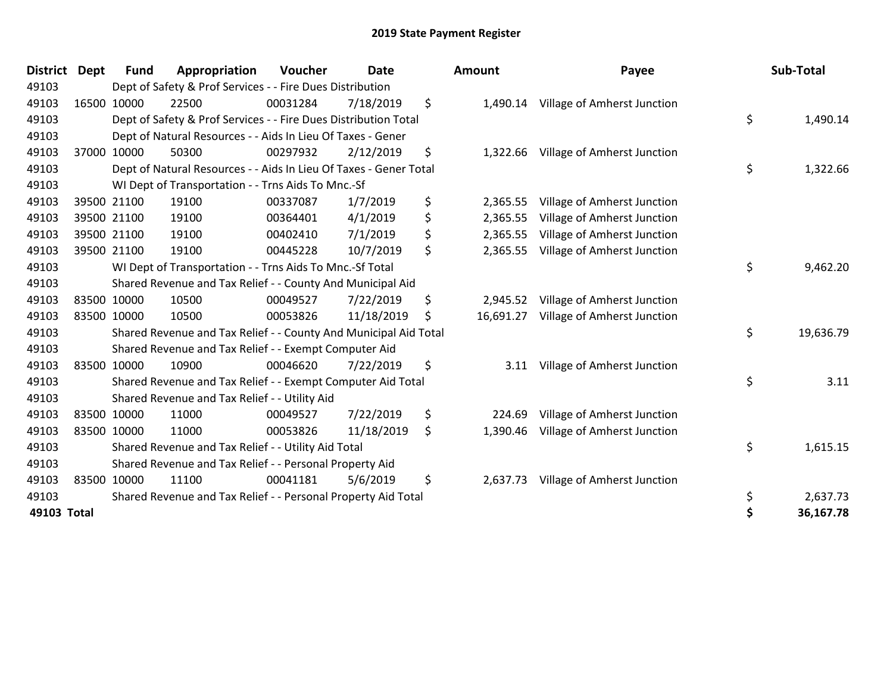| <b>District</b> | <b>Dept</b> | <b>Fund</b> | Appropriation                                                     | Voucher  | <b>Date</b> |    | Amount    | Payee                       |    | Sub-Total |
|-----------------|-------------|-------------|-------------------------------------------------------------------|----------|-------------|----|-----------|-----------------------------|----|-----------|
| 49103           |             |             | Dept of Safety & Prof Services - - Fire Dues Distribution         |          |             |    |           |                             |    |           |
| 49103           |             | 16500 10000 | 22500                                                             | 00031284 | 7/18/2019   | \$ | 1,490.14  | Village of Amherst Junction |    |           |
| 49103           |             |             | Dept of Safety & Prof Services - - Fire Dues Distribution Total   |          |             |    |           |                             | \$ | 1,490.14  |
| 49103           |             |             | Dept of Natural Resources - - Aids In Lieu Of Taxes - Gener       |          |             |    |           |                             |    |           |
| 49103           |             | 37000 10000 | 50300                                                             | 00297932 | 2/12/2019   | \$ | 1,322.66  | Village of Amherst Junction |    |           |
| 49103           |             |             | Dept of Natural Resources - - Aids In Lieu Of Taxes - Gener Total |          |             |    |           |                             | \$ | 1,322.66  |
| 49103           |             |             | WI Dept of Transportation - - Trns Aids To Mnc.-Sf                |          |             |    |           |                             |    |           |
| 49103           |             | 39500 21100 | 19100                                                             | 00337087 | 1/7/2019    | \$ | 2,365.55  | Village of Amherst Junction |    |           |
| 49103           |             | 39500 21100 | 19100                                                             | 00364401 | 4/1/2019    | \$ | 2,365.55  | Village of Amherst Junction |    |           |
| 49103           |             | 39500 21100 | 19100                                                             | 00402410 | 7/1/2019    | \$ | 2,365.55  | Village of Amherst Junction |    |           |
| 49103           |             | 39500 21100 | 19100                                                             | 00445228 | 10/7/2019   | \$ | 2,365.55  | Village of Amherst Junction |    |           |
| 49103           |             |             | WI Dept of Transportation - - Trns Aids To Mnc.-Sf Total          |          |             |    |           |                             | \$ | 9,462.20  |
| 49103           |             |             | Shared Revenue and Tax Relief - - County And Municipal Aid        |          |             |    |           |                             |    |           |
| 49103           |             | 83500 10000 | 10500                                                             | 00049527 | 7/22/2019   | \$ | 2,945.52  | Village of Amherst Junction |    |           |
| 49103           |             | 83500 10000 | 10500                                                             | 00053826 | 11/18/2019  | \$ | 16,691.27 | Village of Amherst Junction |    |           |
| 49103           |             |             | Shared Revenue and Tax Relief - - County And Municipal Aid Total  |          |             |    |           |                             | \$ | 19,636.79 |
| 49103           |             |             | Shared Revenue and Tax Relief - - Exempt Computer Aid             |          |             |    |           |                             |    |           |
| 49103           |             | 83500 10000 | 10900                                                             | 00046620 | 7/22/2019   | \$ | 3.11      | Village of Amherst Junction |    |           |
| 49103           |             |             | Shared Revenue and Tax Relief - - Exempt Computer Aid Total       |          |             |    |           |                             | \$ | 3.11      |
| 49103           |             |             | Shared Revenue and Tax Relief - - Utility Aid                     |          |             |    |           |                             |    |           |
| 49103           |             | 83500 10000 | 11000                                                             | 00049527 | 7/22/2019   | \$ | 224.69    | Village of Amherst Junction |    |           |
| 49103           |             | 83500 10000 | 11000                                                             | 00053826 | 11/18/2019  | \$ | 1,390.46  | Village of Amherst Junction |    |           |
| 49103           |             |             | Shared Revenue and Tax Relief - - Utility Aid Total               |          |             |    |           |                             | \$ | 1,615.15  |
| 49103           |             |             | Shared Revenue and Tax Relief - - Personal Property Aid           |          |             |    |           |                             |    |           |
| 49103           |             | 83500 10000 | 11100                                                             | 00041181 | 5/6/2019    | \$ | 2,637.73  | Village of Amherst Junction |    |           |
| 49103           |             |             | Shared Revenue and Tax Relief - - Personal Property Aid Total     |          |             |    |           |                             | \$ | 2,637.73  |
| 49103 Total     |             |             |                                                                   |          |             |    |           |                             | \$ | 36,167.78 |

| District    | <b>Dept</b> | <b>Fund</b> | Appropriation                                                     | Voucher  | Date       | Amount          | Payee                       | Sub-Total       |
|-------------|-------------|-------------|-------------------------------------------------------------------|----------|------------|-----------------|-----------------------------|-----------------|
| 49103       |             |             | Dept of Safety & Prof Services - - Fire Dues Distribution         |          |            |                 |                             |                 |
| 49103       | 16500 10000 |             | 22500                                                             | 00031284 | 7/18/2019  | \$<br>1,490.14  | Village of Amherst Junction |                 |
| 49103       |             |             | Dept of Safety & Prof Services - - Fire Dues Distribution Total   |          |            |                 |                             | \$<br>1,490.14  |
| 49103       |             |             | Dept of Natural Resources - - Aids In Lieu Of Taxes - Gener       |          |            |                 |                             |                 |
| 49103       |             | 37000 10000 | 50300                                                             | 00297932 | 2/12/2019  | \$<br>1,322.66  | Village of Amherst Junction |                 |
| 49103       |             |             | Dept of Natural Resources - - Aids In Lieu Of Taxes - Gener Total |          |            |                 |                             | \$<br>1,322.66  |
| 49103       |             |             | WI Dept of Transportation - - Trns Aids To Mnc.-Sf                |          |            |                 |                             |                 |
| 49103       |             | 39500 21100 | 19100                                                             | 00337087 | 1/7/2019   | \$<br>2,365.55  | Village of Amherst Junction |                 |
| 49103       |             | 39500 21100 | 19100                                                             | 00364401 | 4/1/2019   | \$<br>2,365.55  | Village of Amherst Junction |                 |
| 49103       |             | 39500 21100 | 19100                                                             | 00402410 | 7/1/2019   | \$<br>2,365.55  | Village of Amherst Junction |                 |
| 49103       |             | 39500 21100 | 19100                                                             | 00445228 | 10/7/2019  | \$<br>2,365.55  | Village of Amherst Junction |                 |
| 49103       |             |             | WI Dept of Transportation - - Trns Aids To Mnc.-Sf Total          |          |            |                 |                             | \$<br>9,462.20  |
| 49103       |             |             | Shared Revenue and Tax Relief - - County And Municipal Aid        |          |            |                 |                             |                 |
| 49103       |             | 83500 10000 | 10500                                                             | 00049527 | 7/22/2019  | \$<br>2,945.52  | Village of Amherst Junction |                 |
| 49103       |             | 83500 10000 | 10500                                                             | 00053826 | 11/18/2019 | \$<br>16,691.27 | Village of Amherst Junction |                 |
| 49103       |             |             | Shared Revenue and Tax Relief - - County And Municipal Aid Total  |          |            |                 |                             | \$<br>19,636.79 |
| 49103       |             |             | Shared Revenue and Tax Relief - - Exempt Computer Aid             |          |            |                 |                             |                 |
| 49103       |             | 83500 10000 | 10900                                                             | 00046620 | 7/22/2019  | \$<br>3.11      | Village of Amherst Junction |                 |
| 49103       |             |             | Shared Revenue and Tax Relief - - Exempt Computer Aid Total       |          |            |                 |                             | \$<br>3.11      |
| 49103       |             |             | Shared Revenue and Tax Relief - - Utility Aid                     |          |            |                 |                             |                 |
| 49103       |             | 83500 10000 | 11000                                                             | 00049527 | 7/22/2019  | \$<br>224.69    | Village of Amherst Junction |                 |
| 49103       |             | 83500 10000 | 11000                                                             | 00053826 | 11/18/2019 | \$<br>1,390.46  | Village of Amherst Junction |                 |
| 49103       |             |             | Shared Revenue and Tax Relief - - Utility Aid Total               |          |            |                 |                             | \$<br>1,615.15  |
| 49103       |             |             | Shared Revenue and Tax Relief - - Personal Property Aid           |          |            |                 |                             |                 |
| 49103       |             | 83500 10000 | 11100                                                             | 00041181 | 5/6/2019   | \$<br>2,637.73  | Village of Amherst Junction |                 |
| 49103       |             |             | Shared Revenue and Tax Relief - - Personal Property Aid Total     |          |            |                 |                             | \$<br>2,637.73  |
| 49103 Total |             |             |                                                                   |          |            |                 |                             | \$<br>36,167.78 |
|             |             |             |                                                                   |          |            |                 |                             |                 |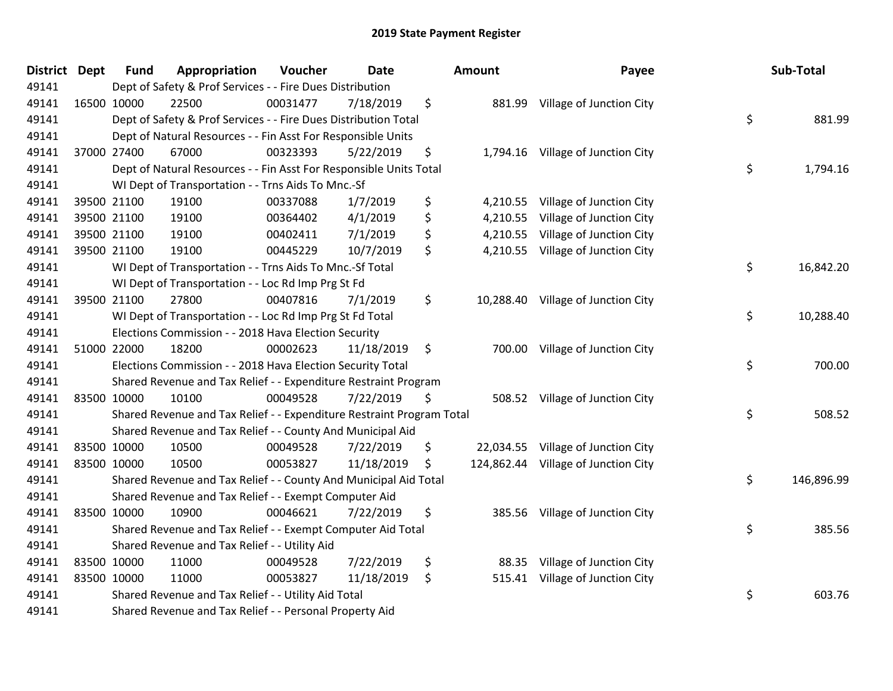| <b>District</b> | <b>Dept</b> | <b>Fund</b> | Appropriation                                                         | Voucher  | <b>Date</b> |    | <b>Amount</b> | Payee                               | Sub-Total        |
|-----------------|-------------|-------------|-----------------------------------------------------------------------|----------|-------------|----|---------------|-------------------------------------|------------------|
| 49141           |             |             | Dept of Safety & Prof Services - - Fire Dues Distribution             |          |             |    |               |                                     |                  |
| 49141           |             | 16500 10000 | 22500                                                                 | 00031477 | 7/18/2019   | \$ |               | 881.99 Village of Junction City     |                  |
| 49141           |             |             | Dept of Safety & Prof Services - - Fire Dues Distribution Total       |          |             |    |               |                                     | \$<br>881.99     |
| 49141           |             |             | Dept of Natural Resources - - Fin Asst For Responsible Units          |          |             |    |               |                                     |                  |
| 49141           |             | 37000 27400 | 67000                                                                 | 00323393 | 5/22/2019   | \$ | 1,794.16      | Village of Junction City            |                  |
| 49141           |             |             | Dept of Natural Resources - - Fin Asst For Responsible Units Total    |          |             |    |               |                                     | \$<br>1,794.16   |
| 49141           |             |             | WI Dept of Transportation - - Trns Aids To Mnc.-Sf                    |          |             |    |               |                                     |                  |
| 49141           |             | 39500 21100 | 19100                                                                 | 00337088 | 1/7/2019    | \$ | 4,210.55      | Village of Junction City            |                  |
| 49141           |             | 39500 21100 | 19100                                                                 | 00364402 | 4/1/2019    | \$ | 4,210.55      | Village of Junction City            |                  |
| 49141           |             | 39500 21100 | 19100                                                                 | 00402411 | 7/1/2019    | \$ | 4,210.55      | Village of Junction City            |                  |
| 49141           |             | 39500 21100 | 19100                                                                 | 00445229 | 10/7/2019   | \$ | 4,210.55      | Village of Junction City            |                  |
| 49141           |             |             | WI Dept of Transportation - - Trns Aids To Mnc.-Sf Total              |          |             |    |               |                                     | \$<br>16,842.20  |
| 49141           |             |             | WI Dept of Transportation - - Loc Rd Imp Prg St Fd                    |          |             |    |               |                                     |                  |
| 49141           |             | 39500 21100 | 27800                                                                 | 00407816 | 7/1/2019    | \$ |               | 10,288.40 Village of Junction City  |                  |
| 49141           |             |             | WI Dept of Transportation - - Loc Rd Imp Prg St Fd Total              |          |             |    |               |                                     | \$<br>10,288.40  |
| 49141           |             |             | Elections Commission - - 2018 Hava Election Security                  |          |             |    |               |                                     |                  |
| 49141           |             | 51000 22000 | 18200                                                                 | 00002623 | 11/18/2019  | \$ | 700.00        | Village of Junction City            |                  |
| 49141           |             |             | Elections Commission - - 2018 Hava Election Security Total            |          |             |    |               |                                     | \$<br>700.00     |
| 49141           |             |             | Shared Revenue and Tax Relief - - Expenditure Restraint Program       |          |             |    |               |                                     |                  |
| 49141           |             | 83500 10000 | 10100                                                                 | 00049528 | 7/22/2019   | S  |               | 508.52 Village of Junction City     |                  |
| 49141           |             |             | Shared Revenue and Tax Relief - - Expenditure Restraint Program Total |          |             |    |               |                                     | \$<br>508.52     |
| 49141           |             |             | Shared Revenue and Tax Relief - - County And Municipal Aid            |          |             |    |               |                                     |                  |
| 49141           |             | 83500 10000 | 10500                                                                 | 00049528 | 7/22/2019   | \$ |               | 22,034.55 Village of Junction City  |                  |
| 49141           |             | 83500 10000 | 10500                                                                 | 00053827 | 11/18/2019  | \$ |               | 124,862.44 Village of Junction City |                  |
| 49141           |             |             | Shared Revenue and Tax Relief - - County And Municipal Aid Total      |          |             |    |               |                                     | \$<br>146,896.99 |
| 49141           |             |             | Shared Revenue and Tax Relief - - Exempt Computer Aid                 |          |             |    |               |                                     |                  |
| 49141           |             | 83500 10000 | 10900                                                                 | 00046621 | 7/22/2019   | \$ | 385.56        | Village of Junction City            |                  |
| 49141           |             |             | Shared Revenue and Tax Relief - - Exempt Computer Aid Total           |          |             |    |               |                                     | \$<br>385.56     |
| 49141           |             |             | Shared Revenue and Tax Relief - - Utility Aid                         |          |             |    |               |                                     |                  |
| 49141           |             | 83500 10000 | 11000                                                                 | 00049528 | 7/22/2019   | \$ | 88.35         | Village of Junction City            |                  |
| 49141           |             | 83500 10000 | 11000                                                                 | 00053827 | 11/18/2019  | \$ | 515.41        | Village of Junction City            |                  |
| 49141           |             |             | Shared Revenue and Tax Relief - - Utility Aid Total                   |          |             |    |               |                                     | \$<br>603.76     |
| 49141           |             |             | Shared Revenue and Tax Relief - - Personal Property Aid               |          |             |    |               |                                     |                  |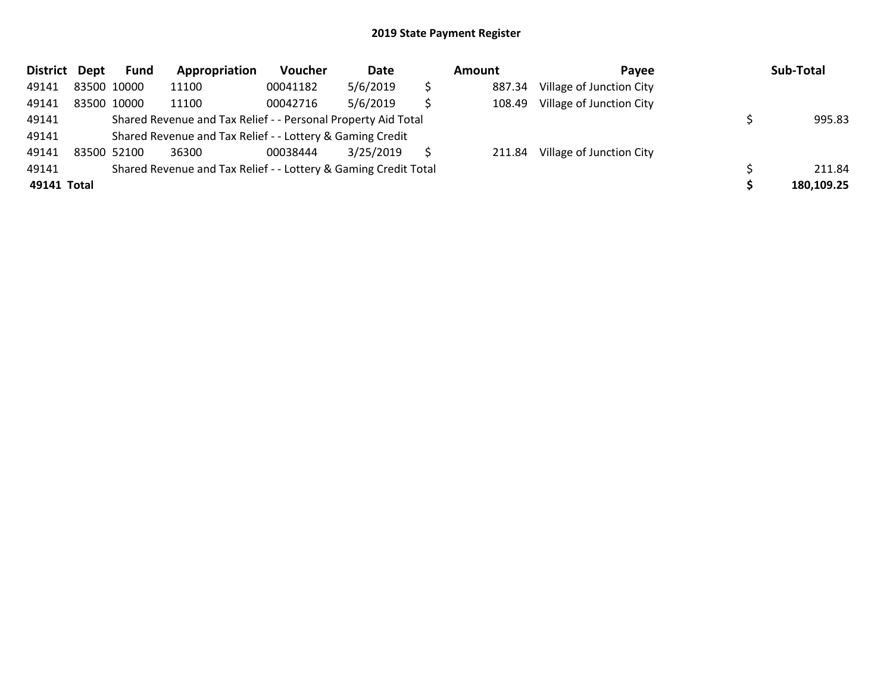| District Dept | <b>Fund</b> | Appropriation                                                   | Voucher  | Date      | Amount | Payee                    | Sub-Total  |
|---------------|-------------|-----------------------------------------------------------------|----------|-----------|--------|--------------------------|------------|
| 49141         | 83500 10000 | 11100                                                           | 00041182 | 5/6/2019  | 887.34 | Village of Junction City |            |
| 49141         | 83500 10000 | 11100                                                           | 00042716 | 5/6/2019  | 108.49 | Village of Junction City |            |
| 49141         |             | Shared Revenue and Tax Relief - - Personal Property Aid Total   |          |           |        |                          | 995.83     |
| 49141         |             | Shared Revenue and Tax Relief - - Lottery & Gaming Credit       |          |           |        |                          |            |
| 49141         | 83500 52100 | 36300                                                           | 00038444 | 3/25/2019 | 211.84 | Village of Junction City |            |
| 49141         |             | Shared Revenue and Tax Relief - - Lottery & Gaming Credit Total |          |           |        |                          | 211.84     |
| 49141 Total   |             |                                                                 |          |           |        |                          | 180,109.25 |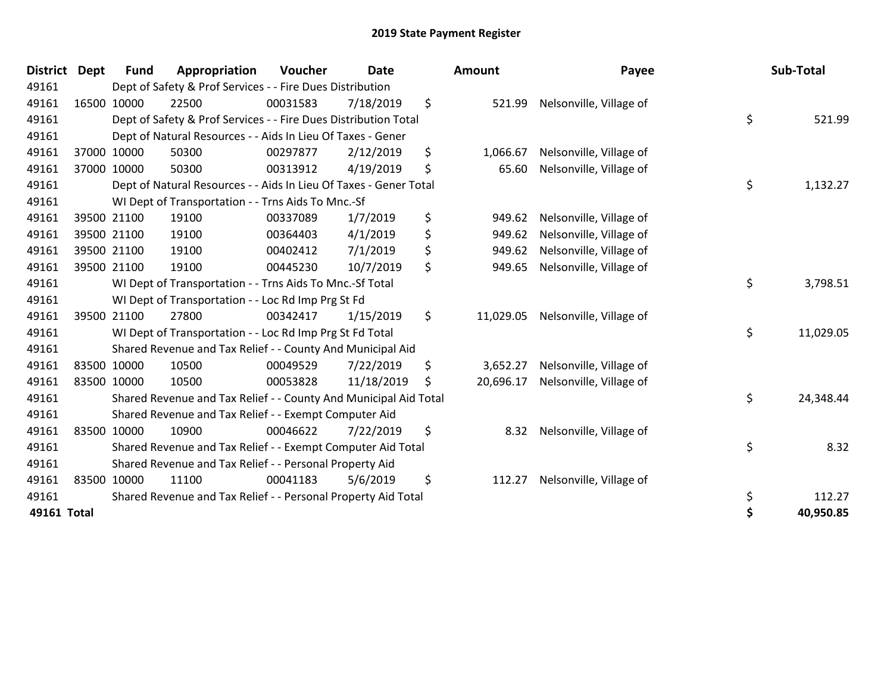| <b>District</b> | <b>Dept</b> | <b>Fund</b> | Appropriation                                                     | Voucher  | <b>Date</b> | Amount          | Payee                   | Sub-Total       |
|-----------------|-------------|-------------|-------------------------------------------------------------------|----------|-------------|-----------------|-------------------------|-----------------|
| 49161           |             |             | Dept of Safety & Prof Services - - Fire Dues Distribution         |          |             |                 |                         |                 |
| 49161           |             | 16500 10000 | 22500                                                             | 00031583 | 7/18/2019   | \$<br>521.99    | Nelsonville, Village of |                 |
| 49161           |             |             | Dept of Safety & Prof Services - - Fire Dues Distribution Total   |          |             |                 |                         | \$<br>521.99    |
| 49161           |             |             | Dept of Natural Resources - - Aids In Lieu Of Taxes - Gener       |          |             |                 |                         |                 |
| 49161           |             | 37000 10000 | 50300                                                             | 00297877 | 2/12/2019   | \$<br>1,066.67  | Nelsonville, Village of |                 |
| 49161           |             | 37000 10000 | 50300                                                             | 00313912 | 4/19/2019   | \$<br>65.60     | Nelsonville, Village of |                 |
| 49161           |             |             | Dept of Natural Resources - - Aids In Lieu Of Taxes - Gener Total |          |             |                 |                         | \$<br>1,132.27  |
| 49161           |             |             | WI Dept of Transportation - - Trns Aids To Mnc.-Sf                |          |             |                 |                         |                 |
| 49161           |             | 39500 21100 | 19100                                                             | 00337089 | 1/7/2019    | \$<br>949.62    | Nelsonville, Village of |                 |
| 49161           |             | 39500 21100 | 19100                                                             | 00364403 | 4/1/2019    | \$<br>949.62    | Nelsonville, Village of |                 |
| 49161           |             | 39500 21100 | 19100                                                             | 00402412 | 7/1/2019    | \$<br>949.62    | Nelsonville, Village of |                 |
| 49161           |             | 39500 21100 | 19100                                                             | 00445230 | 10/7/2019   | \$<br>949.65    | Nelsonville, Village of |                 |
| 49161           |             |             | WI Dept of Transportation - - Trns Aids To Mnc.-Sf Total          |          |             |                 |                         | \$<br>3,798.51  |
| 49161           |             |             | WI Dept of Transportation - - Loc Rd Imp Prg St Fd                |          |             |                 |                         |                 |
| 49161           |             | 39500 21100 | 27800                                                             | 00342417 | 1/15/2019   | \$<br>11,029.05 | Nelsonville, Village of |                 |
| 49161           |             |             | WI Dept of Transportation - - Loc Rd Imp Prg St Fd Total          |          |             |                 |                         | \$<br>11,029.05 |
| 49161           |             |             | Shared Revenue and Tax Relief - - County And Municipal Aid        |          |             |                 |                         |                 |
| 49161           |             | 83500 10000 | 10500                                                             | 00049529 | 7/22/2019   | \$<br>3,652.27  | Nelsonville, Village of |                 |
| 49161           |             | 83500 10000 | 10500                                                             | 00053828 | 11/18/2019  | \$<br>20,696.17 | Nelsonville, Village of |                 |
| 49161           |             |             | Shared Revenue and Tax Relief - - County And Municipal Aid Total  |          |             |                 |                         | \$<br>24,348.44 |
| 49161           |             |             | Shared Revenue and Tax Relief - - Exempt Computer Aid             |          |             |                 |                         |                 |
| 49161           |             | 83500 10000 | 10900                                                             | 00046622 | 7/22/2019   | \$<br>8.32      | Nelsonville, Village of |                 |
| 49161           |             |             | Shared Revenue and Tax Relief - - Exempt Computer Aid Total       |          |             |                 |                         | \$<br>8.32      |
| 49161           |             |             | Shared Revenue and Tax Relief - - Personal Property Aid           |          |             |                 |                         |                 |
| 49161           |             | 83500 10000 | 11100                                                             | 00041183 | 5/6/2019    | \$<br>112.27    | Nelsonville, Village of |                 |
| 49161           |             |             | Shared Revenue and Tax Relief - - Personal Property Aid Total     |          |             |                 |                         | \$<br>112.27    |
| 49161 Total     |             |             |                                                                   |          |             |                 |                         | \$<br>40,950.85 |

| nount                                | Payee                                                                                                    |          | Sub-Total           |
|--------------------------------------|----------------------------------------------------------------------------------------------------------|----------|---------------------|
| 521.99                               | Nelsonville, Village of                                                                                  | \$       | 521.99              |
| 1,066.67<br>65.60                    | Nelsonville, Village of<br>Nelsonville, Village of                                                       | \$       | 1,132.27            |
| 949.62<br>949.62<br>949.62<br>949.65 | Nelsonville, Village of<br>Nelsonville, Village of<br>Nelsonville, Village of<br>Nelsonville, Village of |          |                     |
|                                      |                                                                                                          | \$       | 3,798.51            |
| 11,029.05                            | Nelsonville, Village of                                                                                  | \$       | 11,029.05           |
| 3,652.27<br>20,696.17                | Nelsonville, Village of<br>Nelsonville, Village of                                                       | \$       | 24,348.44           |
| 8.32                                 | Nelsonville, Village of                                                                                  | \$       | 8.32                |
| 112.27                               | Nelsonville, Village of                                                                                  | \$<br>\$ | 112.27<br>40,950.85 |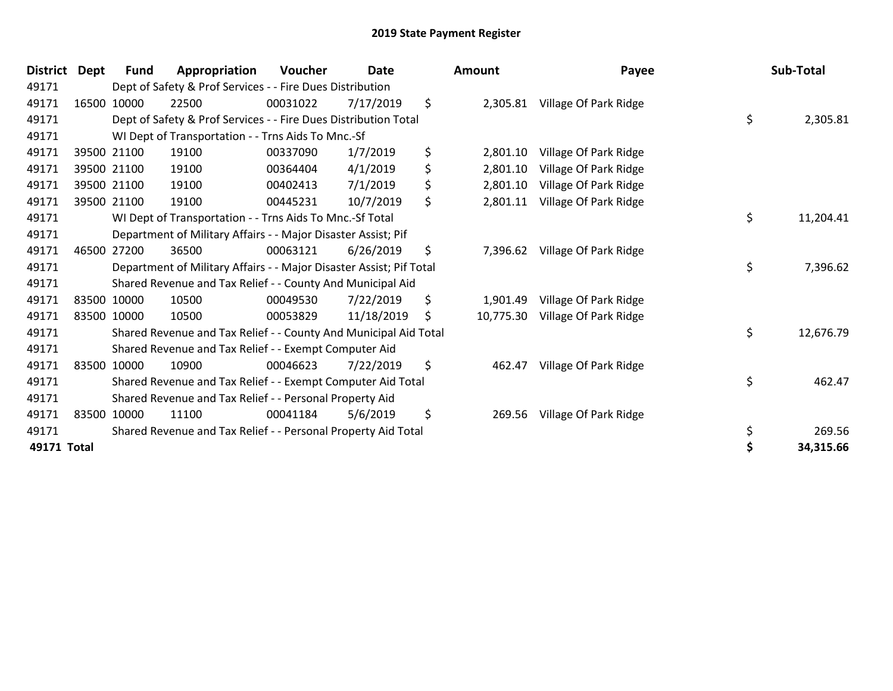| <b>District</b> | <b>Dept</b> | <b>Fund</b> | Appropriation                                                       | <b>Voucher</b> | Date       | <b>Amount</b>   | Payee                 | Sub-Total       |
|-----------------|-------------|-------------|---------------------------------------------------------------------|----------------|------------|-----------------|-----------------------|-----------------|
| 49171           |             |             | Dept of Safety & Prof Services - - Fire Dues Distribution           |                |            |                 |                       |                 |
| 49171           |             | 16500 10000 | 22500                                                               | 00031022       | 7/17/2019  | \$<br>2,305.81  | Village Of Park Ridge |                 |
| 49171           |             |             | Dept of Safety & Prof Services - - Fire Dues Distribution Total     |                |            |                 |                       | \$<br>2,305.81  |
| 49171           |             |             | WI Dept of Transportation - - Trns Aids To Mnc.-Sf                  |                |            |                 |                       |                 |
| 49171           |             | 39500 21100 | 19100                                                               | 00337090       | 1/7/2019   | \$<br>2,801.10  | Village Of Park Ridge |                 |
| 49171           |             | 39500 21100 | 19100                                                               | 00364404       | 4/1/2019   | \$<br>2,801.10  | Village Of Park Ridge |                 |
| 49171           |             | 39500 21100 | 19100                                                               | 00402413       | 7/1/2019   | \$<br>2,801.10  | Village Of Park Ridge |                 |
| 49171           |             | 39500 21100 | 19100                                                               | 00445231       | 10/7/2019  | \$<br>2,801.11  | Village Of Park Ridge |                 |
| 49171           |             |             | WI Dept of Transportation - - Trns Aids To Mnc.-Sf Total            |                |            |                 |                       | \$<br>11,204.41 |
| 49171           |             |             | Department of Military Affairs - - Major Disaster Assist; Pif       |                |            |                 |                       |                 |
| 49171           |             | 46500 27200 | 36500                                                               | 00063121       | 6/26/2019  | \$<br>7,396.62  | Village Of Park Ridge |                 |
| 49171           |             |             | Department of Military Affairs - - Major Disaster Assist; Pif Total |                |            |                 |                       | \$<br>7,396.62  |
| 49171           |             |             | Shared Revenue and Tax Relief - - County And Municipal Aid          |                |            |                 |                       |                 |
| 49171           |             | 83500 10000 | 10500                                                               | 00049530       | 7/22/2019  | \$<br>1,901.49  | Village Of Park Ridge |                 |
| 49171           |             | 83500 10000 | 10500                                                               | 00053829       | 11/18/2019 | \$<br>10,775.30 | Village Of Park Ridge |                 |
| 49171           |             |             | Shared Revenue and Tax Relief - - County And Municipal Aid Total    |                |            |                 |                       | \$<br>12,676.79 |
| 49171           |             |             | Shared Revenue and Tax Relief - - Exempt Computer Aid               |                |            |                 |                       |                 |
| 49171           |             | 83500 10000 | 10900                                                               | 00046623       | 7/22/2019  | \$<br>462.47    | Village Of Park Ridge |                 |
| 49171           |             |             | Shared Revenue and Tax Relief - - Exempt Computer Aid Total         |                |            |                 |                       | \$<br>462.47    |
| 49171           |             |             | Shared Revenue and Tax Relief - - Personal Property Aid             |                |            |                 |                       |                 |
| 49171           |             | 83500 10000 | 11100                                                               | 00041184       | 5/6/2019   | \$<br>269.56    | Village Of Park Ridge |                 |
| 49171           |             |             | Shared Revenue and Tax Relief - - Personal Property Aid Total       |                |            |                 |                       | \$<br>269.56    |
| 49171 Total     |             |             |                                                                     |                |            |                 |                       | \$<br>34,315.66 |

| ount     | Payee                                                                                              |          | Sub-Total           |
|----------|----------------------------------------------------------------------------------------------------|----------|---------------------|
| 2,305.81 | Village Of Park Ridge                                                                              | \$       | 2,305.81            |
|          | 2,801.10 Village Of Park Ridge<br>2,801.10 Village Of Park Ridge<br>2,801.10 Village Of Park Ridge |          |                     |
| 2,801.11 | Village Of Park Ridge                                                                              | \$       | 11,204.41           |
| 7,396.62 | Village Of Park Ridge                                                                              | \$       | 7,396.62            |
|          | 1,901.49 Village Of Park Ridge<br>10,775.30 Village Of Park Ridge                                  | \$       | 12,676.79           |
| 462.47   | Village Of Park Ridge                                                                              | \$       | 462.47              |
| 269.56   | Village Of Park Ridge                                                                              | \$<br>\$ | 269.56<br>34,315.66 |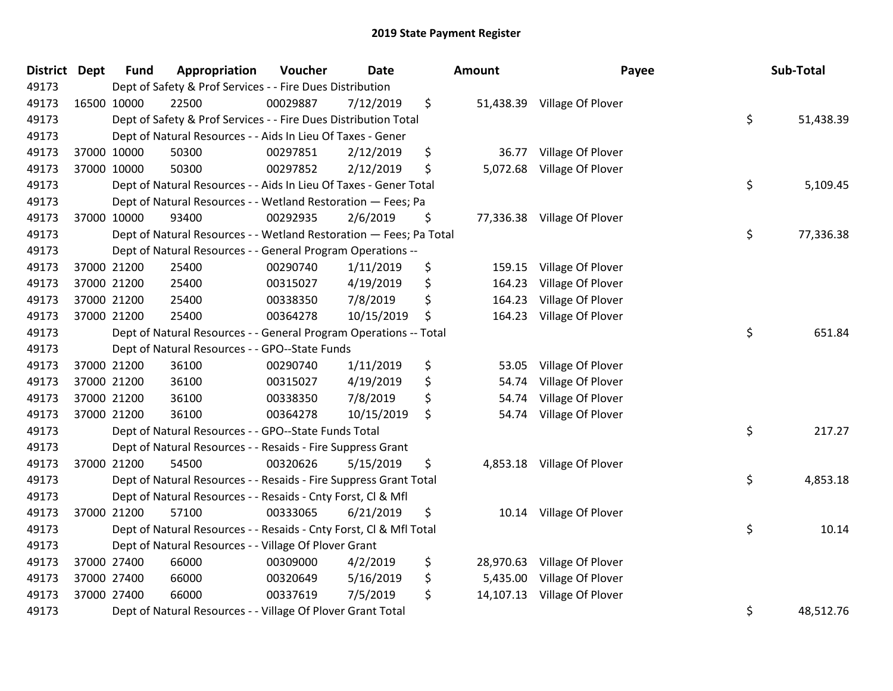| <b>District</b> | <b>Dept</b> | <b>Fund</b> | Appropriation                                                      | Voucher  | <b>Date</b> | Amount          | Payee                       | Sub-Total       |
|-----------------|-------------|-------------|--------------------------------------------------------------------|----------|-------------|-----------------|-----------------------------|-----------------|
| 49173           |             |             | Dept of Safety & Prof Services - - Fire Dues Distribution          |          |             |                 |                             |                 |
| 49173           |             | 16500 10000 | 22500                                                              | 00029887 | 7/12/2019   | \$              | 51,438.39 Village Of Plover |                 |
| 49173           |             |             | Dept of Safety & Prof Services - - Fire Dues Distribution Total    |          |             |                 |                             | \$<br>51,438.39 |
| 49173           |             |             | Dept of Natural Resources - - Aids In Lieu Of Taxes - Gener        |          |             |                 |                             |                 |
| 49173           |             | 37000 10000 | 50300                                                              | 00297851 | 2/12/2019   | \$<br>36.77     | Village Of Plover           |                 |
| 49173           |             | 37000 10000 | 50300                                                              | 00297852 | 2/12/2019   | \$<br>5,072.68  | Village Of Plover           |                 |
| 49173           |             |             | Dept of Natural Resources - - Aids In Lieu Of Taxes - Gener Total  |          |             |                 |                             | \$<br>5,109.45  |
| 49173           |             |             | Dept of Natural Resources - - Wetland Restoration - Fees; Pa       |          |             |                 |                             |                 |
| 49173           |             | 37000 10000 | 93400                                                              | 00292935 | 2/6/2019    | \$              | 77,336.38 Village Of Plover |                 |
| 49173           |             |             | Dept of Natural Resources - - Wetland Restoration - Fees; Pa Total |          |             |                 |                             | \$<br>77,336.38 |
| 49173           |             |             | Dept of Natural Resources - - General Program Operations --        |          |             |                 |                             |                 |
| 49173           |             | 37000 21200 | 25400                                                              | 00290740 | 1/11/2019   | \$<br>159.15    | Village Of Plover           |                 |
| 49173           |             | 37000 21200 | 25400                                                              | 00315027 | 4/19/2019   | \$<br>164.23    | Village Of Plover           |                 |
| 49173           |             | 37000 21200 | 25400                                                              | 00338350 | 7/8/2019    | \$<br>164.23    | Village Of Plover           |                 |
| 49173           |             | 37000 21200 | 25400                                                              | 00364278 | 10/15/2019  | \$<br>164.23    | Village Of Plover           |                 |
| 49173           |             |             | Dept of Natural Resources - - General Program Operations -- Total  |          |             |                 |                             | \$<br>651.84    |
| 49173           |             |             | Dept of Natural Resources - - GPO--State Funds                     |          |             |                 |                             |                 |
| 49173           |             | 37000 21200 | 36100                                                              | 00290740 | 1/11/2019   | \$<br>53.05     | Village Of Plover           |                 |
| 49173           |             | 37000 21200 | 36100                                                              | 00315027 | 4/19/2019   | \$<br>54.74     | Village Of Plover           |                 |
| 49173           |             | 37000 21200 | 36100                                                              | 00338350 | 7/8/2019    | \$<br>54.74     | Village Of Plover           |                 |
| 49173           |             | 37000 21200 | 36100                                                              | 00364278 | 10/15/2019  | \$<br>54.74     | Village Of Plover           |                 |
| 49173           |             |             | Dept of Natural Resources - - GPO--State Funds Total               |          |             |                 |                             | \$<br>217.27    |
| 49173           |             |             | Dept of Natural Resources - - Resaids - Fire Suppress Grant        |          |             |                 |                             |                 |
| 49173           |             | 37000 21200 | 54500                                                              | 00320626 | 5/15/2019   | \$              | 4,853.18 Village Of Plover  |                 |
| 49173           |             |             | Dept of Natural Resources - - Resaids - Fire Suppress Grant Total  |          |             |                 |                             | \$<br>4,853.18  |
| 49173           |             |             | Dept of Natural Resources - - Resaids - Cnty Forst, Cl & Mfl       |          |             |                 |                             |                 |
| 49173           |             | 37000 21200 | 57100                                                              | 00333065 | 6/21/2019   | \$              | 10.14 Village Of Plover     |                 |
| 49173           |             |             | Dept of Natural Resources - - Resaids - Cnty Forst, Cl & Mfl Total |          |             |                 |                             | \$<br>10.14     |
| 49173           |             |             | Dept of Natural Resources - - Village Of Plover Grant              |          |             |                 |                             |                 |
| 49173           |             | 37000 27400 | 66000                                                              | 00309000 | 4/2/2019    | \$              | 28,970.63 Village Of Plover |                 |
| 49173           |             | 37000 27400 | 66000                                                              | 00320649 | 5/16/2019   | \$<br>5,435.00  | Village Of Plover           |                 |
| 49173           |             | 37000 27400 | 66000                                                              | 00337619 | 7/5/2019    | \$<br>14,107.13 | Village Of Plover           |                 |
| 49173           |             |             | Dept of Natural Resources - - Village Of Plover Grant Total        |          |             |                 |                             | \$<br>48,512.76 |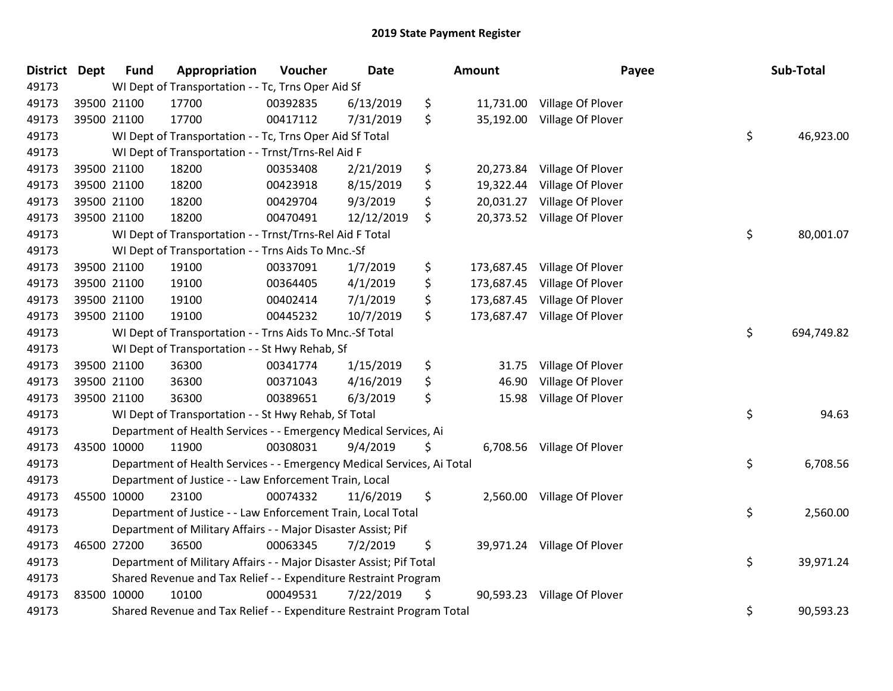| District Dept |             | <b>Fund</b> | Appropriation                                                          | Voucher  | <b>Date</b> | Amount           | Payee                        | Sub-Total        |
|---------------|-------------|-------------|------------------------------------------------------------------------|----------|-------------|------------------|------------------------------|------------------|
| 49173         |             |             | WI Dept of Transportation - - Tc, Trns Oper Aid Sf                     |          |             |                  |                              |                  |
| 49173         |             | 39500 21100 | 17700                                                                  | 00392835 | 6/13/2019   | \$               | 11,731.00 Village Of Plover  |                  |
| 49173         | 39500 21100 |             | 17700                                                                  | 00417112 | 7/31/2019   | \$               | 35,192.00 Village Of Plover  |                  |
| 49173         |             |             | WI Dept of Transportation - - Tc, Trns Oper Aid Sf Total               |          |             |                  |                              | \$<br>46,923.00  |
| 49173         |             |             | WI Dept of Transportation - - Trnst/Trns-Rel Aid F                     |          |             |                  |                              |                  |
| 49173         |             | 39500 21100 | 18200                                                                  | 00353408 | 2/21/2019   | \$<br>20,273.84  | Village Of Plover            |                  |
| 49173         |             | 39500 21100 | 18200                                                                  | 00423918 | 8/15/2019   | \$<br>19,322.44  | Village Of Plover            |                  |
| 49173         | 39500 21100 |             | 18200                                                                  | 00429704 | 9/3/2019    | \$<br>20,031.27  | Village Of Plover            |                  |
| 49173         | 39500 21100 |             | 18200                                                                  | 00470491 | 12/12/2019  | \$<br>20,373.52  | Village Of Plover            |                  |
| 49173         |             |             | WI Dept of Transportation - - Trnst/Trns-Rel Aid F Total               |          |             |                  |                              | \$<br>80,001.07  |
| 49173         |             |             | WI Dept of Transportation - - Trns Aids To Mnc.-Sf                     |          |             |                  |                              |                  |
| 49173         |             | 39500 21100 | 19100                                                                  | 00337091 | 1/7/2019    | \$               | 173,687.45 Village Of Plover |                  |
| 49173         |             | 39500 21100 | 19100                                                                  | 00364405 | 4/1/2019    | \$               | 173,687.45 Village Of Plover |                  |
| 49173         | 39500 21100 |             | 19100                                                                  | 00402414 | 7/1/2019    | \$<br>173,687.45 | Village Of Plover            |                  |
| 49173         | 39500 21100 |             | 19100                                                                  | 00445232 | 10/7/2019   | \$               | 173,687.47 Village Of Plover |                  |
| 49173         |             |             | WI Dept of Transportation - - Trns Aids To Mnc.-Sf Total               |          |             |                  |                              | \$<br>694,749.82 |
| 49173         |             |             | WI Dept of Transportation - - St Hwy Rehab, Sf                         |          |             |                  |                              |                  |
| 49173         |             | 39500 21100 | 36300                                                                  | 00341774 | 1/15/2019   | \$<br>31.75      | Village Of Plover            |                  |
| 49173         |             | 39500 21100 | 36300                                                                  | 00371043 | 4/16/2019   | \$<br>46.90      | Village Of Plover            |                  |
| 49173         | 39500 21100 |             | 36300                                                                  | 00389651 | 6/3/2019    | \$<br>15.98      | Village Of Plover            |                  |
| 49173         |             |             | WI Dept of Transportation - - St Hwy Rehab, Sf Total                   |          |             |                  |                              | \$<br>94.63      |
| 49173         |             |             | Department of Health Services - - Emergency Medical Services, Ai       |          |             |                  |                              |                  |
| 49173         |             | 43500 10000 | 11900                                                                  | 00308031 | 9/4/2019    | \$               | 6,708.56 Village Of Plover   |                  |
| 49173         |             |             | Department of Health Services - - Emergency Medical Services, Ai Total |          |             |                  |                              | \$<br>6,708.56   |
| 49173         |             |             | Department of Justice - - Law Enforcement Train, Local                 |          |             |                  |                              |                  |
| 49173         | 45500 10000 |             | 23100                                                                  | 00074332 | 11/6/2019   | \$               | 2,560.00 Village Of Plover   |                  |
| 49173         |             |             | Department of Justice - - Law Enforcement Train, Local Total           |          |             |                  |                              | \$<br>2,560.00   |
| 49173         |             |             | Department of Military Affairs - - Major Disaster Assist; Pif          |          |             |                  |                              |                  |
| 49173         | 46500 27200 |             | 36500                                                                  | 00063345 | 7/2/2019    | \$               | 39,971.24 Village Of Plover  |                  |
| 49173         |             |             | Department of Military Affairs - - Major Disaster Assist; Pif Total    |          |             |                  |                              | \$<br>39,971.24  |
| 49173         |             |             | Shared Revenue and Tax Relief - - Expenditure Restraint Program        |          |             |                  |                              |                  |
| 49173         | 83500 10000 |             | 10100                                                                  | 00049531 | 7/22/2019   | \$               | 90,593.23 Village Of Plover  |                  |
| 49173         |             |             | Shared Revenue and Tax Relief - - Expenditure Restraint Program Total  |          |             |                  |                              | \$<br>90,593.23  |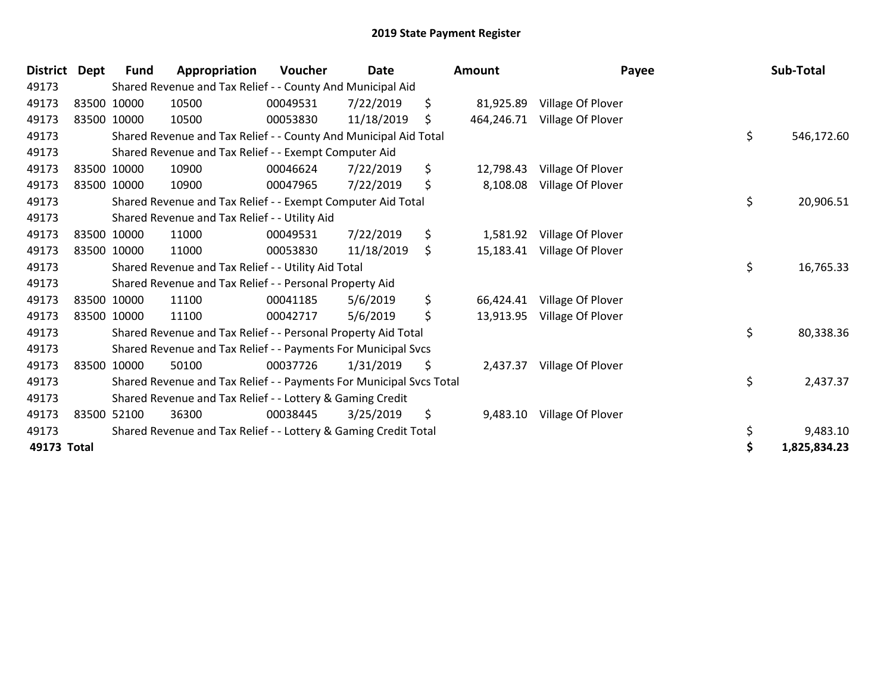| <b>District</b> | <b>Dept</b> | <b>Fund</b> | Appropriation                                                       | <b>Voucher</b> | <b>Date</b> | <b>Amount</b>    | Payee                      | Sub-Total          |
|-----------------|-------------|-------------|---------------------------------------------------------------------|----------------|-------------|------------------|----------------------------|--------------------|
| 49173           |             |             | Shared Revenue and Tax Relief - - County And Municipal Aid          |                |             |                  |                            |                    |
| 49173           |             | 83500 10000 | 10500                                                               | 00049531       | 7/22/2019   | \$<br>81,925.89  | Village Of Plover          |                    |
| 49173           | 83500 10000 |             | 10500                                                               | 00053830       | 11/18/2019  | \$<br>464,246.71 | Village Of Plover          |                    |
| 49173           |             |             | Shared Revenue and Tax Relief - - County And Municipal Aid Total    |                |             |                  |                            | \$<br>546,172.60   |
| 49173           |             |             | Shared Revenue and Tax Relief - - Exempt Computer Aid               |                |             |                  |                            |                    |
| 49173           |             | 83500 10000 | 10900                                                               | 00046624       | 7/22/2019   | \$<br>12,798.43  | Village Of Plover          |                    |
| 49173           |             | 83500 10000 | 10900                                                               | 00047965       | 7/22/2019   | \$<br>8,108.08   | Village Of Plover          |                    |
| 49173           |             |             | Shared Revenue and Tax Relief - - Exempt Computer Aid Total         |                |             |                  |                            | \$<br>20,906.51    |
| 49173           |             |             | Shared Revenue and Tax Relief - - Utility Aid                       |                |             |                  |                            |                    |
| 49173           |             | 83500 10000 | 11000                                                               | 00049531       | 7/22/2019   | \$<br>1,581.92   | Village Of Plover          |                    |
| 49173           | 83500 10000 |             | 11000                                                               | 00053830       | 11/18/2019  | \$<br>15,183.41  | Village Of Plover          |                    |
| 49173           |             |             | Shared Revenue and Tax Relief - - Utility Aid Total                 |                |             |                  |                            | \$<br>16,765.33    |
| 49173           |             |             | Shared Revenue and Tax Relief - - Personal Property Aid             |                |             |                  |                            |                    |
| 49173           | 83500 10000 |             | 11100                                                               | 00041185       | 5/6/2019    | \$<br>66,424.41  | Village Of Plover          |                    |
| 49173           |             | 83500 10000 | 11100                                                               | 00042717       | 5/6/2019    | \$<br>13,913.95  | Village Of Plover          |                    |
| 49173           |             |             | Shared Revenue and Tax Relief - - Personal Property Aid Total       |                |             |                  |                            | \$<br>80,338.36    |
| 49173           |             |             | Shared Revenue and Tax Relief - - Payments For Municipal Svcs       |                |             |                  |                            |                    |
| 49173           |             | 83500 10000 | 50100                                                               | 00037726       | 1/31/2019   | \$               | 2,437.37 Village Of Plover |                    |
| 49173           |             |             | Shared Revenue and Tax Relief - - Payments For Municipal Svcs Total |                |             |                  |                            | \$<br>2,437.37     |
| 49173           |             |             | Shared Revenue and Tax Relief - - Lottery & Gaming Credit           |                |             |                  |                            |                    |
| 49173           |             | 83500 52100 | 36300                                                               | 00038445       | 3/25/2019   | \$<br>9,483.10   | Village Of Plover          |                    |
| 49173           |             |             | Shared Revenue and Tax Relief - - Lottery & Gaming Credit Total     |                |             |                  |                            | \$<br>9,483.10     |
| 49173 Total     |             |             |                                                                     |                |             |                  |                            | \$<br>1,825,834.23 |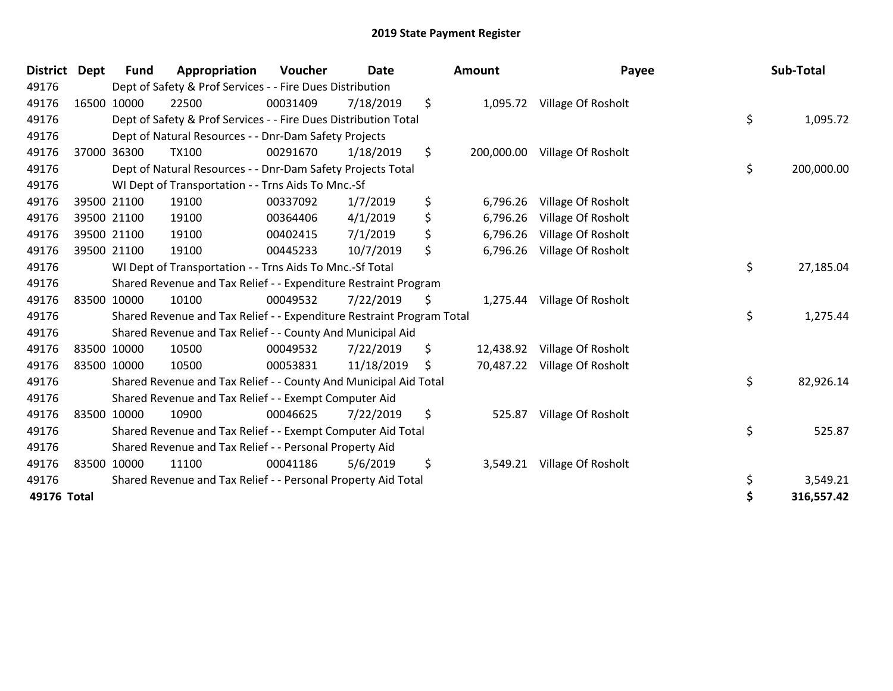| District Dept | <b>Fund</b> | Appropriation                                                         | <b>Voucher</b> | <b>Date</b> |    | <b>Amount</b> | Payee                         | Sub-Total        |
|---------------|-------------|-----------------------------------------------------------------------|----------------|-------------|----|---------------|-------------------------------|------------------|
| 49176         |             | Dept of Safety & Prof Services - - Fire Dues Distribution             |                |             |    |               |                               |                  |
| 49176         | 16500 10000 | 22500                                                                 | 00031409       | 7/18/2019   | \$ |               | 1,095.72 Village Of Rosholt   |                  |
| 49176         |             | Dept of Safety & Prof Services - - Fire Dues Distribution Total       |                |             |    |               |                               | \$<br>1,095.72   |
| 49176         |             | Dept of Natural Resources - - Dnr-Dam Safety Projects                 |                |             |    |               |                               |                  |
| 49176         | 37000 36300 | <b>TX100</b>                                                          | 00291670       | 1/18/2019   | \$ |               | 200,000.00 Village Of Rosholt |                  |
| 49176         |             | Dept of Natural Resources - - Dnr-Dam Safety Projects Total           |                |             |    |               |                               | \$<br>200,000.00 |
| 49176         |             | WI Dept of Transportation - - Trns Aids To Mnc.-Sf                    |                |             |    |               |                               |                  |
| 49176         | 39500 21100 | 19100                                                                 | 00337092       | 1/7/2019    | \$ | 6,796.26      | Village Of Rosholt            |                  |
| 49176         | 39500 21100 | 19100                                                                 | 00364406       | 4/1/2019    | \$ | 6,796.26      | Village Of Rosholt            |                  |
| 49176         | 39500 21100 | 19100                                                                 | 00402415       | 7/1/2019    | \$ | 6,796.26      | Village Of Rosholt            |                  |
| 49176         | 39500 21100 | 19100                                                                 | 00445233       | 10/7/2019   | \$ | 6,796.26      | Village Of Rosholt            |                  |
| 49176         |             | WI Dept of Transportation - - Trns Aids To Mnc.-Sf Total              |                |             |    |               |                               | \$<br>27,185.04  |
| 49176         |             | Shared Revenue and Tax Relief - - Expenditure Restraint Program       |                |             |    |               |                               |                  |
| 49176         | 83500 10000 | 10100                                                                 | 00049532       | 7/22/2019   | \$ |               | 1,275.44 Village Of Rosholt   |                  |
| 49176         |             | Shared Revenue and Tax Relief - - Expenditure Restraint Program Total |                |             |    |               |                               | \$<br>1,275.44   |
| 49176         |             | Shared Revenue and Tax Relief - - County And Municipal Aid            |                |             |    |               |                               |                  |
| 49176         | 83500 10000 | 10500                                                                 | 00049532       | 7/22/2019   | \$ | 12,438.92     | Village Of Rosholt            |                  |
| 49176         | 83500 10000 | 10500                                                                 | 00053831       | 11/18/2019  | S  |               | 70,487.22 Village Of Rosholt  |                  |
| 49176         |             | Shared Revenue and Tax Relief - - County And Municipal Aid Total      |                |             |    |               |                               | \$<br>82,926.14  |
| 49176         |             | Shared Revenue and Tax Relief - - Exempt Computer Aid                 |                |             |    |               |                               |                  |
| 49176         | 83500 10000 | 10900                                                                 | 00046625       | 7/22/2019   | \$ | 525.87        | Village Of Rosholt            |                  |
| 49176         |             | Shared Revenue and Tax Relief - - Exempt Computer Aid Total           |                |             |    |               |                               | \$<br>525.87     |
| 49176         |             | Shared Revenue and Tax Relief - - Personal Property Aid               |                |             |    |               |                               |                  |
| 49176         | 83500 10000 | 11100                                                                 | 00041186       | 5/6/2019    | \$ | 3,549.21      | Village Of Rosholt            |                  |
| 49176         |             | Shared Revenue and Tax Relief - - Personal Property Aid Total         |                |             |    |               |                               | \$<br>3,549.21   |
| 49176 Total   |             |                                                                       |                |             |    |               |                               | \$<br>316,557.42 |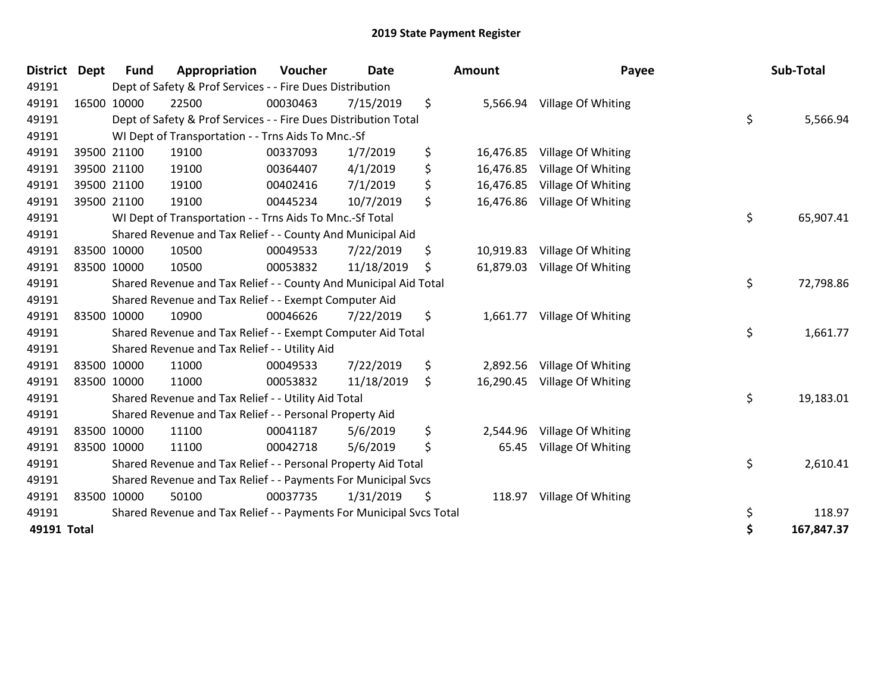| <b>District</b> | <b>Dept</b> | <b>Fund</b> | Appropriation                                                       | Voucher  | <b>Date</b> | <b>Amount</b>   | Payee              | Sub-Total        |
|-----------------|-------------|-------------|---------------------------------------------------------------------|----------|-------------|-----------------|--------------------|------------------|
| 49191           |             |             | Dept of Safety & Prof Services - - Fire Dues Distribution           |          |             |                 |                    |                  |
| 49191           |             | 16500 10000 | 22500                                                               | 00030463 | 7/15/2019   | \$<br>5,566.94  | Village Of Whiting |                  |
| 49191           |             |             | Dept of Safety & Prof Services - - Fire Dues Distribution Total     |          |             |                 |                    | \$<br>5,566.94   |
| 49191           |             |             | WI Dept of Transportation - - Trns Aids To Mnc.-Sf                  |          |             |                 |                    |                  |
| 49191           |             | 39500 21100 | 19100                                                               | 00337093 | 1/7/2019    | \$<br>16,476.85 | Village Of Whiting |                  |
| 49191           |             | 39500 21100 | 19100                                                               | 00364407 | 4/1/2019    | \$<br>16,476.85 | Village Of Whiting |                  |
| 49191           |             | 39500 21100 | 19100                                                               | 00402416 | 7/1/2019    | \$<br>16,476.85 | Village Of Whiting |                  |
| 49191           |             | 39500 21100 | 19100                                                               | 00445234 | 10/7/2019   | \$<br>16,476.86 | Village Of Whiting |                  |
| 49191           |             |             | WI Dept of Transportation - - Trns Aids To Mnc.-Sf Total            |          |             |                 |                    | \$<br>65,907.41  |
| 49191           |             |             | Shared Revenue and Tax Relief - - County And Municipal Aid          |          |             |                 |                    |                  |
| 49191           |             | 83500 10000 | 10500                                                               | 00049533 | 7/22/2019   | \$<br>10,919.83 | Village Of Whiting |                  |
| 49191           |             | 83500 10000 | 10500                                                               | 00053832 | 11/18/2019  | \$<br>61,879.03 | Village Of Whiting |                  |
| 49191           |             |             | Shared Revenue and Tax Relief - - County And Municipal Aid Total    |          |             |                 |                    | \$<br>72,798.86  |
| 49191           |             |             | Shared Revenue and Tax Relief - - Exempt Computer Aid               |          |             |                 |                    |                  |
| 49191           |             | 83500 10000 | 10900                                                               | 00046626 | 7/22/2019   | \$<br>1,661.77  | Village Of Whiting |                  |
| 49191           |             |             | Shared Revenue and Tax Relief - - Exempt Computer Aid Total         |          |             |                 |                    | \$<br>1,661.77   |
| 49191           |             |             | Shared Revenue and Tax Relief - - Utility Aid                       |          |             |                 |                    |                  |
| 49191           |             | 83500 10000 | 11000                                                               | 00049533 | 7/22/2019   | \$<br>2,892.56  | Village Of Whiting |                  |
| 49191           |             | 83500 10000 | 11000                                                               | 00053832 | 11/18/2019  | \$<br>16,290.45 | Village Of Whiting |                  |
| 49191           |             |             | Shared Revenue and Tax Relief - - Utility Aid Total                 |          |             |                 |                    | \$<br>19,183.01  |
| 49191           |             |             | Shared Revenue and Tax Relief - - Personal Property Aid             |          |             |                 |                    |                  |
| 49191           |             | 83500 10000 | 11100                                                               | 00041187 | 5/6/2019    | \$<br>2,544.96  | Village Of Whiting |                  |
| 49191           |             | 83500 10000 | 11100                                                               | 00042718 | 5/6/2019    | \$<br>65.45     | Village Of Whiting |                  |
| 49191           |             |             | Shared Revenue and Tax Relief - - Personal Property Aid Total       |          |             |                 |                    | \$<br>2,610.41   |
| 49191           |             |             | Shared Revenue and Tax Relief - - Payments For Municipal Svcs       |          |             |                 |                    |                  |
| 49191           |             | 83500 10000 | 50100                                                               | 00037735 | 1/31/2019   | \$<br>118.97    | Village Of Whiting |                  |
| 49191           |             |             | Shared Revenue and Tax Relief - - Payments For Municipal Svcs Total |          |             |                 |                    | \$<br>118.97     |
| 49191 Total     |             |             |                                                                     |          |             |                 |                    | \$<br>167,847.37 |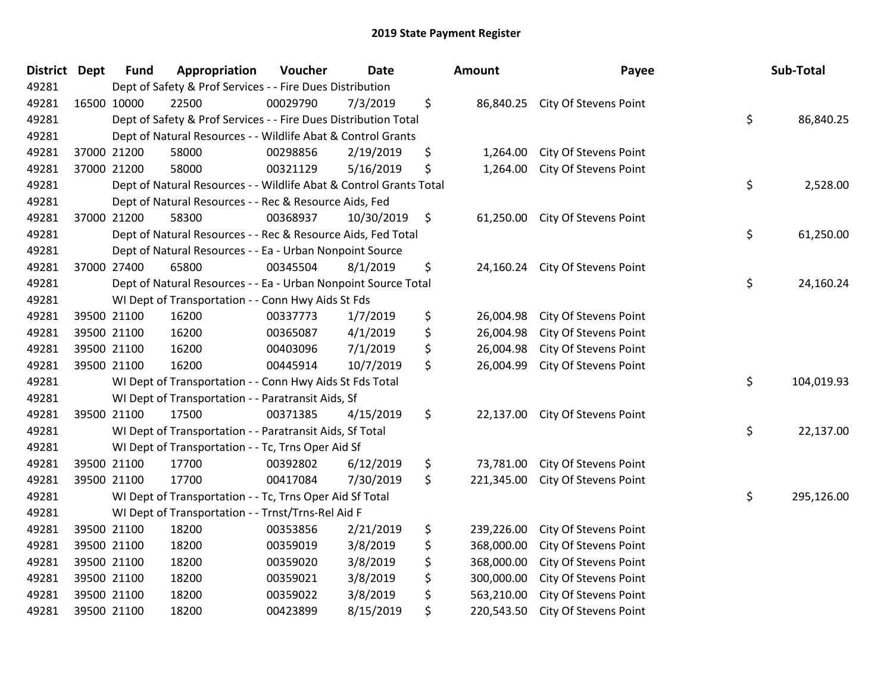| <b>District Dept</b> | <b>Fund</b> | Appropriation                                                      | Voucher  | <b>Date</b> | Amount           | Payee                        | Sub-Total        |
|----------------------|-------------|--------------------------------------------------------------------|----------|-------------|------------------|------------------------------|------------------|
| 49281                |             | Dept of Safety & Prof Services - - Fire Dues Distribution          |          |             |                  |                              |                  |
| 49281                | 16500 10000 | 22500                                                              | 00029790 | 7/3/2019    | \$<br>86,840.25  | City Of Stevens Point        |                  |
| 49281                |             | Dept of Safety & Prof Services - - Fire Dues Distribution Total    |          |             |                  |                              | \$<br>86,840.25  |
| 49281                |             | Dept of Natural Resources - - Wildlife Abat & Control Grants       |          |             |                  |                              |                  |
| 49281                | 37000 21200 | 58000                                                              | 00298856 | 2/19/2019   | \$<br>1,264.00   | City Of Stevens Point        |                  |
| 49281                | 37000 21200 | 58000                                                              | 00321129 | 5/16/2019   | \$<br>1,264.00   | City Of Stevens Point        |                  |
| 49281                |             | Dept of Natural Resources - - Wildlife Abat & Control Grants Total |          |             |                  |                              | \$<br>2,528.00   |
| 49281                |             | Dept of Natural Resources - - Rec & Resource Aids, Fed             |          |             |                  |                              |                  |
| 49281                | 37000 21200 | 58300                                                              | 00368937 | 10/30/2019  | \$<br>61,250.00  | City Of Stevens Point        |                  |
| 49281                |             | Dept of Natural Resources - - Rec & Resource Aids, Fed Total       |          |             |                  |                              | \$<br>61,250.00  |
| 49281                |             | Dept of Natural Resources - - Ea - Urban Nonpoint Source           |          |             |                  |                              |                  |
| 49281                | 37000 27400 | 65800                                                              | 00345504 | 8/1/2019    | \$<br>24,160.24  | City Of Stevens Point        |                  |
| 49281                |             | Dept of Natural Resources - - Ea - Urban Nonpoint Source Total     |          |             |                  |                              | \$<br>24,160.24  |
| 49281                |             | WI Dept of Transportation - - Conn Hwy Aids St Fds                 |          |             |                  |                              |                  |
| 49281                | 39500 21100 | 16200                                                              | 00337773 | 1/7/2019    | \$<br>26,004.98  | City Of Stevens Point        |                  |
| 49281                | 39500 21100 | 16200                                                              | 00365087 | 4/1/2019    | \$<br>26,004.98  | City Of Stevens Point        |                  |
| 49281                | 39500 21100 | 16200                                                              | 00403096 | 7/1/2019    | \$<br>26,004.98  | City Of Stevens Point        |                  |
| 49281                | 39500 21100 | 16200                                                              | 00445914 | 10/7/2019   | \$<br>26,004.99  | City Of Stevens Point        |                  |
| 49281                |             | WI Dept of Transportation - - Conn Hwy Aids St Fds Total           |          |             |                  |                              | \$<br>104,019.93 |
| 49281                |             | WI Dept of Transportation - - Paratransit Aids, Sf                 |          |             |                  |                              |                  |
| 49281                | 39500 21100 | 17500                                                              | 00371385 | 4/15/2019   | \$<br>22,137.00  | City Of Stevens Point        |                  |
| 49281                |             | WI Dept of Transportation - - Paratransit Aids, Sf Total           |          |             |                  |                              | \$<br>22,137.00  |
| 49281                |             | WI Dept of Transportation - - Tc, Trns Oper Aid Sf                 |          |             |                  |                              |                  |
| 49281                | 39500 21100 | 17700                                                              | 00392802 | 6/12/2019   | \$<br>73,781.00  | City Of Stevens Point        |                  |
| 49281                | 39500 21100 | 17700                                                              | 00417084 | 7/30/2019   | \$<br>221,345.00 | City Of Stevens Point        |                  |
| 49281                |             | WI Dept of Transportation - - Tc, Trns Oper Aid Sf Total           |          |             |                  |                              | \$<br>295,126.00 |
| 49281                |             | WI Dept of Transportation - - Trnst/Trns-Rel Aid F                 |          |             |                  |                              |                  |
| 49281                | 39500 21100 | 18200                                                              | 00353856 | 2/21/2019   | \$<br>239,226.00 | <b>City Of Stevens Point</b> |                  |
| 49281                | 39500 21100 | 18200                                                              | 00359019 | 3/8/2019    | \$<br>368,000.00 | City Of Stevens Point        |                  |
| 49281                | 39500 21100 | 18200                                                              | 00359020 | 3/8/2019    | \$<br>368,000.00 | City Of Stevens Point        |                  |
| 49281                | 39500 21100 | 18200                                                              | 00359021 | 3/8/2019    | \$<br>300,000.00 | City Of Stevens Point        |                  |
| 49281                | 39500 21100 | 18200                                                              | 00359022 | 3/8/2019    | \$<br>563,210.00 | City Of Stevens Point        |                  |
| 49281                | 39500 21100 | 18200                                                              | 00423899 | 8/15/2019   | \$<br>220,543.50 | City Of Stevens Point        |                  |
|                      |             |                                                                    |          |             |                  |                              |                  |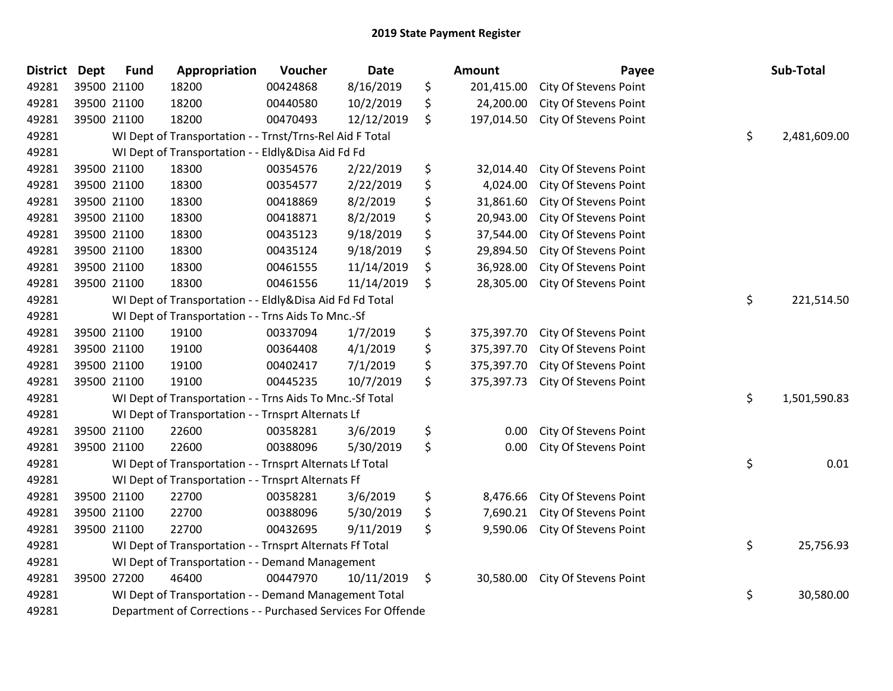| <b>District</b> | <b>Dept</b> | <b>Fund</b> | Appropriation                                                | Voucher  | Date       | Amount           | Payee                        | Sub-Total          |
|-----------------|-------------|-------------|--------------------------------------------------------------|----------|------------|------------------|------------------------------|--------------------|
| 49281           |             | 39500 21100 | 18200                                                        | 00424868 | 8/16/2019  | \$<br>201,415.00 | City Of Stevens Point        |                    |
| 49281           |             | 39500 21100 | 18200                                                        | 00440580 | 10/2/2019  | \$<br>24,200.00  | City Of Stevens Point        |                    |
| 49281           |             | 39500 21100 | 18200                                                        | 00470493 | 12/12/2019 | \$<br>197,014.50 | City Of Stevens Point        |                    |
| 49281           |             |             | WI Dept of Transportation - - Trnst/Trns-Rel Aid F Total     |          |            |                  |                              | \$<br>2,481,609.00 |
| 49281           |             |             | WI Dept of Transportation - - Eldly&Disa Aid Fd Fd           |          |            |                  |                              |                    |
| 49281           |             | 39500 21100 | 18300                                                        | 00354576 | 2/22/2019  | \$<br>32,014.40  | City Of Stevens Point        |                    |
| 49281           |             | 39500 21100 | 18300                                                        | 00354577 | 2/22/2019  | \$<br>4,024.00   | City Of Stevens Point        |                    |
| 49281           |             | 39500 21100 | 18300                                                        | 00418869 | 8/2/2019   | \$<br>31,861.60  | City Of Stevens Point        |                    |
| 49281           |             | 39500 21100 | 18300                                                        | 00418871 | 8/2/2019   | \$<br>20,943.00  | City Of Stevens Point        |                    |
| 49281           |             | 39500 21100 | 18300                                                        | 00435123 | 9/18/2019  | \$<br>37,544.00  | <b>City Of Stevens Point</b> |                    |
| 49281           |             | 39500 21100 | 18300                                                        | 00435124 | 9/18/2019  | \$<br>29,894.50  | City Of Stevens Point        |                    |
| 49281           |             | 39500 21100 | 18300                                                        | 00461555 | 11/14/2019 | \$<br>36,928.00  | City Of Stevens Point        |                    |
| 49281           |             | 39500 21100 | 18300                                                        | 00461556 | 11/14/2019 | \$<br>28,305.00  | City Of Stevens Point        |                    |
| 49281           |             |             | WI Dept of Transportation - - Eldly&Disa Aid Fd Fd Total     |          |            |                  |                              | \$<br>221,514.50   |
| 49281           |             |             | WI Dept of Transportation - - Trns Aids To Mnc.-Sf           |          |            |                  |                              |                    |
| 49281           |             | 39500 21100 | 19100                                                        | 00337094 | 1/7/2019   | \$<br>375,397.70 | City Of Stevens Point        |                    |
| 49281           |             | 39500 21100 | 19100                                                        | 00364408 | 4/1/2019   | \$<br>375,397.70 | City Of Stevens Point        |                    |
| 49281           |             | 39500 21100 | 19100                                                        | 00402417 | 7/1/2019   | \$<br>375,397.70 | City Of Stevens Point        |                    |
| 49281           |             | 39500 21100 | 19100                                                        | 00445235 | 10/7/2019  | \$<br>375,397.73 | City Of Stevens Point        |                    |
| 49281           |             |             | WI Dept of Transportation - - Trns Aids To Mnc.-Sf Total     |          |            |                  |                              | \$<br>1,501,590.83 |
| 49281           |             |             | WI Dept of Transportation - - Trnsprt Alternats Lf           |          |            |                  |                              |                    |
| 49281           |             | 39500 21100 | 22600                                                        | 00358281 | 3/6/2019   | \$<br>0.00       | City Of Stevens Point        |                    |
| 49281           |             | 39500 21100 | 22600                                                        | 00388096 | 5/30/2019  | \$<br>0.00       | City Of Stevens Point        |                    |
| 49281           |             |             | WI Dept of Transportation - - Trnsprt Alternats Lf Total     |          |            |                  |                              | \$<br>0.01         |
| 49281           |             |             | WI Dept of Transportation - - Trnsprt Alternats Ff           |          |            |                  |                              |                    |
| 49281           |             | 39500 21100 | 22700                                                        | 00358281 | 3/6/2019   | \$<br>8,476.66   | City Of Stevens Point        |                    |
| 49281           |             | 39500 21100 | 22700                                                        | 00388096 | 5/30/2019  | \$<br>7,690.21   | City Of Stevens Point        |                    |
| 49281           |             | 39500 21100 | 22700                                                        | 00432695 | 9/11/2019  | \$<br>9,590.06   | City Of Stevens Point        |                    |
| 49281           |             |             | WI Dept of Transportation - - Trnsprt Alternats Ff Total     |          |            |                  |                              | \$<br>25,756.93    |
| 49281           |             |             | WI Dept of Transportation - - Demand Management              |          |            |                  |                              |                    |
| 49281           |             | 39500 27200 | 46400                                                        | 00447970 | 10/11/2019 | \$<br>30,580.00  | City Of Stevens Point        |                    |
| 49281           |             |             | WI Dept of Transportation - - Demand Management Total        |          |            |                  |                              | \$<br>30,580.00    |
| 49281           |             |             | Department of Corrections - - Purchased Services For Offende |          |            |                  |                              |                    |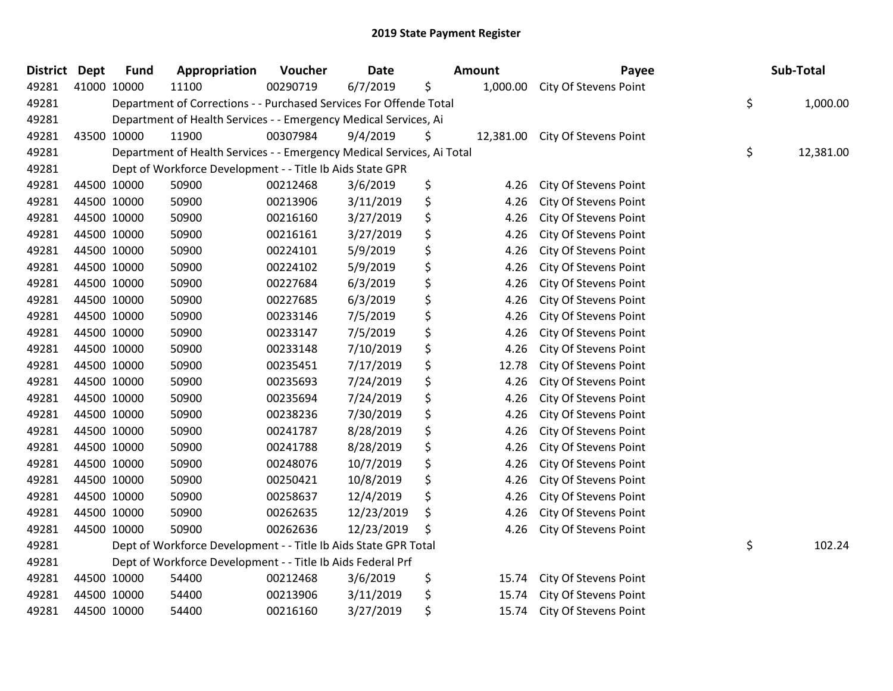| District Dept |             | <b>Fund</b> | Appropriation                                                          | Voucher  | <b>Date</b> |     | <b>Amount</b> | Payee                        | Sub-Total       |
|---------------|-------------|-------------|------------------------------------------------------------------------|----------|-------------|-----|---------------|------------------------------|-----------------|
| 49281         | 41000 10000 |             | 11100                                                                  | 00290719 | 6/7/2019    | \$  | 1,000.00      | City Of Stevens Point        |                 |
| 49281         |             |             | Department of Corrections - - Purchased Services For Offende Total     |          |             |     |               |                              | \$<br>1,000.00  |
| 49281         |             |             | Department of Health Services - - Emergency Medical Services, Ai       |          |             |     |               |                              |                 |
| 49281         |             | 43500 10000 | 11900                                                                  | 00307984 | 9/4/2019    | \$. | 12,381.00     | <b>City Of Stevens Point</b> |                 |
| 49281         |             |             | Department of Health Services - - Emergency Medical Services, Ai Total |          |             |     |               |                              | \$<br>12,381.00 |
| 49281         |             |             | Dept of Workforce Development - - Title Ib Aids State GPR              |          |             |     |               |                              |                 |
| 49281         |             | 44500 10000 | 50900                                                                  | 00212468 | 3/6/2019    | \$  | 4.26          | City Of Stevens Point        |                 |
| 49281         |             | 44500 10000 | 50900                                                                  | 00213906 | 3/11/2019   | \$  | 4.26          | City Of Stevens Point        |                 |
| 49281         | 44500 10000 |             | 50900                                                                  | 00216160 | 3/27/2019   | \$  | 4.26          | City Of Stevens Point        |                 |
| 49281         |             | 44500 10000 | 50900                                                                  | 00216161 | 3/27/2019   | \$  | 4.26          | <b>City Of Stevens Point</b> |                 |
| 49281         |             | 44500 10000 | 50900                                                                  | 00224101 | 5/9/2019    | \$  | 4.26          | City Of Stevens Point        |                 |
| 49281         |             | 44500 10000 | 50900                                                                  | 00224102 | 5/9/2019    | \$  | 4.26          | City Of Stevens Point        |                 |
| 49281         |             | 44500 10000 | 50900                                                                  | 00227684 | 6/3/2019    | \$  | 4.26          | City Of Stevens Point        |                 |
| 49281         |             | 44500 10000 | 50900                                                                  | 00227685 | 6/3/2019    | \$  | 4.26          | City Of Stevens Point        |                 |
| 49281         | 44500 10000 |             | 50900                                                                  | 00233146 | 7/5/2019    | \$  | 4.26          | City Of Stevens Point        |                 |
| 49281         |             | 44500 10000 | 50900                                                                  | 00233147 | 7/5/2019    | \$  | 4.26          | City Of Stevens Point        |                 |
| 49281         | 44500 10000 |             | 50900                                                                  | 00233148 | 7/10/2019   | \$  | 4.26          | City Of Stevens Point        |                 |
| 49281         |             | 44500 10000 | 50900                                                                  | 00235451 | 7/17/2019   | \$  | 12.78         | City Of Stevens Point        |                 |
| 49281         |             | 44500 10000 | 50900                                                                  | 00235693 | 7/24/2019   | \$  | 4.26          | City Of Stevens Point        |                 |
| 49281         | 44500 10000 |             | 50900                                                                  | 00235694 | 7/24/2019   | \$  | 4.26          | City Of Stevens Point        |                 |
| 49281         |             | 44500 10000 | 50900                                                                  | 00238236 | 7/30/2019   | \$  | 4.26          | City Of Stevens Point        |                 |
| 49281         |             | 44500 10000 | 50900                                                                  | 00241787 | 8/28/2019   | \$  | 4.26          | City Of Stevens Point        |                 |
| 49281         |             | 44500 10000 | 50900                                                                  | 00241788 | 8/28/2019   | \$  | 4.26          | City Of Stevens Point        |                 |
| 49281         |             | 44500 10000 | 50900                                                                  | 00248076 | 10/7/2019   | \$  | 4.26          | City Of Stevens Point        |                 |
| 49281         | 44500 10000 |             | 50900                                                                  | 00250421 | 10/8/2019   | \$  | 4.26          | City Of Stevens Point        |                 |
| 49281         |             | 44500 10000 | 50900                                                                  | 00258637 | 12/4/2019   | \$  | 4.26          | City Of Stevens Point        |                 |
| 49281         | 44500 10000 |             | 50900                                                                  | 00262635 | 12/23/2019  | \$  | 4.26          | City Of Stevens Point        |                 |
| 49281         | 44500 10000 |             | 50900                                                                  | 00262636 | 12/23/2019  | \$  | 4.26          | City Of Stevens Point        |                 |
| 49281         |             |             | Dept of Workforce Development - - Title Ib Aids State GPR Total        |          |             |     |               |                              | \$<br>102.24    |
| 49281         |             |             | Dept of Workforce Development - - Title Ib Aids Federal Prf            |          |             |     |               |                              |                 |
| 49281         | 44500 10000 |             | 54400                                                                  | 00212468 | 3/6/2019    | \$  | 15.74         | City Of Stevens Point        |                 |
| 49281         |             | 44500 10000 | 54400                                                                  | 00213906 | 3/11/2019   | \$  | 15.74         | City Of Stevens Point        |                 |
| 49281         | 44500 10000 |             | 54400                                                                  | 00216160 | 3/27/2019   | \$  | 15.74         | City Of Stevens Point        |                 |
|               |             |             |                                                                        |          |             |     |               |                              |                 |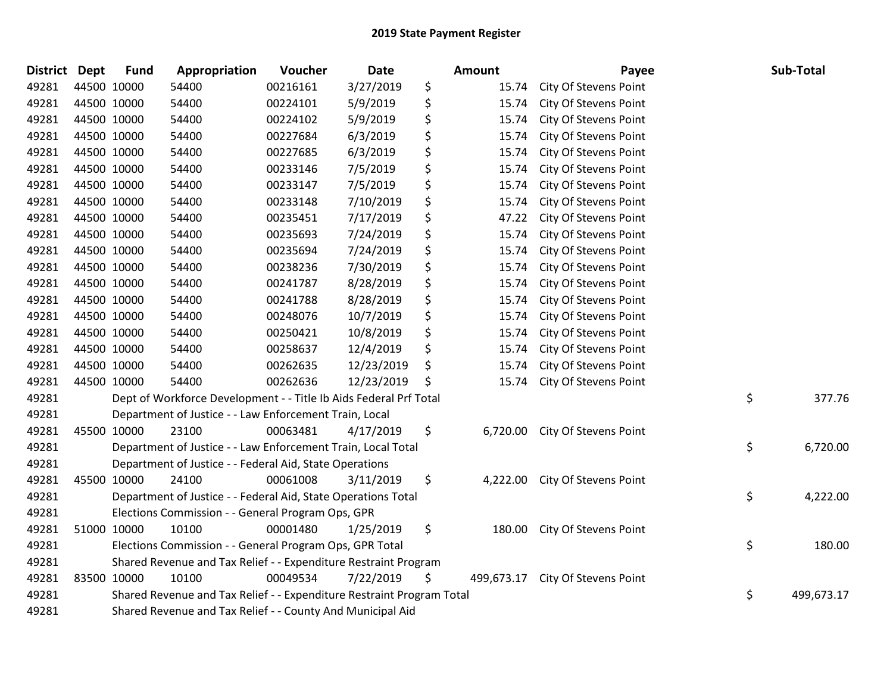| <b>District Dept</b> |             | <b>Fund</b> | Appropriation                                                         | Voucher  | Date       | Amount           | Payee                        | Sub-Total        |
|----------------------|-------------|-------------|-----------------------------------------------------------------------|----------|------------|------------------|------------------------------|------------------|
| 49281                |             | 44500 10000 | 54400                                                                 | 00216161 | 3/27/2019  | \$<br>15.74      | City Of Stevens Point        |                  |
| 49281                | 44500 10000 |             | 54400                                                                 | 00224101 | 5/9/2019   | \$<br>15.74      | City Of Stevens Point        |                  |
| 49281                | 44500 10000 |             | 54400                                                                 | 00224102 | 5/9/2019   | \$<br>15.74      | City Of Stevens Point        |                  |
| 49281                |             | 44500 10000 | 54400                                                                 | 00227684 | 6/3/2019   | \$<br>15.74      | City Of Stevens Point        |                  |
| 49281                |             | 44500 10000 | 54400                                                                 | 00227685 | 6/3/2019   | \$<br>15.74      | City Of Stevens Point        |                  |
| 49281                |             | 44500 10000 | 54400                                                                 | 00233146 | 7/5/2019   | \$<br>15.74      | City Of Stevens Point        |                  |
| 49281                |             | 44500 10000 | 54400                                                                 | 00233147 | 7/5/2019   | \$<br>15.74      | City Of Stevens Point        |                  |
| 49281                |             | 44500 10000 | 54400                                                                 | 00233148 | 7/10/2019  | \$<br>15.74      | City Of Stevens Point        |                  |
| 49281                |             | 44500 10000 | 54400                                                                 | 00235451 | 7/17/2019  | \$<br>47.22      | City Of Stevens Point        |                  |
| 49281                |             | 44500 10000 | 54400                                                                 | 00235693 | 7/24/2019  | \$<br>15.74      | City Of Stevens Point        |                  |
| 49281                |             | 44500 10000 | 54400                                                                 | 00235694 | 7/24/2019  | \$<br>15.74      | <b>City Of Stevens Point</b> |                  |
| 49281                | 44500 10000 |             | 54400                                                                 | 00238236 | 7/30/2019  | \$<br>15.74      | City Of Stevens Point        |                  |
| 49281                |             | 44500 10000 | 54400                                                                 | 00241787 | 8/28/2019  | \$<br>15.74      | City Of Stevens Point        |                  |
| 49281                |             | 44500 10000 | 54400                                                                 | 00241788 | 8/28/2019  | \$<br>15.74      | City Of Stevens Point        |                  |
| 49281                |             | 44500 10000 | 54400                                                                 | 00248076 | 10/7/2019  | \$<br>15.74      | City Of Stevens Point        |                  |
| 49281                |             | 44500 10000 | 54400                                                                 | 00250421 | 10/8/2019  | \$<br>15.74      | City Of Stevens Point        |                  |
| 49281                |             | 44500 10000 | 54400                                                                 | 00258637 | 12/4/2019  | \$<br>15.74      | City Of Stevens Point        |                  |
| 49281                |             | 44500 10000 | 54400                                                                 | 00262635 | 12/23/2019 | \$<br>15.74      | City Of Stevens Point        |                  |
| 49281                |             | 44500 10000 | 54400                                                                 | 00262636 | 12/23/2019 | \$<br>15.74      | City Of Stevens Point        |                  |
| 49281                |             |             | Dept of Workforce Development - - Title Ib Aids Federal Prf Total     |          |            |                  |                              | \$<br>377.76     |
| 49281                |             |             | Department of Justice - - Law Enforcement Train, Local                |          |            |                  |                              |                  |
| 49281                |             | 45500 10000 | 23100                                                                 | 00063481 | 4/17/2019  | \$<br>6,720.00   | City Of Stevens Point        |                  |
| 49281                |             |             | Department of Justice - - Law Enforcement Train, Local Total          |          |            |                  |                              | \$<br>6,720.00   |
| 49281                |             |             | Department of Justice - - Federal Aid, State Operations               |          |            |                  |                              |                  |
| 49281                |             | 45500 10000 | 24100                                                                 | 00061008 | 3/11/2019  | \$<br>4,222.00   | City Of Stevens Point        |                  |
| 49281                |             |             | Department of Justice - - Federal Aid, State Operations Total         |          |            |                  |                              | \$<br>4,222.00   |
| 49281                |             |             | Elections Commission - - General Program Ops, GPR                     |          |            |                  |                              |                  |
| 49281                |             | 51000 10000 | 10100                                                                 | 00001480 | 1/25/2019  | \$<br>180.00     | City Of Stevens Point        |                  |
| 49281                |             |             | Elections Commission - - General Program Ops, GPR Total               |          |            |                  |                              | \$<br>180.00     |
| 49281                |             |             | Shared Revenue and Tax Relief - - Expenditure Restraint Program       |          |            |                  |                              |                  |
| 49281                |             | 83500 10000 | 10100                                                                 | 00049534 | 7/22/2019  | \$<br>499,673.17 | City Of Stevens Point        |                  |
| 49281                |             |             | Shared Revenue and Tax Relief - - Expenditure Restraint Program Total |          |            |                  |                              | \$<br>499,673.17 |
| 49281                |             |             | Shared Revenue and Tax Relief - - County And Municipal Aid            |          |            |                  |                              |                  |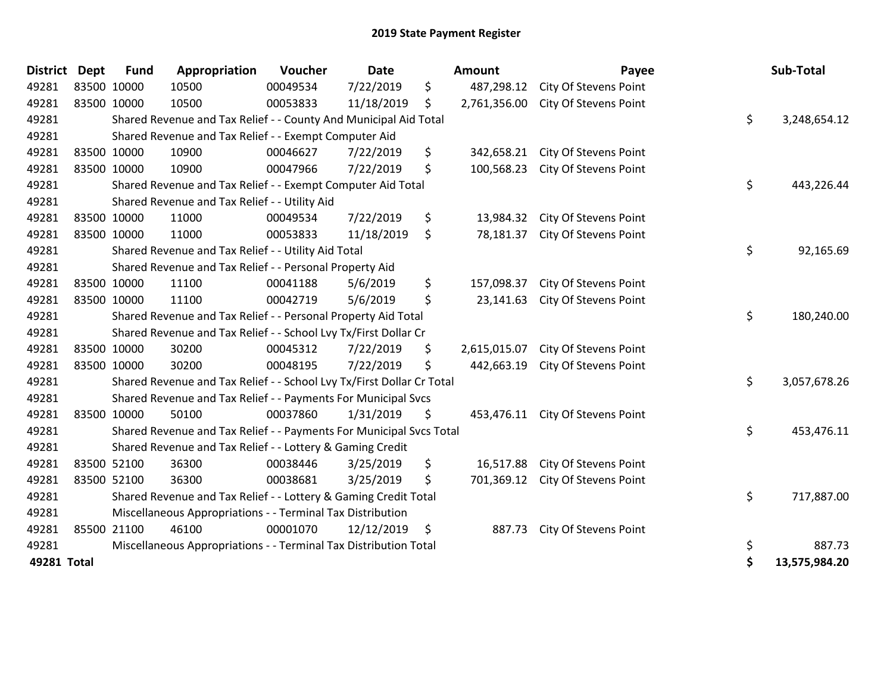| District    | <b>Dept</b> | <b>Fund</b> | Appropriation                                                         | Voucher  | <b>Date</b> | Amount             | Payee                            | Sub-Total           |
|-------------|-------------|-------------|-----------------------------------------------------------------------|----------|-------------|--------------------|----------------------------------|---------------------|
| 49281       |             | 83500 10000 | 10500                                                                 | 00049534 | 7/22/2019   | \$<br>487,298.12   | City Of Stevens Point            |                     |
| 49281       |             | 83500 10000 | 10500                                                                 | 00053833 | 11/18/2019  | \$<br>2,761,356.00 | City Of Stevens Point            |                     |
| 49281       |             |             | Shared Revenue and Tax Relief - - County And Municipal Aid Total      |          |             |                    |                                  | \$<br>3,248,654.12  |
| 49281       |             |             | Shared Revenue and Tax Relief - - Exempt Computer Aid                 |          |             |                    |                                  |                     |
| 49281       |             | 83500 10000 | 10900                                                                 | 00046627 | 7/22/2019   | \$<br>342,658.21   | City Of Stevens Point            |                     |
| 49281       |             | 83500 10000 | 10900                                                                 | 00047966 | 7/22/2019   | \$<br>100,568.23   | City Of Stevens Point            |                     |
| 49281       |             |             | Shared Revenue and Tax Relief - - Exempt Computer Aid Total           |          |             |                    |                                  | \$<br>443,226.44    |
| 49281       |             |             | Shared Revenue and Tax Relief - - Utility Aid                         |          |             |                    |                                  |                     |
| 49281       |             | 83500 10000 | 11000                                                                 | 00049534 | 7/22/2019   | \$<br>13,984.32    | City Of Stevens Point            |                     |
| 49281       |             | 83500 10000 | 11000                                                                 | 00053833 | 11/18/2019  | \$<br>78,181.37    | City Of Stevens Point            |                     |
| 49281       |             |             | Shared Revenue and Tax Relief - - Utility Aid Total                   |          |             |                    |                                  | \$<br>92,165.69     |
| 49281       |             |             | Shared Revenue and Tax Relief - - Personal Property Aid               |          |             |                    |                                  |                     |
| 49281       |             | 83500 10000 | 11100                                                                 | 00041188 | 5/6/2019    | \$<br>157,098.37   | City Of Stevens Point            |                     |
| 49281       |             | 83500 10000 | 11100                                                                 | 00042719 | 5/6/2019    | \$<br>23,141.63    | City Of Stevens Point            |                     |
| 49281       |             |             | Shared Revenue and Tax Relief - - Personal Property Aid Total         |          |             |                    |                                  | \$<br>180,240.00    |
| 49281       |             |             | Shared Revenue and Tax Relief - - School Lvy Tx/First Dollar Cr       |          |             |                    |                                  |                     |
| 49281       |             | 83500 10000 | 30200                                                                 | 00045312 | 7/22/2019   | \$<br>2,615,015.07 | City Of Stevens Point            |                     |
| 49281       |             | 83500 10000 | 30200                                                                 | 00048195 | 7/22/2019   | \$<br>442,663.19   | City Of Stevens Point            |                     |
| 49281       |             |             | Shared Revenue and Tax Relief - - School Lvy Tx/First Dollar Cr Total |          |             |                    |                                  | \$<br>3,057,678.26  |
| 49281       |             |             | Shared Revenue and Tax Relief - - Payments For Municipal Svcs         |          |             |                    |                                  |                     |
| 49281       |             | 83500 10000 | 50100                                                                 | 00037860 | 1/31/2019   | \$                 | 453,476.11 City Of Stevens Point |                     |
| 49281       |             |             | Shared Revenue and Tax Relief - - Payments For Municipal Svcs Total   |          |             |                    |                                  | \$<br>453,476.11    |
| 49281       |             |             | Shared Revenue and Tax Relief - - Lottery & Gaming Credit             |          |             |                    |                                  |                     |
| 49281       |             | 83500 52100 | 36300                                                                 | 00038446 | 3/25/2019   | \$<br>16,517.88    | City Of Stevens Point            |                     |
| 49281       |             | 83500 52100 | 36300                                                                 | 00038681 | 3/25/2019   | \$<br>701,369.12   | <b>City Of Stevens Point</b>     |                     |
| 49281       |             |             | Shared Revenue and Tax Relief - - Lottery & Gaming Credit Total       |          |             |                    |                                  | \$<br>717,887.00    |
| 49281       |             |             | Miscellaneous Appropriations - - Terminal Tax Distribution            |          |             |                    |                                  |                     |
| 49281       |             | 85500 21100 | 46100                                                                 | 00001070 | 12/12/2019  | \$<br>887.73       | City Of Stevens Point            |                     |
| 49281       |             |             | Miscellaneous Appropriations - - Terminal Tax Distribution Total      |          |             |                    |                                  | \$<br>887.73        |
| 49281 Total |             |             |                                                                       |          |             |                    |                                  | \$<br>13,575,984.20 |